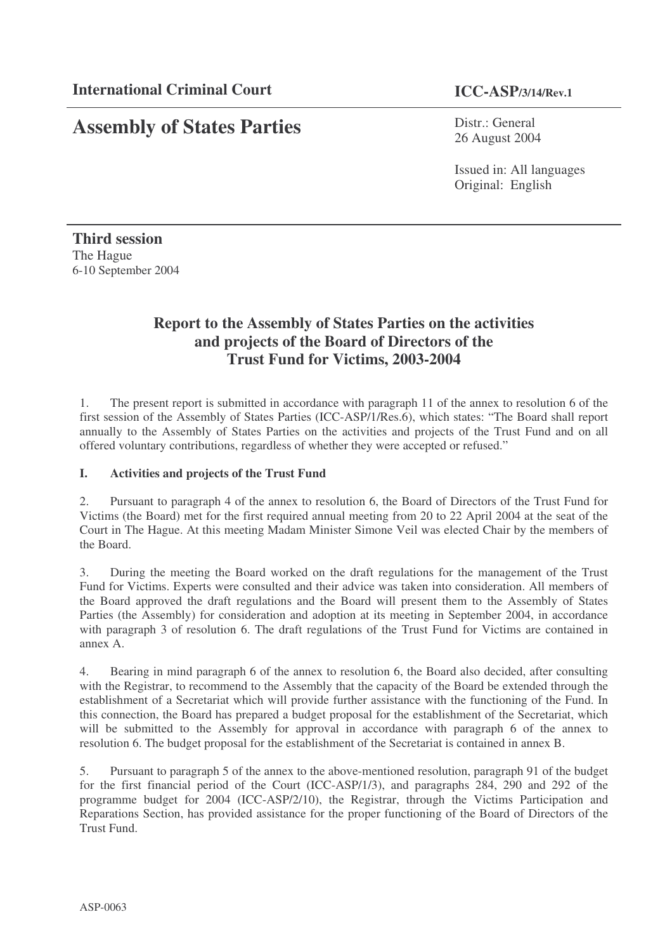# **Assembly of States Parties**

Distr.: General 26 August 2004

Issued in: All languages Original: English

**Third session** The Hague 6-10 September 2004

# **Report to the Assembly of States Parties on the activities and projects of the Board of Directors of the Trust Fund for Victims, 2003-2004**

1. The present report is submitted in accordance with paragraph 11 of the annex to resolution 6 of the first session of the Assembly of States Parties (ICC-ASP/1/Res.6), which states: "The Board shall report annually to the Assembly of States Parties on the activities and projects of the Trust Fund and on all offered voluntary contributions, regardless of whether they were accepted or refused."

# **I. Activities and projects of the Trust Fund**

2. Pursuant to paragraph 4 of the annex to resolution 6, the Board of Directors of the Trust Fund for Victims (the Board) met for the first required annual meeting from 20 to 22 April 2004 at the seat of the Court in The Hague. At this meeting Madam Minister Simone Veil was elected Chair by the members of the Board.

3. During the meeting the Board worked on the draft regulations for the management of the Trust Fund for Victims. Experts were consulted and their advice was taken into consideration. All members of the Board approved the draft regulations and the Board will present them to the Assembly of States Parties (the Assembly) for consideration and adoption at its meeting in September 2004, in accordance with paragraph 3 of resolution 6. The draft regulations of the Trust Fund for Victims are contained in annex A.

4. Bearing in mind paragraph 6 of the annex to resolution 6, the Board also decided, after consulting with the Registrar, to recommend to the Assembly that the capacity of the Board be extended through the establishment of a Secretariat which will provide further assistance with the functioning of the Fund. In this connection, the Board has prepared a budget proposal for the establishment of the Secretariat, which will be submitted to the Assembly for approval in accordance with paragraph 6 of the annex to resolution 6. The budget proposal for the establishment of the Secretariat is contained in annex B.

5. Pursuant to paragraph 5 of the annex to the above-mentioned resolution, paragraph 91 of the budget for the first financial period of the Court (ICC-ASP/1/3), and paragraphs 284, 290 and 292 of the programme budget for 2004 (ICC-ASP/2/10), the Registrar, through the Victims Participation and Reparations Section, has provided assistance for the proper functioning of the Board of Directors of the Trust Fund.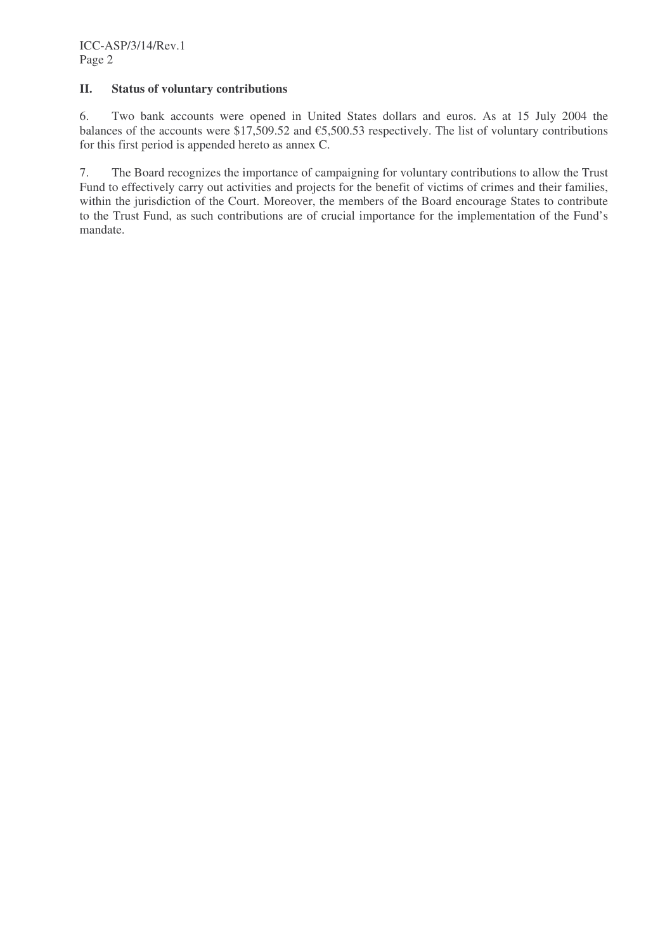# **II. Status of voluntary contributions**

6. Two bank accounts were opened in United States dollars and euros. As at 15 July 2004 the balances of the accounts were \$17,509.52 and  $\epsilon$ 5,500.53 respectively. The list of voluntary contributions for this first period is appended hereto as annex C.

7. The Board recognizes the importance of campaigning for voluntary contributions to allow the Trust Fund to effectively carry out activities and projects for the benefit of victims of crimes and their families, within the jurisdiction of the Court. Moreover, the members of the Board encourage States to contribute to the Trust Fund, as such contributions are of crucial importance for the implementation of the Fund's mandate.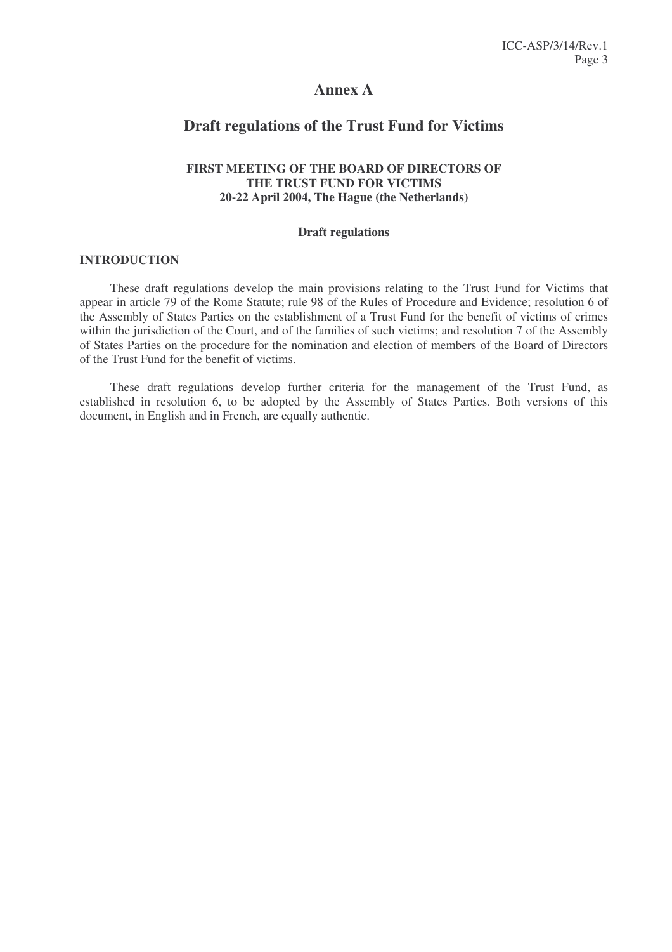# **Annex A**

# **Draft regulations of the Trust Fund for Victims**

# **FIRST MEETING OF THE BOARD OF DIRECTORS OF THE TRUST FUND FOR VICTIMS 20-22 April 2004, The Hague (the Netherlands)**

#### **Draft regulations**

#### **INTRODUCTION**

These draft regulations develop the main provisions relating to the Trust Fund for Victims that appear in article 79 of the Rome Statute; rule 98 of the Rules of Procedure and Evidence; resolution 6 of the Assembly of States Parties on the establishment of a Trust Fund for the benefit of victims of crimes within the jurisdiction of the Court, and of the families of such victims; and resolution 7 of the Assembly of States Parties on the procedure for the nomination and election of members of the Board of Directors of the Trust Fund for the benefit of victims.

These draft regulations develop further criteria for the management of the Trust Fund, as established in resolution 6, to be adopted by the Assembly of States Parties. Both versions of this document, in English and in French, are equally authentic.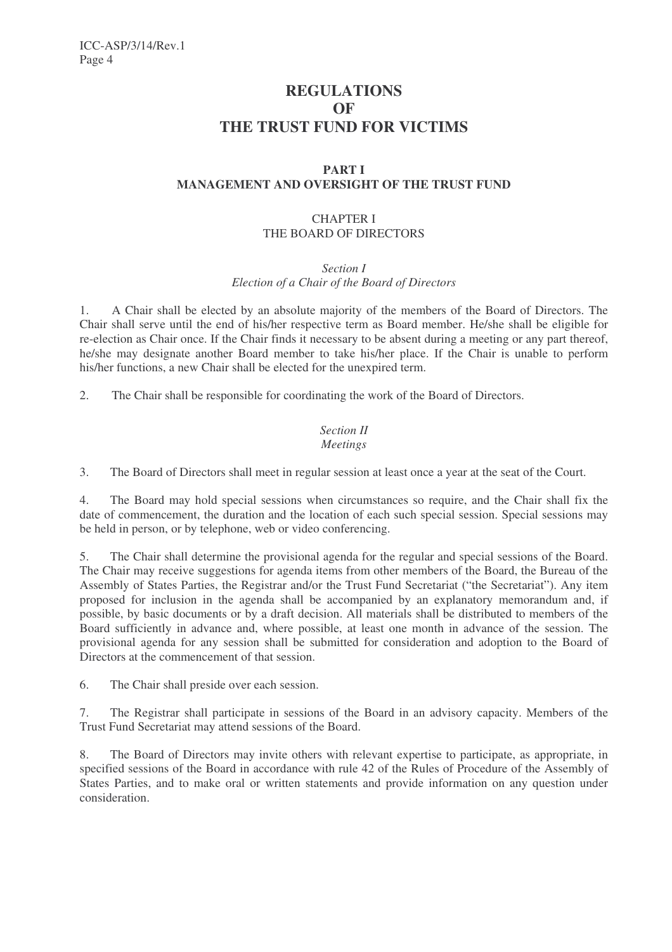# **REGULATIONS OF THE TRUST FUND FOR VICTIMS**

# **PART I MANAGEMENT AND OVERSIGHT OF THE TRUST FUND**

# CHAPTER I THE BOARD OF DIRECTORS

*Section I*

*Election of a Chair of the Board of Directors*

1. A Chair shall be elected by an absolute majority of the members of the Board of Directors. The Chair shall serve until the end of his/her respective term as Board member. He/she shall be eligible for re-election as Chair once. If the Chair finds it necessary to be absent during a meeting or any part thereof, he/she may designate another Board member to take his/her place. If the Chair is unable to perform his/her functions, a new Chair shall be elected for the unexpired term.

2. The Chair shall be responsible for coordinating the work of the Board of Directors.

#### *Section II Meetings*

3. The Board of Directors shall meet in regular session at least once a year at the seat of the Court.

4. The Board may hold special sessions when circumstances so require, and the Chair shall fix the date of commencement, the duration and the location of each such special session. Special sessions may be held in person, or by telephone, web or video conferencing.

5. The Chair shall determine the provisional agenda for the regular and special sessions of the Board. The Chair may receive suggestions for agenda items from other members of the Board, the Bureau of the Assembly of States Parties, the Registrar and/or the Trust Fund Secretariat ("the Secretariat"). Any item proposed for inclusion in the agenda shall be accompanied by an explanatory memorandum and, if possible, by basic documents or by a draft decision. All materials shall be distributed to members of the Board sufficiently in advance and, where possible, at least one month in advance of the session. The provisional agenda for any session shall be submitted for consideration and adoption to the Board of Directors at the commencement of that session.

6. The Chair shall preside over each session.

7. The Registrar shall participate in sessions of the Board in an advisory capacity. Members of the Trust Fund Secretariat may attend sessions of the Board.

8. The Board of Directors may invite others with relevant expertise to participate, as appropriate, in specified sessions of the Board in accordance with rule 42 of the Rules of Procedure of the Assembly of States Parties, and to make oral or written statements and provide information on any question under consideration.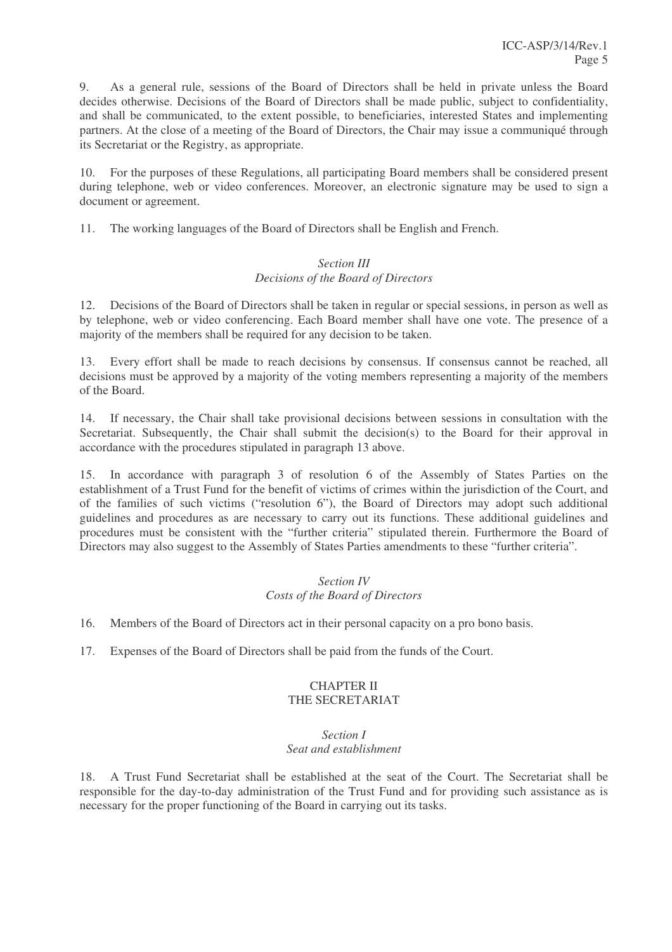9. As a general rule, sessions of the Board of Directors shall be held in private unless the Board decides otherwise. Decisions of the Board of Directors shall be made public, subject to confidentiality, and shall be communicated, to the extent possible, to beneficiaries, interested States and implementing partners. At the close of a meeting of the Board of Directors, the Chair may issue a communiqué through its Secretariat or the Registry, as appropriate.

10. For the purposes of these Regulations, all participating Board members shall be considered present during telephone, web or video conferences. Moreover, an electronic signature may be used to sign a document or agreement.

11. The working languages of the Board of Directors shall be English and French.

# *Section III Decisions of the Board of Directors*

12. Decisions of the Board of Directors shall be taken in regular or special sessions, in person as well as by telephone, web or video conferencing. Each Board member shall have one vote. The presence of a majority of the members shall be required for any decision to be taken.

13. Every effort shall be made to reach decisions by consensus. If consensus cannot be reached, all decisions must be approved by a majority of the voting members representing a majority of the members of the Board.

14. If necessary, the Chair shall take provisional decisions between sessions in consultation with the Secretariat. Subsequently, the Chair shall submit the decision(s) to the Board for their approval in accordance with the procedures stipulated in paragraph 13 above.

15. In accordance with paragraph 3 of resolution 6 of the Assembly of States Parties on the establishment of a Trust Fund for the benefit of victims of crimes within the jurisdiction of the Court, and of the families of such victims ("resolution 6"), the Board of Directors may adopt such additional guidelines and procedures as are necessary to carry out its functions. These additional guidelines and procedures must be consistent with the "further criteria" stipulated therein. Furthermore the Board of Directors may also suggest to the Assembly of States Parties amendments to these "further criteria".

# *Section IV Costs of the Board of Directors*

16. Members of the Board of Directors act in their personal capacity on a pro bono basis.

17. Expenses of the Board of Directors shall be paid from the funds of the Court.

# CHAPTER II THE SECRETARIAT

#### *Section I Seat and establishment*

18. A Trust Fund Secretariat shall be established at the seat of the Court. The Secretariat shall be responsible for the day-to-day administration of the Trust Fund and for providing such assistance as is necessary for the proper functioning of the Board in carrying out its tasks.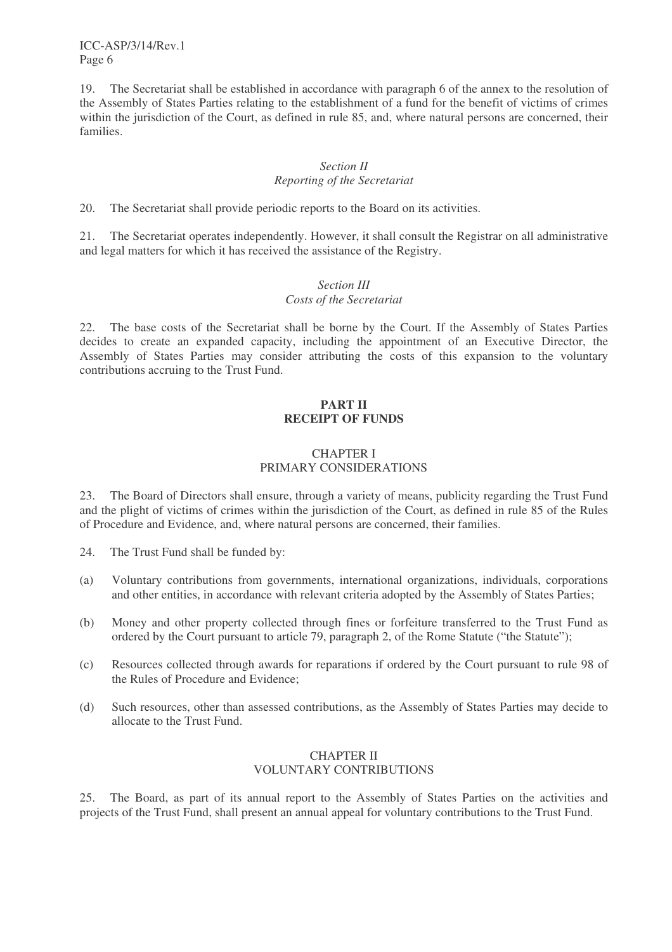ICC-ASP/3/14/Rev.1 Page 6

19. The Secretariat shall be established in accordance with paragraph 6 of the annex to the resolution of the Assembly of States Parties relating to the establishment of a fund for the benefit of victims of crimes within the jurisdiction of the Court, as defined in rule 85, and, where natural persons are concerned, their families.

## *Section II Reporting of the Secretariat*

20. The Secretariat shall provide periodic reports to the Board on its activities.

21. The Secretariat operates independently. However, it shall consult the Registrar on all administrative and legal matters for which it has received the assistance of the Registry.

# *Section III*

## *Costs of the Secretariat*

22. The base costs of the Secretariat shall be borne by the Court. If the Assembly of States Parties decides to create an expanded capacity, including the appointment of an Executive Director, the Assembly of States Parties may consider attributing the costs of this expansion to the voluntary contributions accruing to the Trust Fund.

# **PART II RECEIPT OF FUNDS**

## CHAPTER I PRIMARY CONSIDERATIONS

23. The Board of Directors shall ensure, through a variety of means, publicity regarding the Trust Fund and the plight of victims of crimes within the jurisdiction of the Court, as defined in rule 85 of the Rules of Procedure and Evidence, and, where natural persons are concerned, their families.

24. The Trust Fund shall be funded by:

- (a) Voluntary contributions from governments, international organizations, individuals, corporations and other entities, in accordance with relevant criteria adopted by the Assembly of States Parties;
- (b) Money and other property collected through fines or forfeiture transferred to the Trust Fund as ordered by the Court pursuant to article 79, paragraph 2, of the Rome Statute ("the Statute");
- (c) Resources collected through awards for reparations if ordered by the Court pursuant to rule 98 of the Rules of Procedure and Evidence;
- (d) Such resources, other than assessed contributions, as the Assembly of States Parties may decide to allocate to the Trust Fund.

## CHAPTER II VOLUNTARY CONTRIBUTIONS

25. The Board, as part of its annual report to the Assembly of States Parties on the activities and projects of the Trust Fund, shall present an annual appeal for voluntary contributions to the Trust Fund.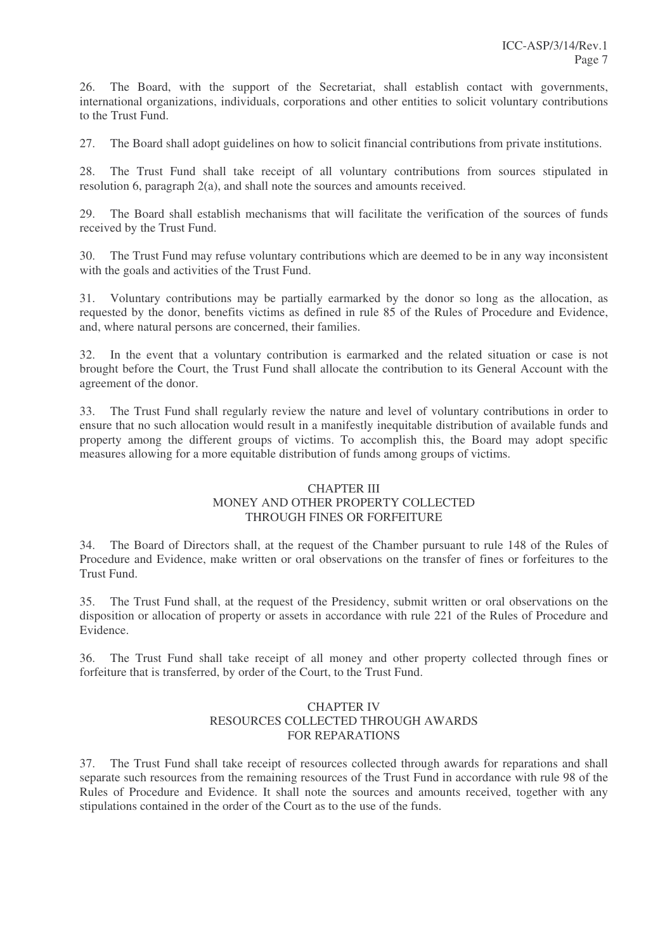26. The Board, with the support of the Secretariat, shall establish contact with governments, international organizations, individuals, corporations and other entities to solicit voluntary contributions to the Trust Fund.

27. The Board shall adopt guidelines on how to solicit financial contributions from private institutions.

28. The Trust Fund shall take receipt of all voluntary contributions from sources stipulated in resolution 6, paragraph 2(a), and shall note the sources and amounts received.

29. The Board shall establish mechanisms that will facilitate the verification of the sources of funds received by the Trust Fund.

30. The Trust Fund may refuse voluntary contributions which are deemed to be in any way inconsistent with the goals and activities of the Trust Fund.

31. Voluntary contributions may be partially earmarked by the donor so long as the allocation, as requested by the donor, benefits victims as defined in rule 85 of the Rules of Procedure and Evidence, and, where natural persons are concerned, their families.

32. In the event that a voluntary contribution is earmarked and the related situation or case is not brought before the Court, the Trust Fund shall allocate the contribution to its General Account with the agreement of the donor.

33. The Trust Fund shall regularly review the nature and level of voluntary contributions in order to ensure that no such allocation would result in a manifestly inequitable distribution of available funds and property among the different groups of victims. To accomplish this, the Board may adopt specific measures allowing for a more equitable distribution of funds among groups of victims.

# CHAPTER III MONEY AND OTHER PROPERTY COLLECTED THROUGH FINES OR FORFEITURE

34. The Board of Directors shall, at the request of the Chamber pursuant to rule 148 of the Rules of Procedure and Evidence, make written or oral observations on the transfer of fines or forfeitures to the Trust Fund.

35. The Trust Fund shall, at the request of the Presidency, submit written or oral observations on the disposition or allocation of property or assets in accordance with rule 221 of the Rules of Procedure and Evidence.

36. The Trust Fund shall take receipt of all money and other property collected through fines or forfeiture that is transferred, by order of the Court, to the Trust Fund.

# CHAPTER IV RESOURCES COLLECTED THROUGH AWARDS FOR REPARATIONS

37. The Trust Fund shall take receipt of resources collected through awards for reparations and shall separate such resources from the remaining resources of the Trust Fund in accordance with rule 98 of the Rules of Procedure and Evidence. It shall note the sources and amounts received, together with any stipulations contained in the order of the Court as to the use of the funds.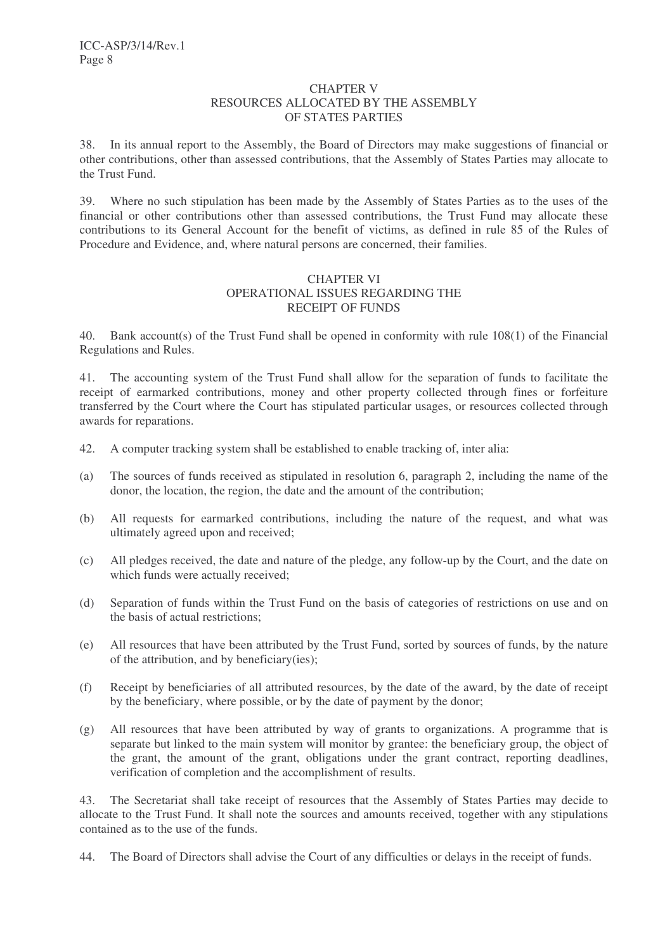#### CHAPTER V RESOURCES ALLOCATED BY THE ASSEMBLY OF STATES PARTIES

38. In its annual report to the Assembly, the Board of Directors may make suggestions of financial or other contributions, other than assessed contributions, that the Assembly of States Parties may allocate to the Trust Fund.

39. Where no such stipulation has been made by the Assembly of States Parties as to the uses of the financial or other contributions other than assessed contributions, the Trust Fund may allocate these contributions to its General Account for the benefit of victims, as defined in rule 85 of the Rules of Procedure and Evidence, and, where natural persons are concerned, their families.

# CHAPTER VI OPERATIONAL ISSUES REGARDING THE RECEIPT OF FUNDS

40. Bank account(s) of the Trust Fund shall be opened in conformity with rule 108(1) of the Financial Regulations and Rules.

41. The accounting system of the Trust Fund shall allow for the separation of funds to facilitate the receipt of earmarked contributions, money and other property collected through fines or forfeiture transferred by the Court where the Court has stipulated particular usages, or resources collected through awards for reparations.

- 42. A computer tracking system shall be established to enable tracking of, inter alia:
- (a) The sources of funds received as stipulated in resolution 6, paragraph 2, including the name of the donor, the location, the region, the date and the amount of the contribution;
- (b) All requests for earmarked contributions, including the nature of the request, and what was ultimately agreed upon and received;
- (c) All pledges received, the date and nature of the pledge, any follow-up by the Court, and the date on which funds were actually received;
- (d) Separation of funds within the Trust Fund on the basis of categories of restrictions on use and on the basis of actual restrictions;
- (e) All resources that have been attributed by the Trust Fund, sorted by sources of funds, by the nature of the attribution, and by beneficiary(ies);
- (f) Receipt by beneficiaries of all attributed resources, by the date of the award, by the date of receipt by the beneficiary, where possible, or by the date of payment by the donor;
- (g) All resources that have been attributed by way of grants to organizations. A programme that is separate but linked to the main system will monitor by grantee: the beneficiary group, the object of the grant, the amount of the grant, obligations under the grant contract, reporting deadlines, verification of completion and the accomplishment of results.

43. The Secretariat shall take receipt of resources that the Assembly of States Parties may decide to allocate to the Trust Fund. It shall note the sources and amounts received, together with any stipulations contained as to the use of the funds.

44. The Board of Directors shall advise the Court of any difficulties or delays in the receipt of funds.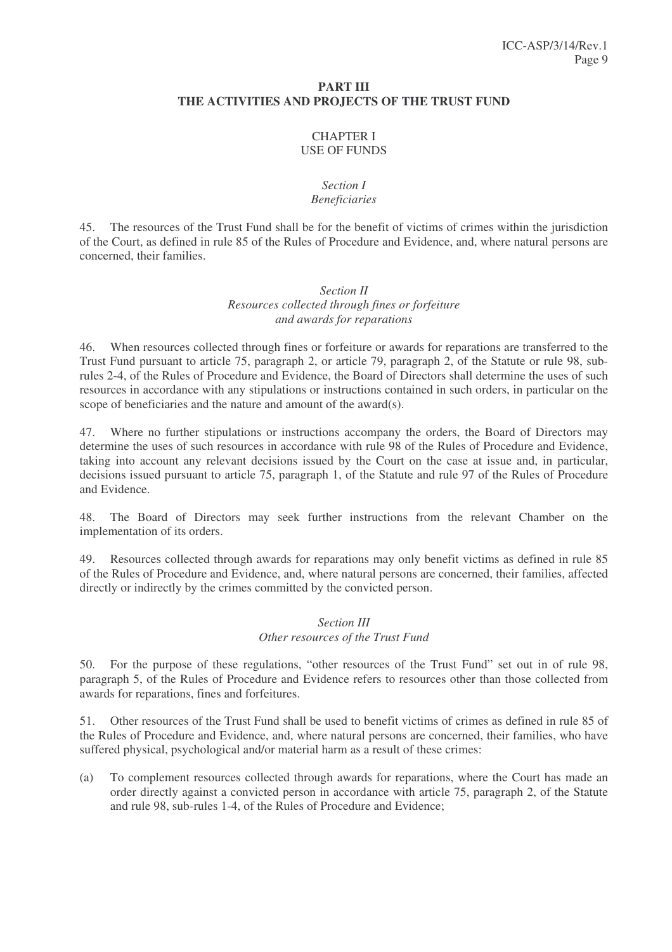#### **PART III THE ACTIVITIES AND PROJECTS OF THE TRUST FUND**

# CHAPTER I USE OF FUNDS

# *Section I Beneficiaries*

45. The resources of the Trust Fund shall be for the benefit of victims of crimes within the jurisdiction of the Court, as defined in rule 85 of the Rules of Procedure and Evidence, and, where natural persons are concerned, their families.

# *Section II Resources collected through fines or forfeiture and awards for reparations*

46. When resources collected through fines or forfeiture or awards for reparations are transferred to the Trust Fund pursuant to article 75, paragraph 2, or article 79, paragraph 2, of the Statute or rule 98, subrules 2-4, of the Rules of Procedure and Evidence, the Board of Directors shall determine the uses of such resources in accordance with any stipulations or instructions contained in such orders, in particular on the scope of beneficiaries and the nature and amount of the award(s).

47. Where no further stipulations or instructions accompany the orders, the Board of Directors may determine the uses of such resources in accordance with rule 98 of the Rules of Procedure and Evidence, taking into account any relevant decisions issued by the Court on the case at issue and, in particular, decisions issued pursuant to article 75, paragraph 1, of the Statute and rule 97 of the Rules of Procedure and Evidence.

48. The Board of Directors may seek further instructions from the relevant Chamber on the implementation of its orders.

49. Resources collected through awards for reparations may only benefit victims as defined in rule 85 of the Rules of Procedure and Evidence, and, where natural persons are concerned, their families, affected directly or indirectly by the crimes committed by the convicted person.

# *Section III Other resources of the Trust Fund*

50. For the purpose of these regulations, "other resources of the Trust Fund" set out in of rule 98, paragraph 5, of the Rules of Procedure and Evidence refers to resources other than those collected from awards for reparations, fines and forfeitures.

51. Other resources of the Trust Fund shall be used to benefit victims of crimes as defined in rule 85 of the Rules of Procedure and Evidence, and, where natural persons are concerned, their families, who have suffered physical, psychological and/or material harm as a result of these crimes:

(a) To complement resources collected through awards for reparations, where the Court has made an order directly against a convicted person in accordance with article 75, paragraph 2, of the Statute and rule 98, sub-rules 1-4, of the Rules of Procedure and Evidence;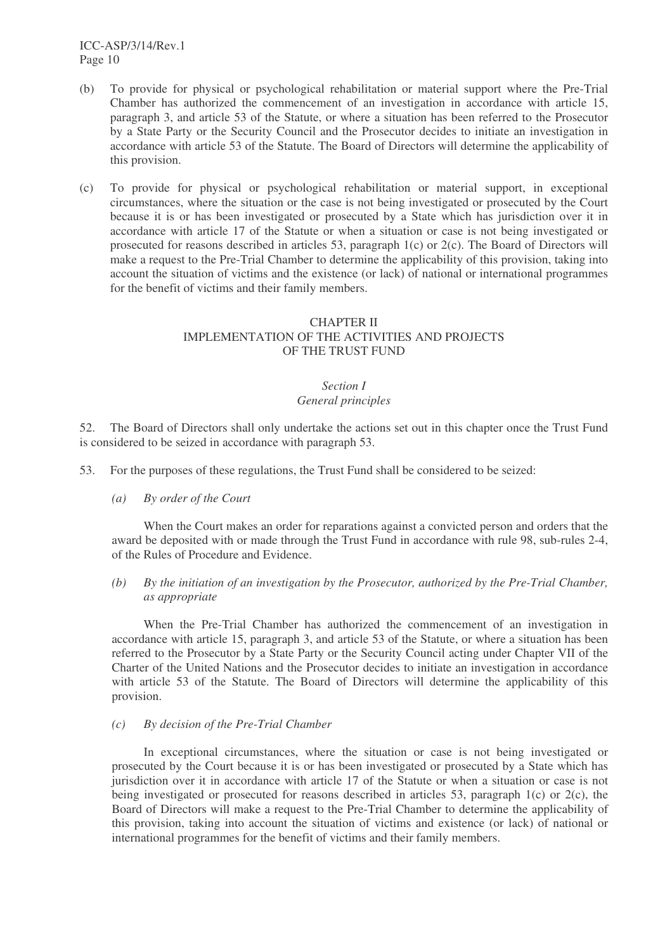ICC-ASP/3/14/Rev.1 Page 10

- (b) To provide for physical or psychological rehabilitation or material support where the Pre-Trial Chamber has authorized the commencement of an investigation in accordance with article 15, paragraph 3, and article 53 of the Statute, or where a situation has been referred to the Prosecutor by a State Party or the Security Council and the Prosecutor decides to initiate an investigation in accordance with article 53 of the Statute. The Board of Directors will determine the applicability of this provision.
- (c) To provide for physical or psychological rehabilitation or material support, in exceptional circumstances, where the situation or the case is not being investigated or prosecuted by the Court because it is or has been investigated or prosecuted by a State which has jurisdiction over it in accordance with article 17 of the Statute or when a situation or case is not being investigated or prosecuted for reasons described in articles 53, paragraph 1(c) or 2(c). The Board of Directors will make a request to the Pre-Trial Chamber to determine the applicability of this provision, taking into account the situation of victims and the existence (or lack) of national or international programmes for the benefit of victims and their family members.

# CHAPTER II IMPLEMENTATION OF THE ACTIVITIES AND PROJECTS OF THE TRUST FUND

#### *Section I General principles*

52. The Board of Directors shall only undertake the actions set out in this chapter once the Trust Fund is considered to be seized in accordance with paragraph 53.

- 53. For the purposes of these regulations, the Trust Fund shall be considered to be seized:
	- *(a) By order of the Court*

When the Court makes an order for reparations against a convicted person and orders that the award be deposited with or made through the Trust Fund in accordance with rule 98, sub-rules 2-4, of the Rules of Procedure and Evidence.

*(b) By the initiation of an investigation by the Prosecutor, authorized by the Pre-Trial Chamber, as appropriate*

When the Pre-Trial Chamber has authorized the commencement of an investigation in accordance with article 15, paragraph 3, and article 53 of the Statute, or where a situation has been referred to the Prosecutor by a State Party or the Security Council acting under Chapter VII of the Charter of the United Nations and the Prosecutor decides to initiate an investigation in accordance with article 53 of the Statute. The Board of Directors will determine the applicability of this provision.

*(c) By decision of the Pre-Trial Chamber*

In exceptional circumstances, where the situation or case is not being investigated or prosecuted by the Court because it is or has been investigated or prosecuted by a State which has jurisdiction over it in accordance with article 17 of the Statute or when a situation or case is not being investigated or prosecuted for reasons described in articles 53, paragraph 1(c) or  $2(c)$ , the Board of Directors will make a request to the Pre-Trial Chamber to determine the applicability of this provision, taking into account the situation of victims and existence (or lack) of national or international programmes for the benefit of victims and their family members.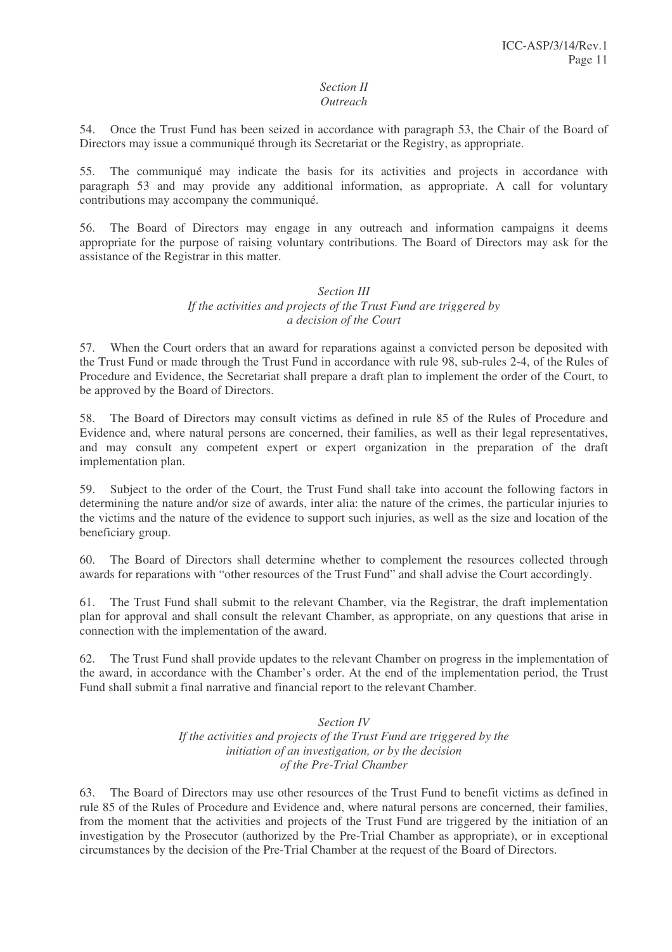#### *Section II Outreach*

54. Once the Trust Fund has been seized in accordance with paragraph 53, the Chair of the Board of Directors may issue a communiqué through its Secretariat or the Registry, as appropriate.

55. The communiqué may indicate the basis for its activities and projects in accordance with paragraph 53 and may provide any additional information, as appropriate. A call for voluntary contributions may accompany the communiqué.

56. The Board of Directors may engage in any outreach and information campaigns it deems appropriate for the purpose of raising voluntary contributions. The Board of Directors may ask for the assistance of the Registrar in this matter.

#### *Section III If the activities and projects of the Trust Fund are triggered by a decision of the Court*

57. When the Court orders that an award for reparations against a convicted person be deposited with the Trust Fund or made through the Trust Fund in accordance with rule 98, sub-rules 2-4, of the Rules of Procedure and Evidence, the Secretariat shall prepare a draft plan to implement the order of the Court, to be approved by the Board of Directors.

58. The Board of Directors may consult victims as defined in rule 85 of the Rules of Procedure and Evidence and, where natural persons are concerned, their families, as well as their legal representatives, and may consult any competent expert or expert organization in the preparation of the draft implementation plan.

59. Subject to the order of the Court, the Trust Fund shall take into account the following factors in determining the nature and/or size of awards, inter alia: the nature of the crimes, the particular injuries to the victims and the nature of the evidence to support such injuries, as well as the size and location of the beneficiary group.

60. The Board of Directors shall determine whether to complement the resources collected through awards for reparations with "other resources of the Trust Fund" and shall advise the Court accordingly.

61. The Trust Fund shall submit to the relevant Chamber, via the Registrar, the draft implementation plan for approval and shall consult the relevant Chamber, as appropriate, on any questions that arise in connection with the implementation of the award.

62. The Trust Fund shall provide updates to the relevant Chamber on progress in the implementation of the award, in accordance with the Chamber's order. At the end of the implementation period, the Trust Fund shall submit a final narrative and financial report to the relevant Chamber.

## *Section IV If the activities and projects of the Trust Fund are triggered by the initiation of an investigation, or by the decision of the Pre-Trial Chamber*

63. The Board of Directors may use other resources of the Trust Fund to benefit victims as defined in rule 85 of the Rules of Procedure and Evidence and, where natural persons are concerned, their families, from the moment that the activities and projects of the Trust Fund are triggered by the initiation of an investigation by the Prosecutor (authorized by the Pre-Trial Chamber as appropriate), or in exceptional circumstances by the decision of the Pre-Trial Chamber at the request of the Board of Directors.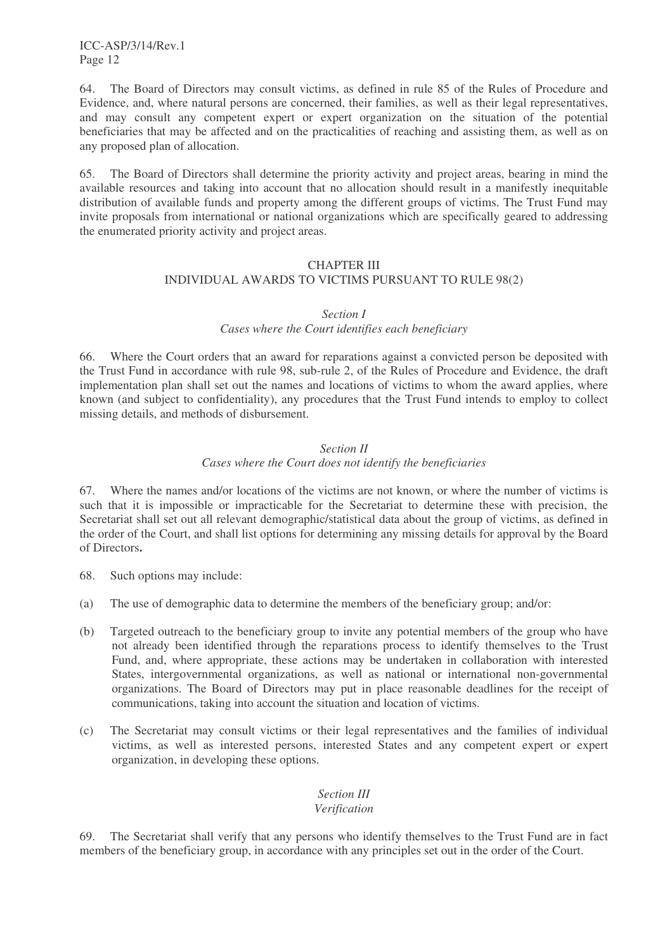ICC-ASP/3/14/Rev.1 Page 12

64. The Board of Directors may consult victims, as defined in rule 85 of the Rules of Procedure and Evidence, and, where natural persons are concerned, their families, as well as their legal representatives, and may consult any competent expert or expert organization on the situation of the potential beneficiaries that may be affected and on the practicalities of reaching and assisting them, as well as on any proposed plan of allocation.

65. The Board of Directors shall determine the priority activity and project areas, bearing in mind the available resources and taking into account that no allocation should result in a manifestly inequitable distribution of available funds and property among the different groups of victims. The Trust Fund may invite proposals from international or national organizations which are specifically geared to addressing the enumerated priority activity and project areas.

#### CHAPTER III INDIVIDUAL AWARDS TO VICTIMS PURSUANT TO RULE 98(2)

#### *Section I*

# *Cases where the Court identifies each beneficiary*

66. Where the Court orders that an award for reparations against a convicted person be deposited with the Trust Fund in accordance with rule 98, sub-rule 2, of the Rules of Procedure and Evidence, the draft implementation plan shall set out the names and locations of victims to whom the award applies, where known (and subject to confidentiality), any procedures that the Trust Fund intends to employ to collect missing details, and methods of disbursement.

# *Section II*

# *Cases where the Court does not identify the beneficiaries*

67. Where the names and/or locations of the victims are not known, or where the number of victims is such that it is impossible or impracticable for the Secretariat to determine these with precision, the Secretariat shall set out all relevant demographic/statistical data about the group of victims, as defined in the order of the Court, and shall list options for determining any missing details for approval by the Board of Directors**.**

- 68. Such options may include:
- (a) The use of demographic data to determine the members of the beneficiary group; and/or:
- (b) Targeted outreach to the beneficiary group to invite any potential members of the group who have not already been identified through the reparations process to identify themselves to the Trust Fund, and, where appropriate, these actions may be undertaken in collaboration with interested States, intergovernmental organizations, as well as national or international non-governmental organizations. The Board of Directors may put in place reasonable deadlines for the receipt of communications, taking into account the situation and location of victims.
- (c) The Secretariat may consult victims or their legal representatives and the families of individual victims, as well as interested persons, interested States and any competent expert or expert organization, in developing these options.

# *Section III*

## *Verification*

69. The Secretariat shall verify that any persons who identify themselves to the Trust Fund are in fact members of the beneficiary group, in accordance with any principles set out in the order of the Court.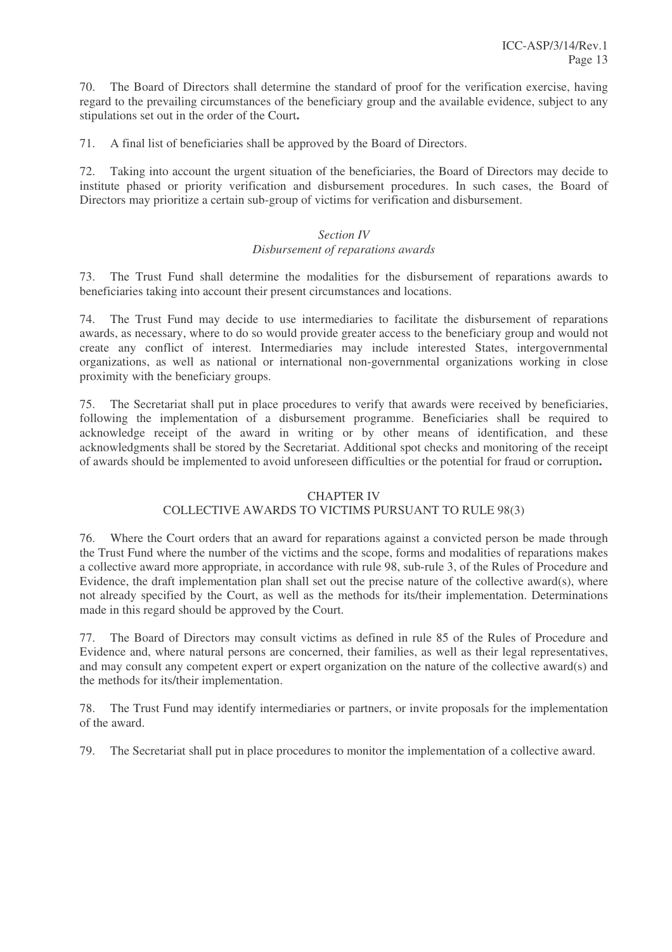70. The Board of Directors shall determine the standard of proof for the verification exercise, having regard to the prevailing circumstances of the beneficiary group and the available evidence, subject to any stipulations set out in the order of the Court**.**

71. A final list of beneficiaries shall be approved by the Board of Directors.

72. Taking into account the urgent situation of the beneficiaries, the Board of Directors may decide to institute phased or priority verification and disbursement procedures. In such cases, the Board of Directors may prioritize a certain sub-group of victims for verification and disbursement.

# *Section IV Disbursement of reparations awards*

73. The Trust Fund shall determine the modalities for the disbursement of reparations awards to beneficiaries taking into account their present circumstances and locations.

74. The Trust Fund may decide to use intermediaries to facilitate the disbursement of reparations awards, as necessary, where to do so would provide greater access to the beneficiary group and would not create any conflict of interest. Intermediaries may include interested States, intergovernmental organizations, as well as national or international non-governmental organizations working in close proximity with the beneficiary groups.

75. The Secretariat shall put in place procedures to verify that awards were received by beneficiaries, following the implementation of a disbursement programme. Beneficiaries shall be required to acknowledge receipt of the award in writing or by other means of identification, and these acknowledgments shall be stored by the Secretariat. Additional spot checks and monitoring of the receipt of awards should be implemented to avoid unforeseen difficulties or the potential for fraud or corruption**.**

# CHAPTER IV

# COLLECTIVE AWARDS TO VICTIMS PURSUANT TO RULE 98(3)

76. Where the Court orders that an award for reparations against a convicted person be made through the Trust Fund where the number of the victims and the scope, forms and modalities of reparations makes a collective award more appropriate, in accordance with rule 98, sub-rule 3, of the Rules of Procedure and Evidence, the draft implementation plan shall set out the precise nature of the collective award(s), where not already specified by the Court, as well as the methods for its/their implementation. Determinations made in this regard should be approved by the Court.

77. The Board of Directors may consult victims as defined in rule 85 of the Rules of Procedure and Evidence and, where natural persons are concerned, their families, as well as their legal representatives, and may consult any competent expert or expert organization on the nature of the collective award(s) and the methods for its/their implementation.

78. The Trust Fund may identify intermediaries or partners, or invite proposals for the implementation of the award.

79. The Secretariat shall put in place procedures to monitor the implementation of a collective award.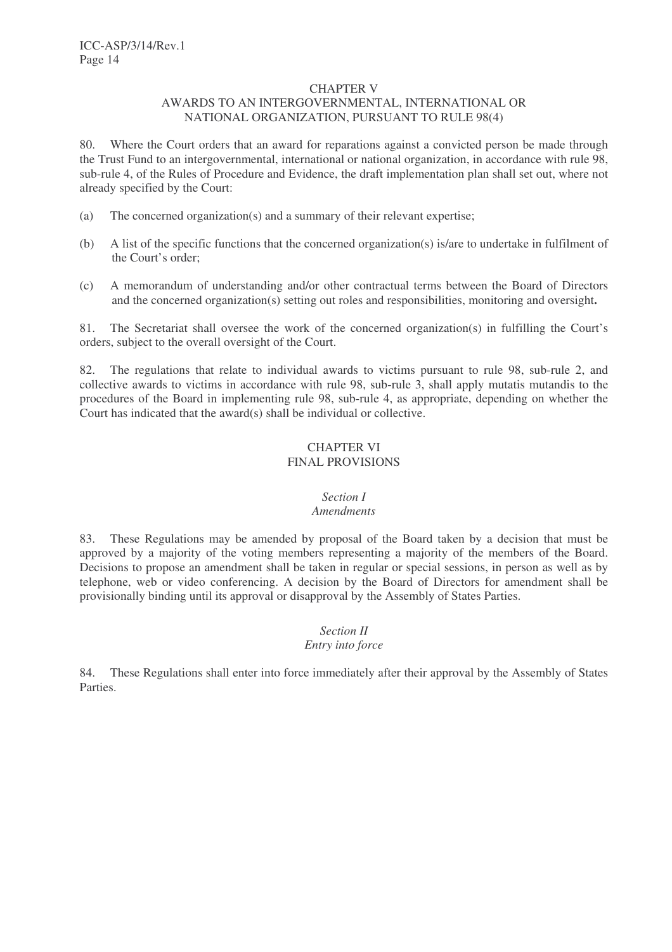#### CHAPTER V AWARDS TO AN INTERGOVERNMENTAL, INTERNATIONAL OR NATIONAL ORGANIZATION, PURSUANT TO RULE 98(4)

80. Where the Court orders that an award for reparations against a convicted person be made through the Trust Fund to an intergovernmental, international or national organization, in accordance with rule 98, sub-rule 4, of the Rules of Procedure and Evidence, the draft implementation plan shall set out, where not already specified by the Court:

- (a) The concerned organization(s) and a summary of their relevant expertise;
- (b) A list of the specific functions that the concerned organization(s) is/are to undertake in fulfilment of the Court's order;
- (c) A memorandum of understanding and/or other contractual terms between the Board of Directors and the concerned organization(s) setting out roles and responsibilities, monitoring and oversight**.**

81. The Secretariat shall oversee the work of the concerned organization(s) in fulfilling the Court's orders, subject to the overall oversight of the Court.

82. The regulations that relate to individual awards to victims pursuant to rule 98, sub-rule 2, and collective awards to victims in accordance with rule 98, sub-rule 3, shall apply mutatis mutandis to the procedures of the Board in implementing rule 98, sub-rule 4, as appropriate, depending on whether the Court has indicated that the award(s) shall be individual or collective.

# CHAPTER VI FINAL PROVISIONS

# *Section I*

# *Amendments*

83. These Regulations may be amended by proposal of the Board taken by a decision that must be approved by a majority of the voting members representing a majority of the members of the Board. Decisions to propose an amendment shall be taken in regular or special sessions, in person as well as by telephone, web or video conferencing. A decision by the Board of Directors for amendment shall be provisionally binding until its approval or disapproval by the Assembly of States Parties.

# *Section II Entry into force*

84. These Regulations shall enter into force immediately after their approval by the Assembly of States Parties.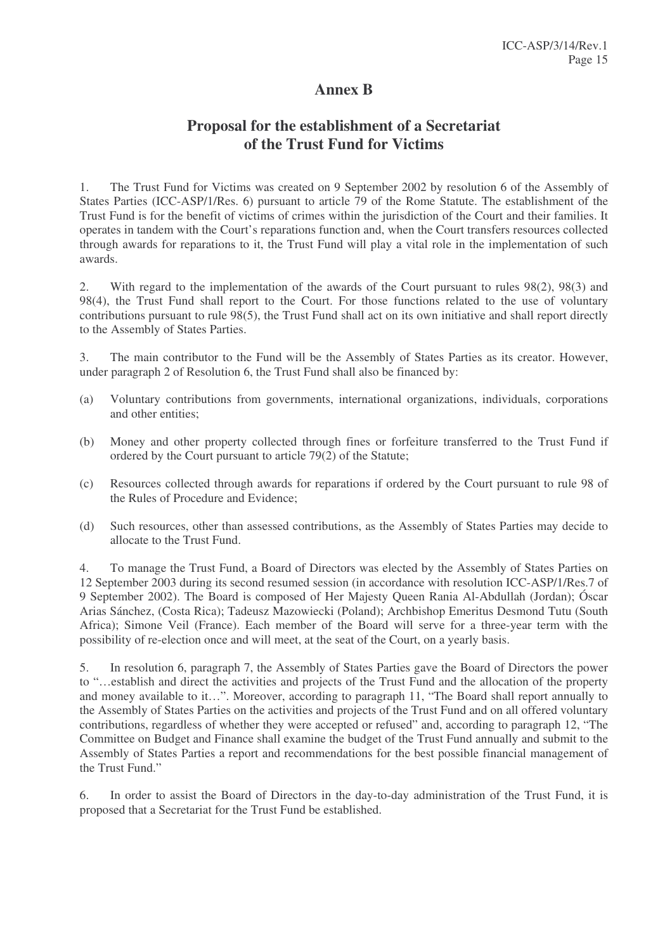# **Annex B**

# **Proposal for the establishment of a Secretariat of the Trust Fund for Victims**

1. The Trust Fund for Victims was created on 9 September 2002 by resolution 6 of the Assembly of States Parties (ICC-ASP/1/Res. 6) pursuant to article 79 of the Rome Statute. The establishment of the Trust Fund is for the benefit of victims of crimes within the jurisdiction of the Court and their families. It operates in tandem with the Court's reparations function and, when the Court transfers resources collected through awards for reparations to it, the Trust Fund will play a vital role in the implementation of such awards.

2. With regard to the implementation of the awards of the Court pursuant to rules 98(2), 98(3) and 98(4), the Trust Fund shall report to the Court. For those functions related to the use of voluntary contributions pursuant to rule 98(5), the Trust Fund shall act on its own initiative and shall report directly to the Assembly of States Parties.

3. The main contributor to the Fund will be the Assembly of States Parties as its creator. However, under paragraph 2 of Resolution 6, the Trust Fund shall also be financed by:

- (a) Voluntary contributions from governments, international organizations, individuals, corporations and other entities;
- (b) Money and other property collected through fines or forfeiture transferred to the Trust Fund if ordered by the Court pursuant to article 79(2) of the Statute;
- (c) Resources collected through awards for reparations if ordered by the Court pursuant to rule 98 of the Rules of Procedure and Evidence;
- (d) Such resources, other than assessed contributions, as the Assembly of States Parties may decide to allocate to the Trust Fund.

4. To manage the Trust Fund, a Board of Directors was elected by the Assembly of States Parties on 12 September 2003 during its second resumed session (in accordance with resolution ICC-ASP/1/Res.7 of 9 September 2002). The Board is composed of Her Majesty Queen Rania Al-Abdullah (Jordan); Óscar Arias Sánchez, (Costa Rica); Tadeusz Mazowiecki (Poland); Archbishop Emeritus Desmond Tutu (South Africa); Simone Veil (France). Each member of the Board will serve for a three-year term with the possibility of re-election once and will meet, at the seat of the Court, on a yearly basis.

5. In resolution 6, paragraph 7, the Assembly of States Parties gave the Board of Directors the power to "…establish and direct the activities and projects of the Trust Fund and the allocation of the property and money available to it…". Moreover, according to paragraph 11, "The Board shall report annually to the Assembly of States Parties on the activities and projects of the Trust Fund and on all offered voluntary contributions, regardless of whether they were accepted or refused" and, according to paragraph 12, "The Committee on Budget and Finance shall examine the budget of the Trust Fund annually and submit to the Assembly of States Parties a report and recommendations for the best possible financial management of the Trust Fund."

6. In order to assist the Board of Directors in the day-to-day administration of the Trust Fund, it is proposed that a Secretariat for the Trust Fund be established.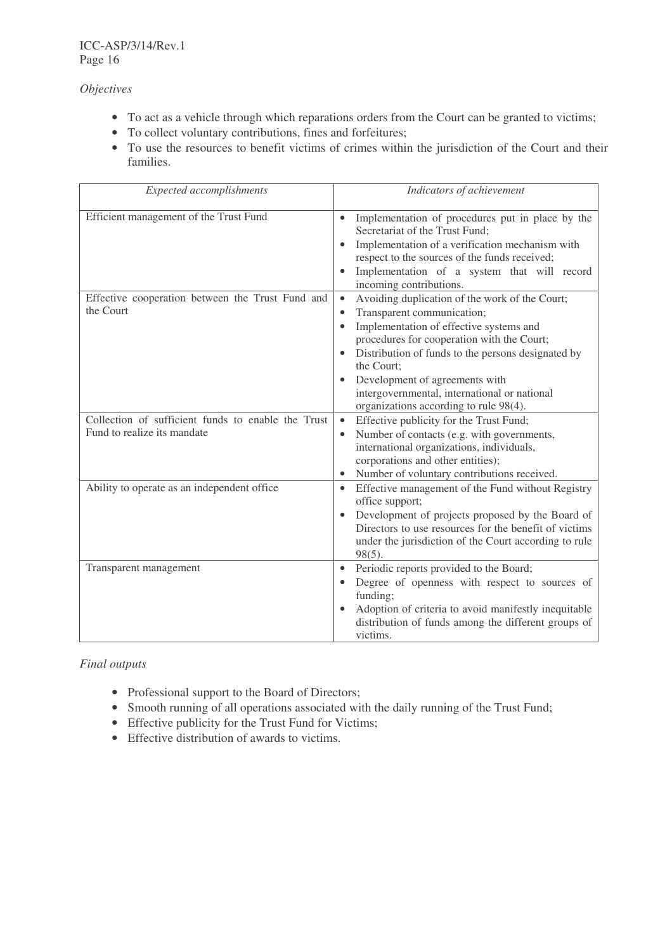*Objectives*

- To act as a vehicle through which reparations orders from the Court can be granted to victims;
- To collect voluntary contributions, fines and forfeitures;
- To use the resources to benefit victims of crimes within the jurisdiction of the Court and their families.

| <b>Expected accomplishments</b>                                                   | Indicators of achievement                                                                                                                                                                                                                                                                                                                                                                       |
|-----------------------------------------------------------------------------------|-------------------------------------------------------------------------------------------------------------------------------------------------------------------------------------------------------------------------------------------------------------------------------------------------------------------------------------------------------------------------------------------------|
| Efficient management of the Trust Fund                                            | Implementation of procedures put in place by the<br>Secretariat of the Trust Fund;<br>Implementation of a verification mechanism with<br>$\bullet$<br>respect to the sources of the funds received;<br>Implementation of a system that will record<br>incoming contributions.                                                                                                                   |
| Effective cooperation between the Trust Fund and<br>the Court                     | Avoiding duplication of the work of the Court;<br>Transparent communication;<br>$\bullet$<br>Implementation of effective systems and<br>$\bullet$<br>procedures for cooperation with the Court;<br>Distribution of funds to the persons designated by<br>the Court:<br>Development of agreements with<br>intergovernmental, international or national<br>organizations according to rule 98(4). |
| Collection of sufficient funds to enable the Trust<br>Fund to realize its mandate | Effective publicity for the Trust Fund;<br>$\bullet$<br>Number of contacts (e.g. with governments,<br>international organizations, individuals,<br>corporations and other entities);<br>Number of voluntary contributions received.<br>$\bullet$                                                                                                                                                |
| Ability to operate as an independent office                                       | Effective management of the Fund without Registry<br>office support;<br>Development of projects proposed by the Board of<br>Directors to use resources for the benefit of victims<br>under the jurisdiction of the Court according to rule<br>$98(5)$ .                                                                                                                                         |
| Transparent management                                                            | Periodic reports provided to the Board;<br>$\bullet$<br>Degree of openness with respect to sources of<br>funding;<br>Adoption of criteria to avoid manifestly inequitable<br>distribution of funds among the different groups of<br>victims.                                                                                                                                                    |

*Final outputs*

- Professional support to the Board of Directors;
- Smooth running of all operations associated with the daily running of the Trust Fund;
- Effective publicity for the Trust Fund for Victims;
- Effective distribution of awards to victims.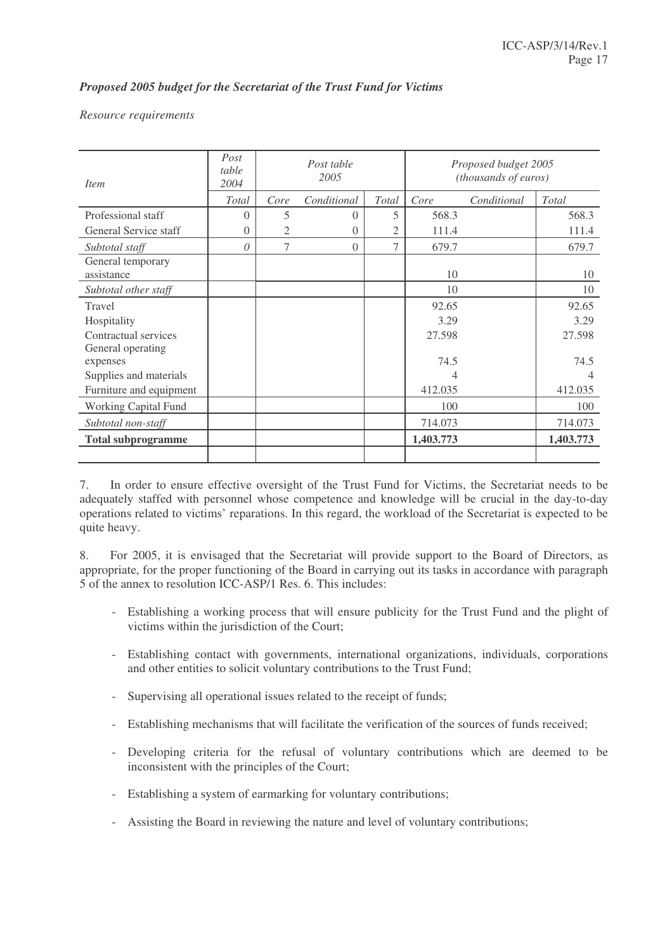# *Proposed 2005 budget for the Secretariat of the Trust Fund for Victims*

#### *Resource requirements*

| <i>Item</i>                     | Post<br>table<br>2004 |      | Post table<br>2005 |                |           | Proposed budget 2005<br>(thousands of euros) |           |
|---------------------------------|-----------------------|------|--------------------|----------------|-----------|----------------------------------------------|-----------|
|                                 | <b>Total</b>          | Core | Conditional        | <b>Total</b>   | Core      | Conditional                                  | Total     |
| Professional staff              | $\Omega$              | 5    | $\Omega$           | 5              | 568.3     |                                              | 568.3     |
| General Service staff           | $\theta$              | 2    | $\theta$           | 2              | 111.4     |                                              | 111.4     |
| Subtotal staff                  | $\theta$              | 7    | $\Omega$           | $\overline{7}$ | 679.7     |                                              | 679.7     |
| General temporary<br>assistance |                       |      |                    |                | 10        |                                              | 10        |
| Subtotal other staff            |                       |      |                    |                | 10        |                                              | 10        |
| Travel                          |                       |      |                    |                | 92.65     |                                              | 92.65     |
| Hospitality                     |                       |      |                    |                | 3.29      |                                              | 3.29      |
| Contractual services            |                       |      |                    |                | 27.598    |                                              | 27.598    |
| General operating<br>expenses   |                       |      |                    |                | 74.5      |                                              | 74.5      |
| Supplies and materials          |                       |      |                    |                |           |                                              |           |
| Furniture and equipment         |                       |      |                    |                | 412.035   |                                              | 412.035   |
| <b>Working Capital Fund</b>     |                       |      |                    |                | 100       |                                              | 100       |
| Subtotal non-staff              |                       |      |                    |                | 714.073   |                                              | 714.073   |
| <b>Total subprogramme</b>       |                       |      |                    |                | 1,403.773 |                                              | 1,403.773 |
|                                 |                       |      |                    |                |           |                                              |           |

7. In order to ensure effective oversight of the Trust Fund for Victims, the Secretariat needs to be adequately staffed with personnel whose competence and knowledge will be crucial in the day-to-day operations related to victims' reparations. In this regard, the workload of the Secretariat is expected to be quite heavy.

8. For 2005, it is envisaged that the Secretariat will provide support to the Board of Directors, as appropriate, for the proper functioning of the Board in carrying out its tasks in accordance with paragraph 5 of the annex to resolution ICC-ASP/1 Res. 6. This includes:

- Establishing a working process that will ensure publicity for the Trust Fund and the plight of victims within the jurisdiction of the Court;
- Establishing contact with governments, international organizations, individuals, corporations and other entities to solicit voluntary contributions to the Trust Fund;
- Supervising all operational issues related to the receipt of funds;
- Establishing mechanisms that will facilitate the verification of the sources of funds received;
- Developing criteria for the refusal of voluntary contributions which are deemed to be inconsistent with the principles of the Court;
- Establishing a system of earmarking for voluntary contributions;
- Assisting the Board in reviewing the nature and level of voluntary contributions;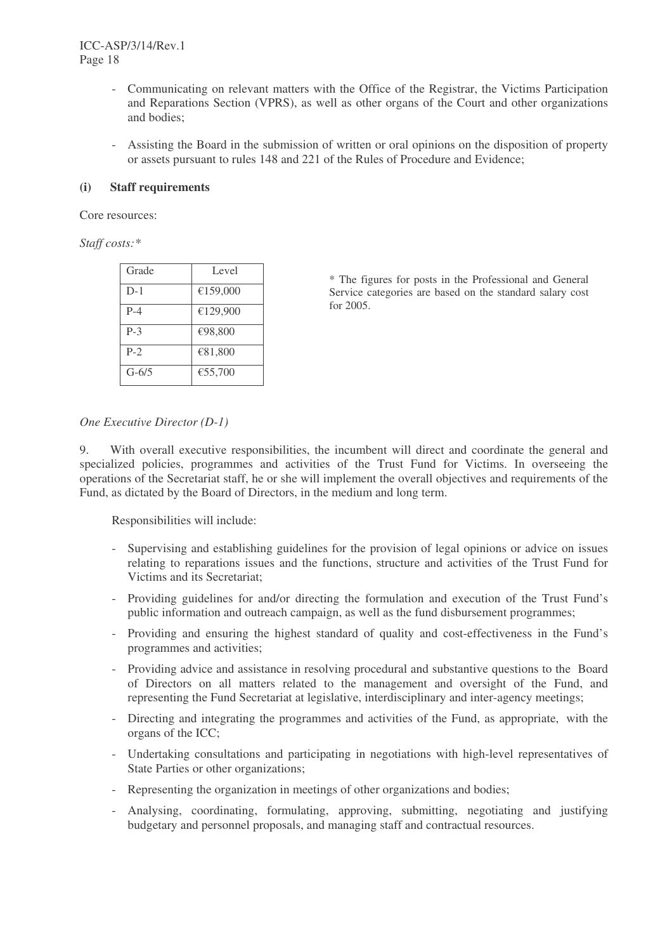- Communicating on relevant matters with the Office of the Registrar, the Victims Participation and Reparations Section (VPRS), as well as other organs of the Court and other organizations and bodies;
- Assisting the Board in the submission of written or oral opinions on the disposition of property or assets pursuant to rules 148 and 221 of the Rules of Procedure and Evidence;

## **(i) Staff requirements**

Core resources:

*Staff costs:\**

| Grade     | Level    |
|-----------|----------|
| $D-1$     | €159,000 |
| $P-4$     | €129,900 |
| $P-3$     | €98,800  |
| $P-2$     | €81,800  |
| $G - 6/5$ | €55,700  |

\* The figures for posts in the Professional and General Service categories are based on the standard salary cost for 2005.

# *One Executive Director (D-1)*

9. With overall executive responsibilities, the incumbent will direct and coordinate the general and specialized policies, programmes and activities of the Trust Fund for Victims. In overseeing the operations of the Secretariat staff, he or she will implement the overall objectives and requirements of the Fund, as dictated by the Board of Directors, in the medium and long term.

Responsibilities will include:

- Supervising and establishing guidelines for the provision of legal opinions or advice on issues relating to reparations issues and the functions, structure and activities of the Trust Fund for Victims and its Secretariat;
- Providing guidelines for and/or directing the formulation and execution of the Trust Fund's public information and outreach campaign, as well as the fund disbursement programmes;
- Providing and ensuring the highest standard of quality and cost-effectiveness in the Fund's programmes and activities;
- Providing advice and assistance in resolving procedural and substantive questions to the Board of Directors on all matters related to the management and oversight of the Fund, and representing the Fund Secretariat at legislative, interdisciplinary and inter-agency meetings;
- Directing and integrating the programmes and activities of the Fund, as appropriate, with the organs of the ICC;
- Undertaking consultations and participating in negotiations with high-level representatives of State Parties or other organizations;
- Representing the organization in meetings of other organizations and bodies;
- Analysing, coordinating, formulating, approving, submitting, negotiating and justifying budgetary and personnel proposals, and managing staff and contractual resources.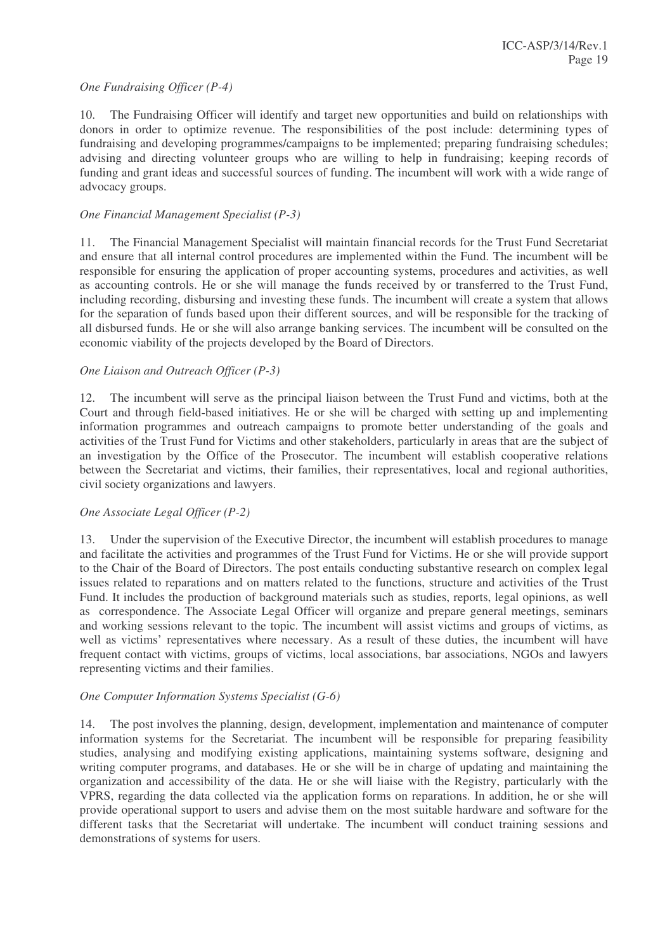## *One Fundraising Officer (P-4)*

10. The Fundraising Officer will identify and target new opportunities and build on relationships with donors in order to optimize revenue. The responsibilities of the post include: determining types of fundraising and developing programmes/campaigns to be implemented; preparing fundraising schedules; advising and directing volunteer groups who are willing to help in fundraising; keeping records of funding and grant ideas and successful sources of funding. The incumbent will work with a wide range of advocacy groups.

# *One Financial Management Specialist (P-3)*

11. The Financial Management Specialist will maintain financial records for the Trust Fund Secretariat and ensure that all internal control procedures are implemented within the Fund. The incumbent will be responsible for ensuring the application of proper accounting systems, procedures and activities, as well as accounting controls. He or she will manage the funds received by or transferred to the Trust Fund, including recording, disbursing and investing these funds. The incumbent will create a system that allows for the separation of funds based upon their different sources, and will be responsible for the tracking of all disbursed funds. He or she will also arrange banking services. The incumbent will be consulted on the economic viability of the projects developed by the Board of Directors.

# *One Liaison and Outreach Officer (P-3)*

12. The incumbent will serve as the principal liaison between the Trust Fund and victims, both at the Court and through field-based initiatives. He or she will be charged with setting up and implementing information programmes and outreach campaigns to promote better understanding of the goals and activities of the Trust Fund for Victims and other stakeholders, particularly in areas that are the subject of an investigation by the Office of the Prosecutor. The incumbent will establish cooperative relations between the Secretariat and victims, their families, their representatives, local and regional authorities, civil society organizations and lawyers.

## *One Associate Legal Officer (P-2)*

13. Under the supervision of the Executive Director, the incumbent will establish procedures to manage and facilitate the activities and programmes of the Trust Fund for Victims. He or she will provide support to the Chair of the Board of Directors. The post entails conducting substantive research on complex legal issues related to reparations and on matters related to the functions, structure and activities of the Trust Fund. It includes the production of background materials such as studies, reports, legal opinions, as well as correspondence. The Associate Legal Officer will organize and prepare general meetings, seminars and working sessions relevant to the topic. The incumbent will assist victims and groups of victims, as well as victims' representatives where necessary. As a result of these duties, the incumbent will have frequent contact with victims, groups of victims, local associations, bar associations, NGOs and lawyers representing victims and their families.

## *One Computer Information Systems Specialist (G-6)*

14. The post involves the planning, design, development, implementation and maintenance of computer information systems for the Secretariat. The incumbent will be responsible for preparing feasibility studies, analysing and modifying existing applications, maintaining systems software, designing and writing computer programs, and databases. He or she will be in charge of updating and maintaining the organization and accessibility of the data. He or she will liaise with the Registry, particularly with the VPRS, regarding the data collected via the application forms on reparations. In addition, he or she will provide operational support to users and advise them on the most suitable hardware and software for the different tasks that the Secretariat will undertake. The incumbent will conduct training sessions and demonstrations of systems for users.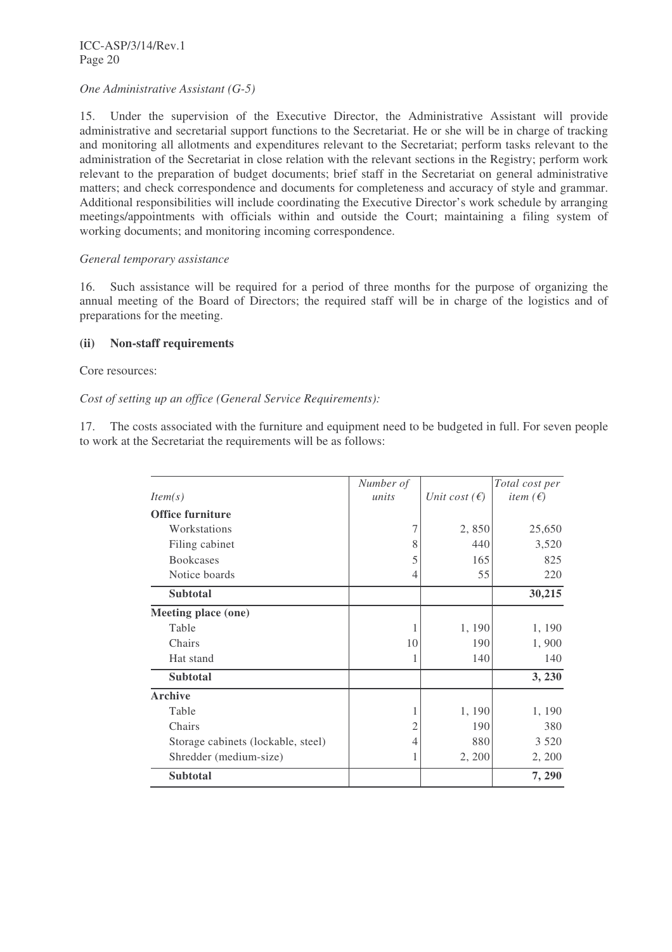# *One Administrative Assistant (G-5)*

15. Under the supervision of the Executive Director, the Administrative Assistant will provide administrative and secretarial support functions to the Secretariat. He or she will be in charge of tracking and monitoring all allotments and expenditures relevant to the Secretariat; perform tasks relevant to the administration of the Secretariat in close relation with the relevant sections in the Registry; perform work relevant to the preparation of budget documents; brief staff in the Secretariat on general administrative matters; and check correspondence and documents for completeness and accuracy of style and grammar. Additional responsibilities will include coordinating the Executive Director's work schedule by arranging meetings/appointments with officials within and outside the Court; maintaining a filing system of working documents; and monitoring incoming correspondence.

## *General temporary assistance*

16. Such assistance will be required for a period of three months for the purpose of organizing the annual meeting of the Board of Directors; the required staff will be in charge of the logistics and of preparations for the meeting.

# **(ii) Non-staff requirements**

Core resources:

# *Cost of setting up an office (General Service Requirements):*

17. The costs associated with the furniture and equipment need to be budgeted in full. For seven people to work at the Secretariat the requirements will be as follows:

|                                    | Number of |                        | Total cost per           |
|------------------------------------|-----------|------------------------|--------------------------|
| Item(s)                            | units     | Unit cost $(\epsilon)$ | <i>item</i> $(\epsilon)$ |
| <b>Office furniture</b>            |           |                        |                          |
| Workstations                       | 7         | 2,850                  | 25,650                   |
| Filing cabinet                     | 8         | 440                    | 3,520                    |
| <b>Bookcases</b>                   | 5         | 165                    | 825                      |
| Notice boards                      | 4         | 55                     | 220                      |
| <b>Subtotal</b>                    |           |                        | 30,215                   |
| Meeting place (one)                |           |                        |                          |
| Table                              |           | 1, 190                 | 1, 190                   |
| Chairs                             | 10        | 190                    | 1,900                    |
| Hat stand                          |           | 140                    | 140                      |
| <b>Subtotal</b>                    |           |                        | 3, 230                   |
| <b>Archive</b>                     |           |                        |                          |
| Table                              | 1         | 1, 190                 | 1, 190                   |
| Chairs                             | 2         | 190                    | 380                      |
| Storage cabinets (lockable, steel) | 4         | 880                    | 3 5 2 0                  |
| Shredder (medium-size)             | 1         | 2, 200                 | 2, 200                   |
| <b>Subtotal</b>                    |           |                        | 7, 290                   |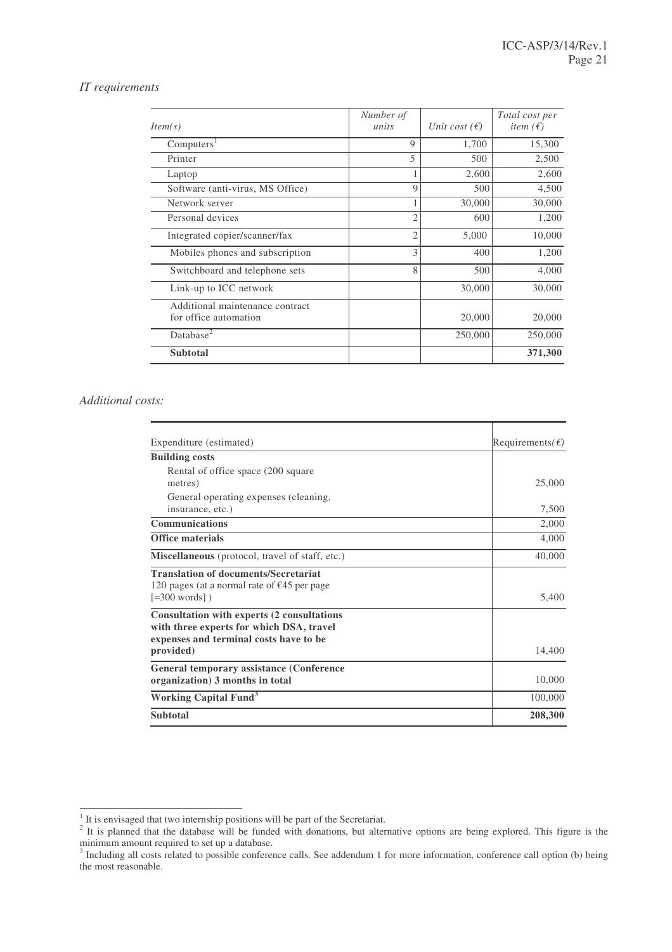#### *IT requirements*

| Item(s)                                                  | Number of<br>units | Unit cost $(\epsilon)$ | Total cost per<br>item $(\epsilon)$ |
|----------------------------------------------------------|--------------------|------------------------|-------------------------------------|
| Computers <sup>1</sup>                                   | 9                  | 1,700                  | 15,300                              |
| Printer                                                  | 5                  | 500                    | 2,500                               |
| Laptop                                                   |                    | 2,600                  | 2,600                               |
| Software (anti-virus, MS Office)                         | 9                  | 500                    | 4,500                               |
| Network server                                           |                    | 30,000                 | 30,000                              |
| Personal devices                                         | 2                  | 600                    | 1,200                               |
| Integrated copier/scanner/fax                            | $\overline{2}$     | 5,000                  | 10,000                              |
| Mobiles phones and subscription                          | 3                  | 400                    | 1,200                               |
| Switchboard and telephone sets                           | 8                  | 500                    | 4,000                               |
| Link-up to ICC network                                   |                    | 30,000                 | 30,000                              |
| Additional maintenance contract<br>for office automation |                    | 20,000                 | 20,000                              |
| Database <sup>2</sup>                                    |                    | 250,000                | 250,000                             |
| <b>Subtotal</b>                                          |                    |                        | 371,300                             |

#### *Additional costs:*

| Expenditure (estimated)                                                                                                          | Requirements( $\epsilon$ ) |
|----------------------------------------------------------------------------------------------------------------------------------|----------------------------|
| <b>Building costs</b>                                                                                                            |                            |
| Rental of office space (200 square                                                                                               |                            |
| metres)                                                                                                                          | 25,000                     |
| General operating expenses (cleaning,                                                                                            |                            |
| insurance, etc.)                                                                                                                 | 7,500                      |
| <b>Communications</b>                                                                                                            | 2,000                      |
| <b>Office materials</b>                                                                                                          | 4,000                      |
| Miscellaneous (protocol, travel of staff, etc.)                                                                                  | 40,000                     |
| <b>Translation of documents/Secretariat</b><br>120 pages (at a normal rate of $\epsilon$ 45 per page                             |                            |
| $[-300 words]$ )                                                                                                                 | 5,400                      |
| Consultation with experts (2 consultations<br>with three experts for which DSA, travel<br>expenses and terminal costs have to be |                            |
| provided)                                                                                                                        | 14,400                     |
| General temporary assistance (Conference)                                                                                        |                            |
| organization) 3 months in total                                                                                                  | 10,000                     |
| <b>Working Capital Fund</b> <sup>3</sup>                                                                                         | 100,000                    |
| <b>Subtotal</b>                                                                                                                  | 208,300                    |

<sup>&</sup>lt;sup>1</sup> It is envisaged that two internship positions will be part of the Secretariat.<br><sup>2</sup> It is planned that the database will be funded with donations, but alternative options are being explored. This figure is the

minimum amount required to set up a database.<br><sup>3</sup> Including all costs related to possible conference calls. See addendum 1 for more information, conference call option (b) being the most reasonable.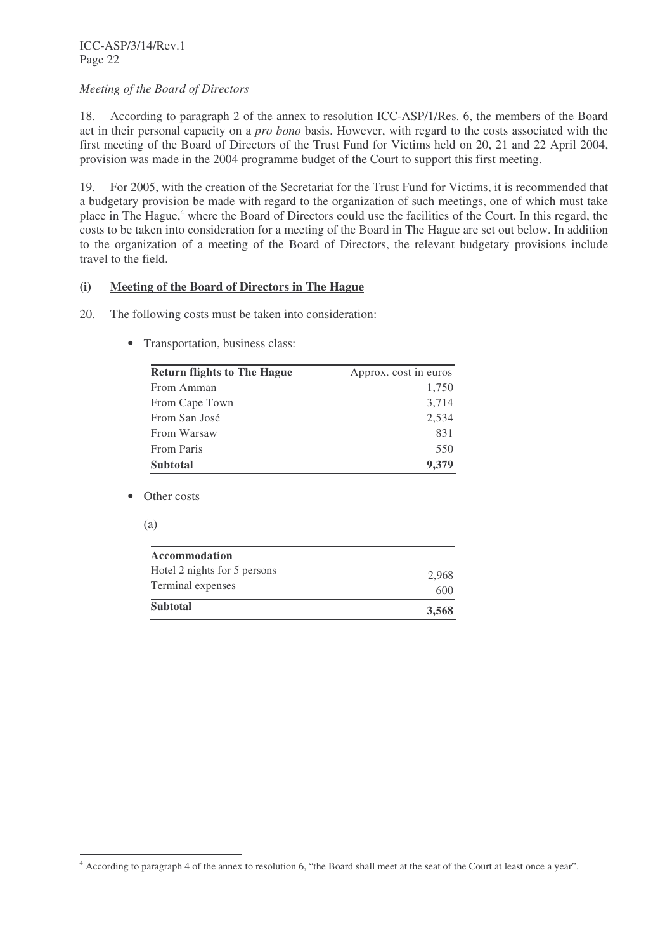# *Meeting of the Board of Directors*

18. According to paragraph 2 of the annex to resolution ICC-ASP/1/Res. 6, the members of the Board act in their personal capacity on a *pro bono* basis. However, with regard to the costs associated with the first meeting of the Board of Directors of the Trust Fund for Victims held on 20, 21 and 22 April 2004, provision was made in the 2004 programme budget of the Court to support this first meeting.

19. For 2005, with the creation of the Secretariat for the Trust Fund for Victims, it is recommended that a budgetary provision be made with regard to the organization of such meetings, one of which must take place in The Hague, <sup>4</sup> where the Board of Directors could use the facilities of the Court. In this regard, the costs to be taken into consideration for a meeting of the Board in The Hague are set out below. In addition to the organization of a meeting of the Board of Directors, the relevant budgetary provisions include travel to the field.

# **(i) Meeting of the Board of Directors in The Hague**

- 20. The following costs must be taken into consideration:
	- Transportation, business class:

| <b>Return flights to The Hague</b> | Approx. cost in euros |
|------------------------------------|-----------------------|
| From Amman                         | 1,750                 |
| From Cape Town                     | 3,714                 |
| From San José                      | 2,534                 |
| From Warsaw                        | 831                   |
| From Paris                         | 550                   |
| <b>Subtotal</b>                    | 9,379                 |

- Other costs
	- (a)

| <b>Accommodation</b>                              |              |
|---------------------------------------------------|--------------|
| Hotel 2 nights for 5 persons<br>Terminal expenses | 2.968<br>600 |
| <b>Subtotal</b>                                   | 3,568        |

<sup>4</sup> According to paragraph 4 of the annex to resolution 6, "the Board shall meet at the seat of the Court at least once a year".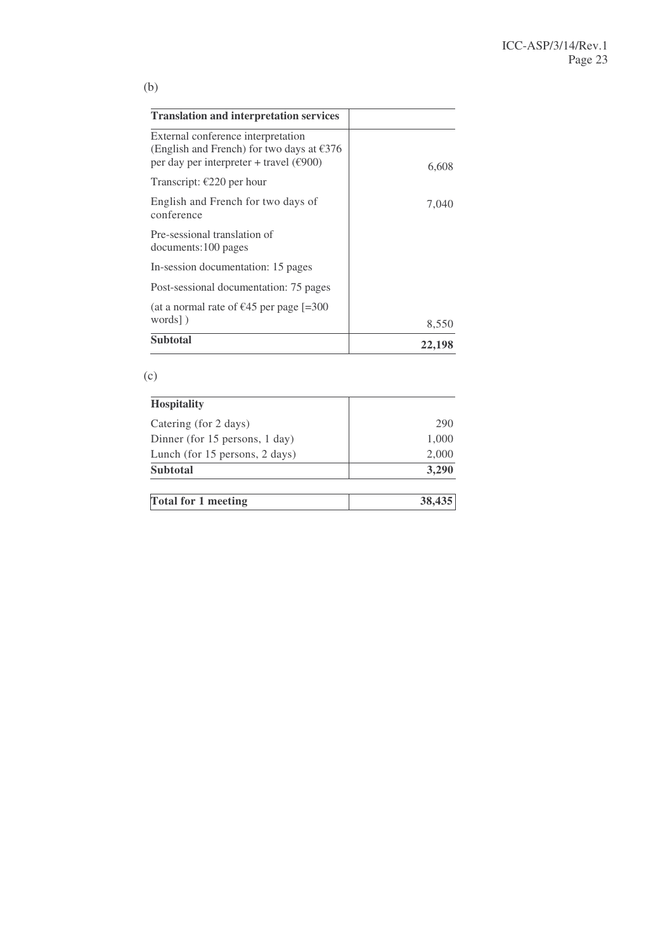|         | .,                             |  |
|---------|--------------------------------|--|
| ×<br>M. | ۰.<br>w<br>×<br>۰.<br>۰,<br>e. |  |

| <b>Translation and interpretation services</b>                                                                                                  |        |
|-------------------------------------------------------------------------------------------------------------------------------------------------|--------|
| External conference interpretation<br>(English and French) for two days at $\epsilon$ 376<br>per day per interpreter + travel ( $\epsilon$ 900) | 6,608  |
| Transcript: $\epsilon$ 220 per hour                                                                                                             |        |
| English and French for two days of<br>conference                                                                                                | 7,040  |
| Pre-sessional translation of<br>documents:100 pages                                                                                             |        |
| In-session documentation: 15 pages                                                                                                              |        |
| Post-sessional documentation: 75 pages                                                                                                          |        |
| (at a normal rate of $\epsilon$ 45 per page [=300                                                                                               |        |
| words])                                                                                                                                         | 8,550  |
| Subtotal                                                                                                                                        | 22,198 |

# (c)

| <b>Hospitality</b>             |        |
|--------------------------------|--------|
| Catering (for 2 days)          | 290    |
| Dinner (for 15 persons, 1 day) | 1,000  |
| Lunch (for 15 persons, 2 days) | 2,000  |
| <b>Subtotal</b>                | 3,290  |
| <b>Total for 1 meeting</b>     | 38,435 |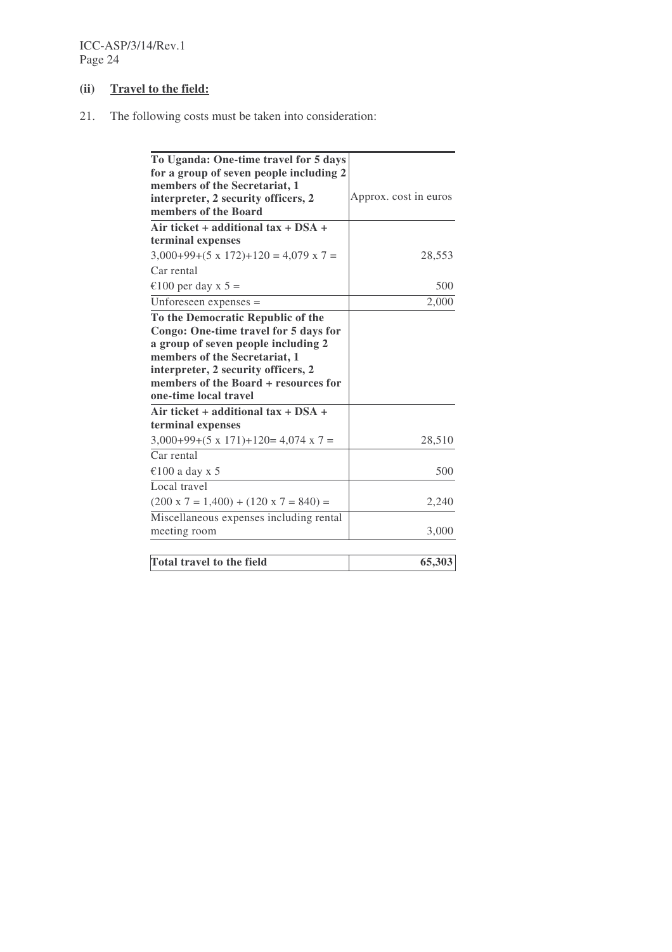# **(ii) Travel to the field:**

21. The following costs must be taken into consideration:

| To Uganda: One-time travel for 5 days             |                       |
|---------------------------------------------------|-----------------------|
| for a group of seven people including 2           |                       |
| members of the Secretariat, 1                     |                       |
| interpreter, 2 security officers, 2               | Approx. cost in euros |
| members of the Board                              |                       |
| Air ticket + additional $tax + DSA +$             |                       |
| terminal expenses                                 |                       |
| $3,000+99+(5 \times 172)+120 = 4,079 \times 7 =$  | 28,553                |
| Car rental                                        |                       |
| €100 per day x 5 =                                | 500                   |
| Unforeseen expenses $=$                           | 2,000                 |
| To the Democratic Republic of the                 |                       |
| Congo: One-time travel for 5 days for             |                       |
| a group of seven people including 2               |                       |
| members of the Secretariat, 1                     |                       |
| interpreter, 2 security officers, 2               |                       |
| members of the Board + resources for              |                       |
| one-time local travel                             |                       |
| Air ticket + additional $tax + DSA +$             |                       |
| terminal expenses                                 |                       |
| $3,000+99+(5 \times 171)+120=4,074 \times 7=$     | 28,510                |
| Car rental                                        |                       |
| €100 a day x 5                                    | 500                   |
| Local travel                                      |                       |
| $(200 \times 7 = 1,400) + (120 \times 7 = 840) =$ | 2,240                 |
| Miscellaneous expenses including rental           |                       |
| meeting room                                      | 3,000                 |
|                                                   |                       |
| <b>Total travel to the field</b>                  | 65,303                |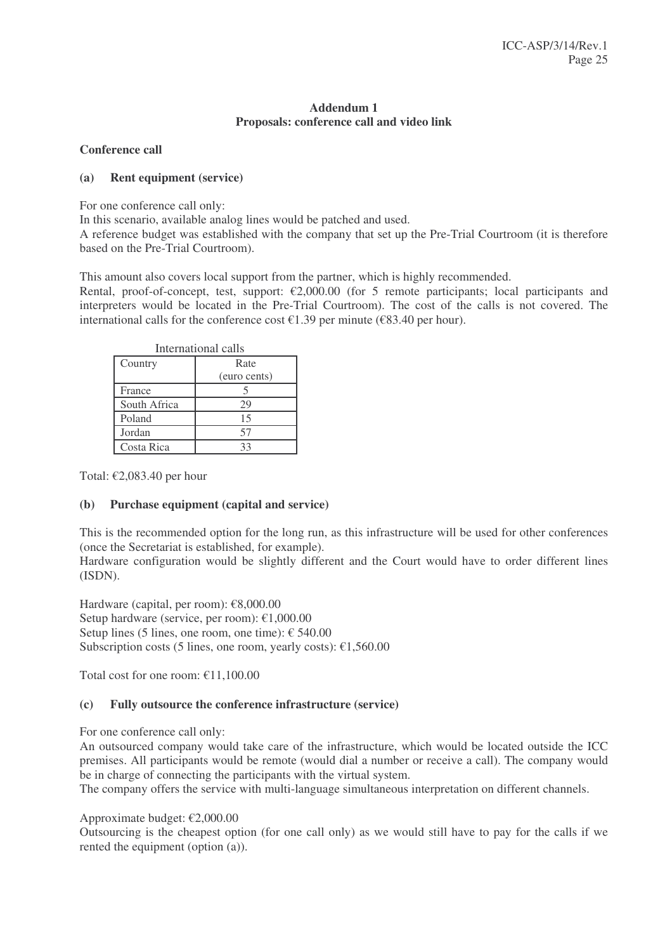# **Addendum 1 Proposals: conference call and video link**

# **Conference call**

# **(a) Rent equipment (service)**

For one conference call only:

In this scenario, available analog lines would be patched and used.

A reference budget was established with the company that set up the Pre-Trial Courtroom (it is therefore based on the Pre-Trial Courtroom).

This amount also covers local support from the partner, which is highly recommended.

Rental, proof-of-concept, test, support:  $\epsilon$ 2,000.00 (for 5 remote participants; local participants and interpreters would be located in the Pre-Trial Courtroom). The cost of the calls is not covered. The international calls for the conference cost  $\epsilon$ 1.39 per minute ( $\epsilon$ 83.40 per hour).

| International calls |              |  |  |
|---------------------|--------------|--|--|
| Country             | Rate         |  |  |
|                     | (euro cents) |  |  |
| France              |              |  |  |
| South Africa        | 29           |  |  |
| Poland              | 15           |  |  |
| Jordan              | 57           |  |  |
| Costa Rica          | ママ           |  |  |

Total: €2,083.40 per hour

## **(b) Purchase equipment (capital and service)**

This is the recommended option for the long run, as this infrastructure will be used for other conferences (once the Secretariat is established, for example).

Hardware configuration would be slightly different and the Court would have to order different lines (ISDN).

Hardware (capital, per room):  $\epsilon$ 8,000.00 Setup hardware (service, per room): €1,000.00 Setup lines (5 lines, one room, one time):  $\epsilon$  540.00 Subscription costs (5 lines, one room, yearly costs):  $\epsilon$ 1,560.00

Total cost for one room: €11,100.00

# **(c) Fully outsource the conference infrastructure (service)**

For one conference call only:

An outsourced company would take care of the infrastructure, which would be located outside the ICC premises. All participants would be remote (would dial a number or receive a call). The company would be in charge of connecting the participants with the virtual system.

The company offers the service with multi-language simultaneous interpretation on different channels.

Approximate budget: €2,000.00

Outsourcing is the cheapest option (for one call only) as we would still have to pay for the calls if we rented the equipment (option (a)).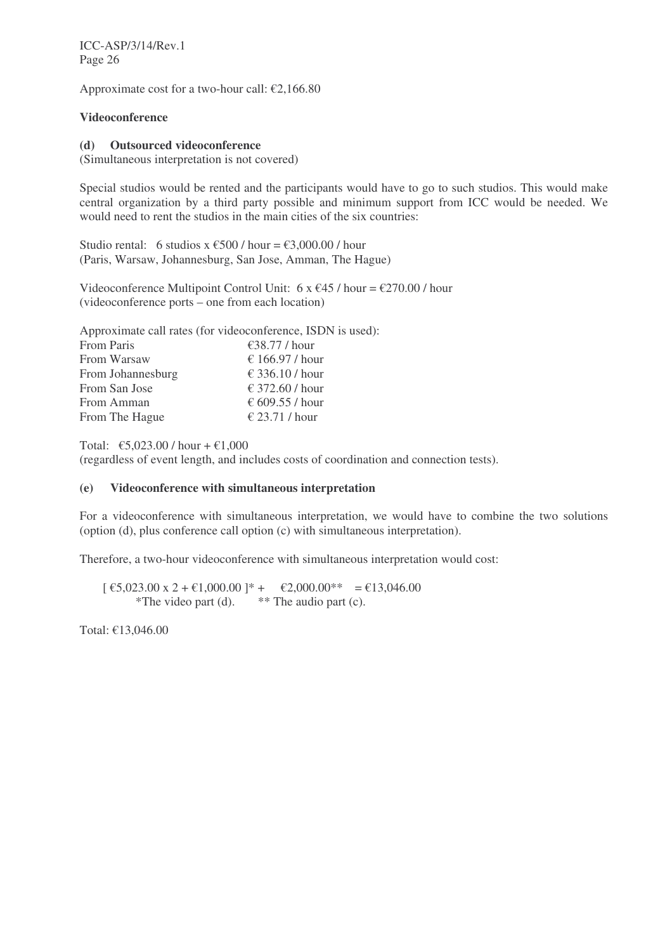ICC-ASP/3/14/Rev.1 Page 26

Approximate cost for a two-hour call:  $\epsilon$ 2,166.80

# **Videoconference**

#### **(d) Outsourced videoconference**

(Simultaneous interpretation is not covered)

Special studios would be rented and the participants would have to go to such studios. This would make central organization by a third party possible and minimum support from ICC would be needed. We would need to rent the studios in the main cities of the six countries:

Studio rental: 6 studios x  $\epsilon$ 500 / hour =  $\epsilon$ 3,000,00 / hour (Paris, Warsaw, Johannesburg, San Jose, Amman, The Hague)

Videoconference Multipoint Control Unit: 6 x  $\epsilon$ 45 / hour =  $\epsilon$ 270.00 / hour (videoconference ports – one from each location)

Approximate call rates (for videoconference, ISDN is used): From Paris €38.77 / hour From Warsaw  $\epsilon$  166.97 / hour From Johannesburg  $\epsilon$  336.10 / hour From San Jose  $\epsilon$  372.60 / hour From Amman  $\epsilon$  609.55 / hour From The Hague  $\epsilon$  23.71 / hour

Total:  $\epsilon$ 5,023.00 / hour +  $\epsilon$ 1,000

(regardless of event length, and includes costs of coordination and connection tests).

## **(e) Videoconference with simultaneous interpretation**

For a videoconference with simultaneous interpretation, we would have to combine the two solutions (option (d), plus conference call option (c) with simultaneous interpretation).

Therefore, a two-hour videoconference with simultaneous interpretation would cost:

 $\lbrack \text{ } \in 5,023.00 \text{ x } 2 + \text{ } \in 1,000.00 \text{ } \rbrack^* + \quad \in 2,000.00^{**} \quad = \text{ } \in 13,046.00$ \*The video part (d).  $***$  The audio part (c).

Total: €13,046.00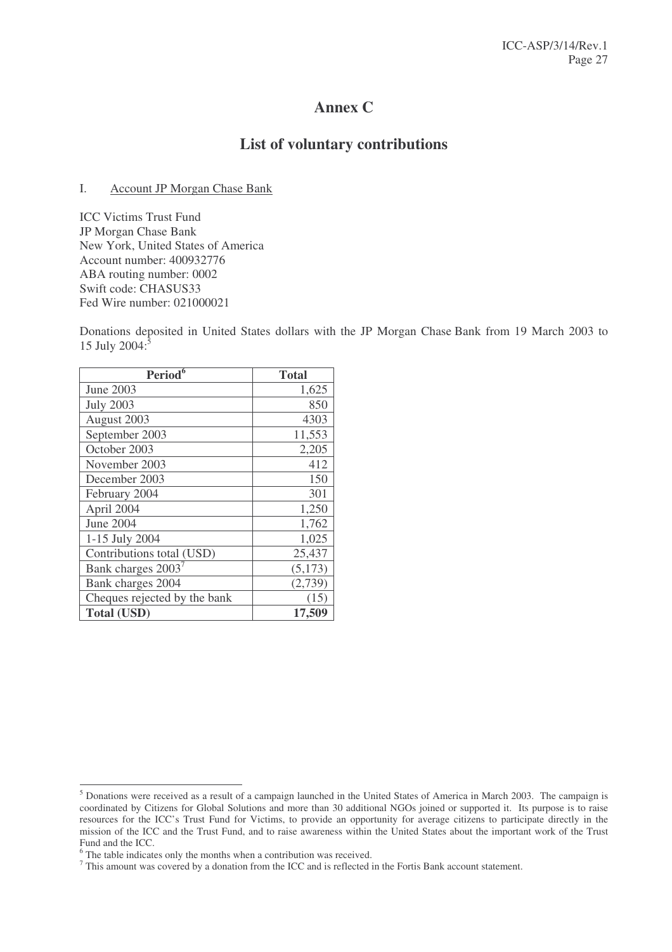# **Annex C**

# **List of voluntary contributions**

## I. Account JP Morgan Chase Bank

ICC Victims Trust Fund JP Morgan Chase Bank New York, United States of America Account number: 400932776 ABA routing number: 0002 Swift code: CHASUS33 Fed Wire number: 021000021

Donations deposited in United States dollars with the JP Morgan Chase Bank from 19 March 2003 to 15 July 2004: $\frac{5}{5}$ 

| Period <sup>6</sup>            | <b>Total</b> |
|--------------------------------|--------------|
| June 2003                      | 1,625        |
| <b>July 2003</b>               | 850          |
| August 2003                    | 4303         |
| September 2003                 | 11,553       |
| October 2003                   | 2,205        |
| November 2003                  | 412          |
| December 2003                  | 150          |
| February 2004                  | 301          |
| April 2004                     | 1,250        |
| June 2004                      | 1,762        |
| 1-15 July 2004                 | 1,025        |
| Contributions total (USD)      | 25,437       |
| Bank charges 2003 <sup>7</sup> | (5,173)      |
| Bank charges 2004              | (2,739)      |
| Cheques rejected by the bank   | (15)         |
| <b>Total (USD)</b>             | 17,509       |

<sup>&</sup>lt;sup>5</sup> Donations were received as a result of a campaign launched in the United States of America in March 2003. The campaign is coordinated by Citizens for Global Solutions and more than 30 additional NGOs joined or supported it. Its purpose is to raise resources for the ICC's Trust Fund for Victims, to provide an opportunity for average citizens to participate directly in the mission of the ICC and the Trust Fund, and to raise awareness within the United States about the important work of the Trust Fund and the ICC.

<sup>6</sup> The table indicates only the months when a contribution was received.

<sup>7</sup> This amount was covered by a donation from the ICC and is reflected in the Fortis Bank account statement.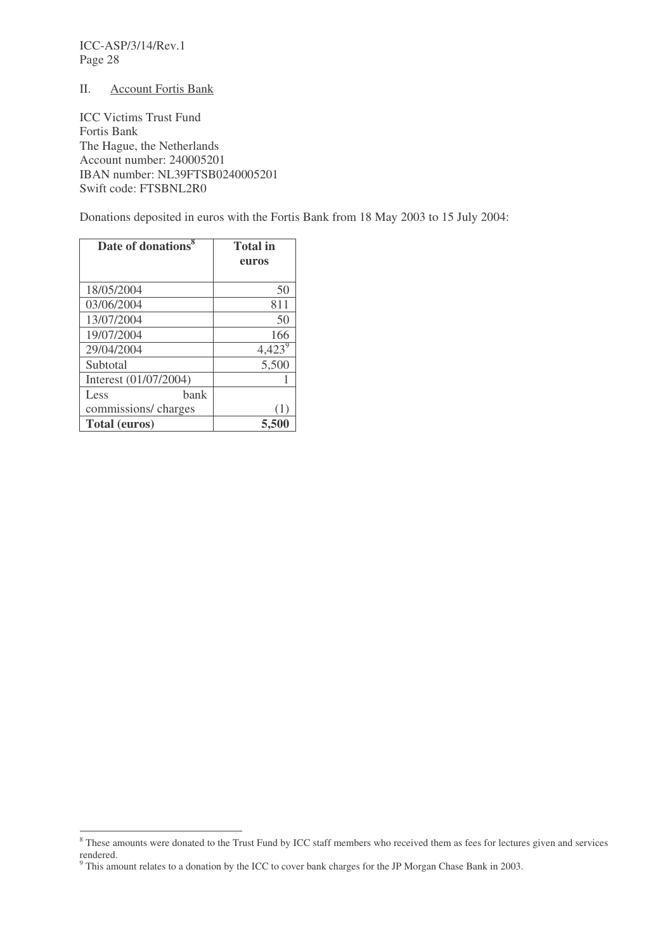ICC-ASP/3/14/Rev.1 Page 28

#### II. Account Fortis Bank

ICC Victims Trust Fund Fortis Bank The Hague, the Netherlands Account number: 240005201 IBAN number: NL39FTSB0240005201 Swift code: FTSBNL2R0

Donations deposited in euros with the Fortis Bank from 18 May 2003 to 15 July 2004:

| Date of donations <sup>8</sup> | <b>Total</b> in |
|--------------------------------|-----------------|
|                                | euros           |
|                                |                 |
| 18/05/2004                     | 50              |
| 03/06/2004                     | 811             |
| 13/07/2004                     | 50              |
| 19/07/2004                     | 166             |
| 29/04/2004                     | $4,423^9$       |
| Subtotal                       | 5,500           |
| Interest (01/07/2004)          |                 |
| hank<br>Less                   |                 |
| commissions/charges            |                 |
| <b>Total (euros)</b>           |                 |

<sup>&</sup>lt;sup>8</sup> These amounts were donated to the Trust Fund by ICC staff members who received them as fees for lectures given and services rendered.

 $9$  This amount relates to a donation by the ICC to cover bank charges for the JP Morgan Chase Bank in 2003.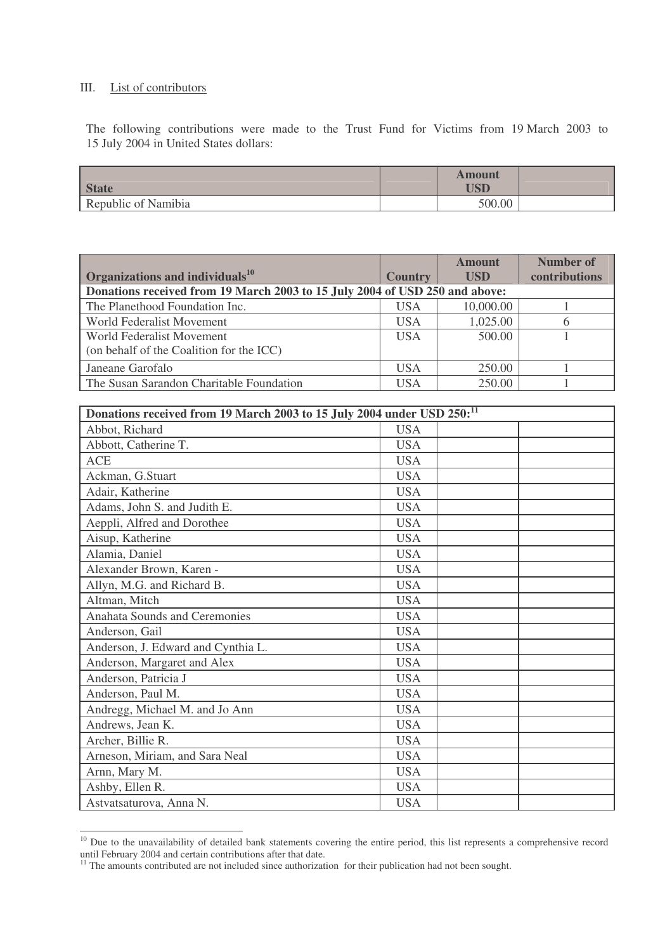# III. List of contributors

The following contributions were made to the Trust Fund for Victims from 19 March 2003 to 15 July 2004 in United States dollars:

|                     | <b>Amount</b> |  |
|---------------------|---------------|--|
| <b>State</b>        | USD           |  |
| Republic of Namibia | 500.00        |  |

| Organizations and individuals $^{10}$                                       | <b>Country</b> | <b>Amount</b><br><b>USD</b> | <b>Number of</b><br>contributions |  |
|-----------------------------------------------------------------------------|----------------|-----------------------------|-----------------------------------|--|
| Donations received from 19 March 2003 to 15 July 2004 of USD 250 and above: |                |                             |                                   |  |
| The Planethood Foundation Inc.                                              | <b>USA</b>     | 10,000.00                   |                                   |  |
| World Federalist Movement                                                   | <b>USA</b>     | 1,025.00                    | 6                                 |  |
| World Federalist Movement                                                   | <b>USA</b>     | 500.00                      |                                   |  |
| (on behalf of the Coalition for the ICC)                                    |                |                             |                                   |  |
| Janeane Garofalo                                                            | <b>USA</b>     | 250.00                      |                                   |  |
| The Susan Sarandon Charitable Foundation                                    | USA            | 250.00                      |                                   |  |

| Donations received from 19 March 2003 to 15 July 2004 under USD 250: <sup>11</sup> |            |  |  |
|------------------------------------------------------------------------------------|------------|--|--|
| Abbot, Richard                                                                     | <b>USA</b> |  |  |
| Abbott, Catherine T.                                                               | <b>USA</b> |  |  |
| <b>ACE</b>                                                                         | <b>USA</b> |  |  |
| Ackman, G.Stuart                                                                   | <b>USA</b> |  |  |
| Adair, Katherine                                                                   | <b>USA</b> |  |  |
| Adams, John S. and Judith E.                                                       | <b>USA</b> |  |  |
| Aeppli, Alfred and Dorothee                                                        | <b>USA</b> |  |  |
| Aisup, Katherine                                                                   | <b>USA</b> |  |  |
| Alamia, Daniel                                                                     | <b>USA</b> |  |  |
| Alexander Brown, Karen -                                                           | <b>USA</b> |  |  |
| Allyn, M.G. and Richard B.                                                         | <b>USA</b> |  |  |
| Altman, Mitch                                                                      | <b>USA</b> |  |  |
| Anahata Sounds and Ceremonies                                                      | <b>USA</b> |  |  |
| Anderson, Gail                                                                     | <b>USA</b> |  |  |
| Anderson, J. Edward and Cynthia L.                                                 | <b>USA</b> |  |  |
| Anderson, Margaret and Alex                                                        | <b>USA</b> |  |  |
| Anderson, Patricia J                                                               | <b>USA</b> |  |  |
| Anderson, Paul M.                                                                  | <b>USA</b> |  |  |
| Andregg, Michael M. and Jo Ann                                                     | <b>USA</b> |  |  |
| Andrews, Jean K.                                                                   | <b>USA</b> |  |  |
| Archer, Billie R.                                                                  | <b>USA</b> |  |  |
| Arneson, Miriam, and Sara Neal                                                     | <b>USA</b> |  |  |
| Arnn, Mary M.                                                                      | <b>USA</b> |  |  |
| Ashby, Ellen R.                                                                    | <b>USA</b> |  |  |
| Astvatsaturova, Anna N.                                                            | <b>USA</b> |  |  |

<sup>&</sup>lt;sup>10</sup> Due to the unavailability of detailed bank statements covering the entire period, this list represents a comprehensive record until February 2004 and certain contributions after that date.

 $11$  The amounts contributed are not included since authorization for their publication had not been sought.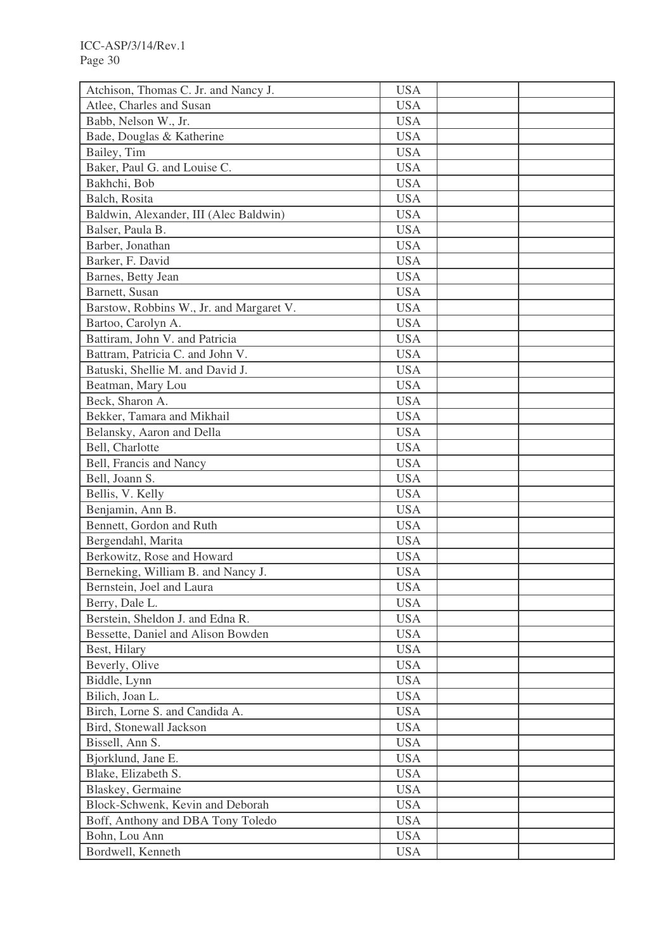| <b>USA</b><br>Atlee, Charles and Susan<br><b>USA</b><br>Babb, Nelson W., Jr.<br>Bade, Douglas & Katherine<br><b>USA</b><br>Bailey, Tim<br><b>USA</b><br>Baker, Paul G. and Louise C.<br><b>USA</b><br><b>USA</b><br>Bakhchi, Bob<br>Balch, Rosita<br><b>USA</b><br>Baldwin, Alexander, III (Alec Baldwin)<br><b>USA</b><br><b>USA</b><br>Balser, Paula B.<br>Barber, Jonathan<br><b>USA</b><br>Barker, F. David<br><b>USA</b><br><b>USA</b><br>Barnes, Betty Jean<br>Barnett, Susan<br><b>USA</b><br>Barstow, Robbins W., Jr. and Margaret V.<br><b>USA</b><br><b>USA</b><br>Bartoo, Carolyn A.<br>Battiram, John V. and Patricia<br><b>USA</b><br>Battram, Patricia C. and John V.<br><b>USA</b><br>Batuski, Shellie M. and David J.<br><b>USA</b><br><b>USA</b><br>Beatman, Mary Lou<br>Beck, Sharon A.<br><b>USA</b><br>Bekker, Tamara and Mikhail<br><b>USA</b><br>Belansky, Aaron and Della<br><b>USA</b><br><b>USA</b><br>Bell, Charlotte<br>Bell, Francis and Nancy<br><b>USA</b><br>Bell, Joann S.<br><b>USA</b><br>Bellis, V. Kelly<br><b>USA</b><br>Benjamin, Ann B.<br><b>USA</b><br>Bennett, Gordon and Ruth<br><b>USA</b><br>Bergendahl, Marita<br><b>USA</b><br>Berkowitz, Rose and Howard<br><b>USA</b><br>Berneking, William B. and Nancy J.<br><b>USA</b><br>Bernstein, Joel and Laura<br><b>USA</b><br><b>USA</b><br>Berry, Dale L.<br>Berstein, Sheldon J. and Edna R.<br><b>USA</b><br>Bessette, Daniel and Alison Bowden<br><b>USA</b><br>Best, Hilary<br><b>USA</b><br>Beverly, Olive<br><b>USA</b><br>Biddle, Lynn<br><b>USA</b><br>Bilich, Joan L.<br><b>USA</b><br>Birch, Lorne S. and Candida A.<br><b>USA</b><br>Bird, Stonewall Jackson<br><b>USA</b><br>Bissell, Ann S.<br><b>USA</b><br>Bjorklund, Jane E.<br><b>USA</b><br>Blake, Elizabeth S.<br><b>USA</b><br>Blaskey, Germaine<br><b>USA</b><br>Block-Schwenk, Kevin and Deborah<br><b>USA</b><br>Boff, Anthony and DBA Tony Toledo<br><b>USA</b><br>Bohn, Lou Ann<br><b>USA</b><br>Bordwell, Kenneth<br><b>USA</b> | Atchison, Thomas C. Jr. and Nancy J. | <b>USA</b> |  |
|-------------------------------------------------------------------------------------------------------------------------------------------------------------------------------------------------------------------------------------------------------------------------------------------------------------------------------------------------------------------------------------------------------------------------------------------------------------------------------------------------------------------------------------------------------------------------------------------------------------------------------------------------------------------------------------------------------------------------------------------------------------------------------------------------------------------------------------------------------------------------------------------------------------------------------------------------------------------------------------------------------------------------------------------------------------------------------------------------------------------------------------------------------------------------------------------------------------------------------------------------------------------------------------------------------------------------------------------------------------------------------------------------------------------------------------------------------------------------------------------------------------------------------------------------------------------------------------------------------------------------------------------------------------------------------------------------------------------------------------------------------------------------------------------------------------------------------------------------------------------------------------------------------------------------------------------------------------------------------------------------------|--------------------------------------|------------|--|
|                                                                                                                                                                                                                                                                                                                                                                                                                                                                                                                                                                                                                                                                                                                                                                                                                                                                                                                                                                                                                                                                                                                                                                                                                                                                                                                                                                                                                                                                                                                                                                                                                                                                                                                                                                                                                                                                                                                                                                                                       |                                      |            |  |
|                                                                                                                                                                                                                                                                                                                                                                                                                                                                                                                                                                                                                                                                                                                                                                                                                                                                                                                                                                                                                                                                                                                                                                                                                                                                                                                                                                                                                                                                                                                                                                                                                                                                                                                                                                                                                                                                                                                                                                                                       |                                      |            |  |
|                                                                                                                                                                                                                                                                                                                                                                                                                                                                                                                                                                                                                                                                                                                                                                                                                                                                                                                                                                                                                                                                                                                                                                                                                                                                                                                                                                                                                                                                                                                                                                                                                                                                                                                                                                                                                                                                                                                                                                                                       |                                      |            |  |
|                                                                                                                                                                                                                                                                                                                                                                                                                                                                                                                                                                                                                                                                                                                                                                                                                                                                                                                                                                                                                                                                                                                                                                                                                                                                                                                                                                                                                                                                                                                                                                                                                                                                                                                                                                                                                                                                                                                                                                                                       |                                      |            |  |
|                                                                                                                                                                                                                                                                                                                                                                                                                                                                                                                                                                                                                                                                                                                                                                                                                                                                                                                                                                                                                                                                                                                                                                                                                                                                                                                                                                                                                                                                                                                                                                                                                                                                                                                                                                                                                                                                                                                                                                                                       |                                      |            |  |
|                                                                                                                                                                                                                                                                                                                                                                                                                                                                                                                                                                                                                                                                                                                                                                                                                                                                                                                                                                                                                                                                                                                                                                                                                                                                                                                                                                                                                                                                                                                                                                                                                                                                                                                                                                                                                                                                                                                                                                                                       |                                      |            |  |
|                                                                                                                                                                                                                                                                                                                                                                                                                                                                                                                                                                                                                                                                                                                                                                                                                                                                                                                                                                                                                                                                                                                                                                                                                                                                                                                                                                                                                                                                                                                                                                                                                                                                                                                                                                                                                                                                                                                                                                                                       |                                      |            |  |
|                                                                                                                                                                                                                                                                                                                                                                                                                                                                                                                                                                                                                                                                                                                                                                                                                                                                                                                                                                                                                                                                                                                                                                                                                                                                                                                                                                                                                                                                                                                                                                                                                                                                                                                                                                                                                                                                                                                                                                                                       |                                      |            |  |
|                                                                                                                                                                                                                                                                                                                                                                                                                                                                                                                                                                                                                                                                                                                                                                                                                                                                                                                                                                                                                                                                                                                                                                                                                                                                                                                                                                                                                                                                                                                                                                                                                                                                                                                                                                                                                                                                                                                                                                                                       |                                      |            |  |
|                                                                                                                                                                                                                                                                                                                                                                                                                                                                                                                                                                                                                                                                                                                                                                                                                                                                                                                                                                                                                                                                                                                                                                                                                                                                                                                                                                                                                                                                                                                                                                                                                                                                                                                                                                                                                                                                                                                                                                                                       |                                      |            |  |
|                                                                                                                                                                                                                                                                                                                                                                                                                                                                                                                                                                                                                                                                                                                                                                                                                                                                                                                                                                                                                                                                                                                                                                                                                                                                                                                                                                                                                                                                                                                                                                                                                                                                                                                                                                                                                                                                                                                                                                                                       |                                      |            |  |
|                                                                                                                                                                                                                                                                                                                                                                                                                                                                                                                                                                                                                                                                                                                                                                                                                                                                                                                                                                                                                                                                                                                                                                                                                                                                                                                                                                                                                                                                                                                                                                                                                                                                                                                                                                                                                                                                                                                                                                                                       |                                      |            |  |
|                                                                                                                                                                                                                                                                                                                                                                                                                                                                                                                                                                                                                                                                                                                                                                                                                                                                                                                                                                                                                                                                                                                                                                                                                                                                                                                                                                                                                                                                                                                                                                                                                                                                                                                                                                                                                                                                                                                                                                                                       |                                      |            |  |
|                                                                                                                                                                                                                                                                                                                                                                                                                                                                                                                                                                                                                                                                                                                                                                                                                                                                                                                                                                                                                                                                                                                                                                                                                                                                                                                                                                                                                                                                                                                                                                                                                                                                                                                                                                                                                                                                                                                                                                                                       |                                      |            |  |
|                                                                                                                                                                                                                                                                                                                                                                                                                                                                                                                                                                                                                                                                                                                                                                                                                                                                                                                                                                                                                                                                                                                                                                                                                                                                                                                                                                                                                                                                                                                                                                                                                                                                                                                                                                                                                                                                                                                                                                                                       |                                      |            |  |
|                                                                                                                                                                                                                                                                                                                                                                                                                                                                                                                                                                                                                                                                                                                                                                                                                                                                                                                                                                                                                                                                                                                                                                                                                                                                                                                                                                                                                                                                                                                                                                                                                                                                                                                                                                                                                                                                                                                                                                                                       |                                      |            |  |
|                                                                                                                                                                                                                                                                                                                                                                                                                                                                                                                                                                                                                                                                                                                                                                                                                                                                                                                                                                                                                                                                                                                                                                                                                                                                                                                                                                                                                                                                                                                                                                                                                                                                                                                                                                                                                                                                                                                                                                                                       |                                      |            |  |
|                                                                                                                                                                                                                                                                                                                                                                                                                                                                                                                                                                                                                                                                                                                                                                                                                                                                                                                                                                                                                                                                                                                                                                                                                                                                                                                                                                                                                                                                                                                                                                                                                                                                                                                                                                                                                                                                                                                                                                                                       |                                      |            |  |
|                                                                                                                                                                                                                                                                                                                                                                                                                                                                                                                                                                                                                                                                                                                                                                                                                                                                                                                                                                                                                                                                                                                                                                                                                                                                                                                                                                                                                                                                                                                                                                                                                                                                                                                                                                                                                                                                                                                                                                                                       |                                      |            |  |
|                                                                                                                                                                                                                                                                                                                                                                                                                                                                                                                                                                                                                                                                                                                                                                                                                                                                                                                                                                                                                                                                                                                                                                                                                                                                                                                                                                                                                                                                                                                                                                                                                                                                                                                                                                                                                                                                                                                                                                                                       |                                      |            |  |
|                                                                                                                                                                                                                                                                                                                                                                                                                                                                                                                                                                                                                                                                                                                                                                                                                                                                                                                                                                                                                                                                                                                                                                                                                                                                                                                                                                                                                                                                                                                                                                                                                                                                                                                                                                                                                                                                                                                                                                                                       |                                      |            |  |
|                                                                                                                                                                                                                                                                                                                                                                                                                                                                                                                                                                                                                                                                                                                                                                                                                                                                                                                                                                                                                                                                                                                                                                                                                                                                                                                                                                                                                                                                                                                                                                                                                                                                                                                                                                                                                                                                                                                                                                                                       |                                      |            |  |
|                                                                                                                                                                                                                                                                                                                                                                                                                                                                                                                                                                                                                                                                                                                                                                                                                                                                                                                                                                                                                                                                                                                                                                                                                                                                                                                                                                                                                                                                                                                                                                                                                                                                                                                                                                                                                                                                                                                                                                                                       |                                      |            |  |
|                                                                                                                                                                                                                                                                                                                                                                                                                                                                                                                                                                                                                                                                                                                                                                                                                                                                                                                                                                                                                                                                                                                                                                                                                                                                                                                                                                                                                                                                                                                                                                                                                                                                                                                                                                                                                                                                                                                                                                                                       |                                      |            |  |
|                                                                                                                                                                                                                                                                                                                                                                                                                                                                                                                                                                                                                                                                                                                                                                                                                                                                                                                                                                                                                                                                                                                                                                                                                                                                                                                                                                                                                                                                                                                                                                                                                                                                                                                                                                                                                                                                                                                                                                                                       |                                      |            |  |
|                                                                                                                                                                                                                                                                                                                                                                                                                                                                                                                                                                                                                                                                                                                                                                                                                                                                                                                                                                                                                                                                                                                                                                                                                                                                                                                                                                                                                                                                                                                                                                                                                                                                                                                                                                                                                                                                                                                                                                                                       |                                      |            |  |
|                                                                                                                                                                                                                                                                                                                                                                                                                                                                                                                                                                                                                                                                                                                                                                                                                                                                                                                                                                                                                                                                                                                                                                                                                                                                                                                                                                                                                                                                                                                                                                                                                                                                                                                                                                                                                                                                                                                                                                                                       |                                      |            |  |
|                                                                                                                                                                                                                                                                                                                                                                                                                                                                                                                                                                                                                                                                                                                                                                                                                                                                                                                                                                                                                                                                                                                                                                                                                                                                                                                                                                                                                                                                                                                                                                                                                                                                                                                                                                                                                                                                                                                                                                                                       |                                      |            |  |
|                                                                                                                                                                                                                                                                                                                                                                                                                                                                                                                                                                                                                                                                                                                                                                                                                                                                                                                                                                                                                                                                                                                                                                                                                                                                                                                                                                                                                                                                                                                                                                                                                                                                                                                                                                                                                                                                                                                                                                                                       |                                      |            |  |
|                                                                                                                                                                                                                                                                                                                                                                                                                                                                                                                                                                                                                                                                                                                                                                                                                                                                                                                                                                                                                                                                                                                                                                                                                                                                                                                                                                                                                                                                                                                                                                                                                                                                                                                                                                                                                                                                                                                                                                                                       |                                      |            |  |
|                                                                                                                                                                                                                                                                                                                                                                                                                                                                                                                                                                                                                                                                                                                                                                                                                                                                                                                                                                                                                                                                                                                                                                                                                                                                                                                                                                                                                                                                                                                                                                                                                                                                                                                                                                                                                                                                                                                                                                                                       |                                      |            |  |
|                                                                                                                                                                                                                                                                                                                                                                                                                                                                                                                                                                                                                                                                                                                                                                                                                                                                                                                                                                                                                                                                                                                                                                                                                                                                                                                                                                                                                                                                                                                                                                                                                                                                                                                                                                                                                                                                                                                                                                                                       |                                      |            |  |
|                                                                                                                                                                                                                                                                                                                                                                                                                                                                                                                                                                                                                                                                                                                                                                                                                                                                                                                                                                                                                                                                                                                                                                                                                                                                                                                                                                                                                                                                                                                                                                                                                                                                                                                                                                                                                                                                                                                                                                                                       |                                      |            |  |
|                                                                                                                                                                                                                                                                                                                                                                                                                                                                                                                                                                                                                                                                                                                                                                                                                                                                                                                                                                                                                                                                                                                                                                                                                                                                                                                                                                                                                                                                                                                                                                                                                                                                                                                                                                                                                                                                                                                                                                                                       |                                      |            |  |
|                                                                                                                                                                                                                                                                                                                                                                                                                                                                                                                                                                                                                                                                                                                                                                                                                                                                                                                                                                                                                                                                                                                                                                                                                                                                                                                                                                                                                                                                                                                                                                                                                                                                                                                                                                                                                                                                                                                                                                                                       |                                      |            |  |
|                                                                                                                                                                                                                                                                                                                                                                                                                                                                                                                                                                                                                                                                                                                                                                                                                                                                                                                                                                                                                                                                                                                                                                                                                                                                                                                                                                                                                                                                                                                                                                                                                                                                                                                                                                                                                                                                                                                                                                                                       |                                      |            |  |
|                                                                                                                                                                                                                                                                                                                                                                                                                                                                                                                                                                                                                                                                                                                                                                                                                                                                                                                                                                                                                                                                                                                                                                                                                                                                                                                                                                                                                                                                                                                                                                                                                                                                                                                                                                                                                                                                                                                                                                                                       |                                      |            |  |
|                                                                                                                                                                                                                                                                                                                                                                                                                                                                                                                                                                                                                                                                                                                                                                                                                                                                                                                                                                                                                                                                                                                                                                                                                                                                                                                                                                                                                                                                                                                                                                                                                                                                                                                                                                                                                                                                                                                                                                                                       |                                      |            |  |
|                                                                                                                                                                                                                                                                                                                                                                                                                                                                                                                                                                                                                                                                                                                                                                                                                                                                                                                                                                                                                                                                                                                                                                                                                                                                                                                                                                                                                                                                                                                                                                                                                                                                                                                                                                                                                                                                                                                                                                                                       |                                      |            |  |
|                                                                                                                                                                                                                                                                                                                                                                                                                                                                                                                                                                                                                                                                                                                                                                                                                                                                                                                                                                                                                                                                                                                                                                                                                                                                                                                                                                                                                                                                                                                                                                                                                                                                                                                                                                                                                                                                                                                                                                                                       |                                      |            |  |
|                                                                                                                                                                                                                                                                                                                                                                                                                                                                                                                                                                                                                                                                                                                                                                                                                                                                                                                                                                                                                                                                                                                                                                                                                                                                                                                                                                                                                                                                                                                                                                                                                                                                                                                                                                                                                                                                                                                                                                                                       |                                      |            |  |
|                                                                                                                                                                                                                                                                                                                                                                                                                                                                                                                                                                                                                                                                                                                                                                                                                                                                                                                                                                                                                                                                                                                                                                                                                                                                                                                                                                                                                                                                                                                                                                                                                                                                                                                                                                                                                                                                                                                                                                                                       |                                      |            |  |
|                                                                                                                                                                                                                                                                                                                                                                                                                                                                                                                                                                                                                                                                                                                                                                                                                                                                                                                                                                                                                                                                                                                                                                                                                                                                                                                                                                                                                                                                                                                                                                                                                                                                                                                                                                                                                                                                                                                                                                                                       |                                      |            |  |
|                                                                                                                                                                                                                                                                                                                                                                                                                                                                                                                                                                                                                                                                                                                                                                                                                                                                                                                                                                                                                                                                                                                                                                                                                                                                                                                                                                                                                                                                                                                                                                                                                                                                                                                                                                                                                                                                                                                                                                                                       |                                      |            |  |
|                                                                                                                                                                                                                                                                                                                                                                                                                                                                                                                                                                                                                                                                                                                                                                                                                                                                                                                                                                                                                                                                                                                                                                                                                                                                                                                                                                                                                                                                                                                                                                                                                                                                                                                                                                                                                                                                                                                                                                                                       |                                      |            |  |
|                                                                                                                                                                                                                                                                                                                                                                                                                                                                                                                                                                                                                                                                                                                                                                                                                                                                                                                                                                                                                                                                                                                                                                                                                                                                                                                                                                                                                                                                                                                                                                                                                                                                                                                                                                                                                                                                                                                                                                                                       |                                      |            |  |
|                                                                                                                                                                                                                                                                                                                                                                                                                                                                                                                                                                                                                                                                                                                                                                                                                                                                                                                                                                                                                                                                                                                                                                                                                                                                                                                                                                                                                                                                                                                                                                                                                                                                                                                                                                                                                                                                                                                                                                                                       |                                      |            |  |
|                                                                                                                                                                                                                                                                                                                                                                                                                                                                                                                                                                                                                                                                                                                                                                                                                                                                                                                                                                                                                                                                                                                                                                                                                                                                                                                                                                                                                                                                                                                                                                                                                                                                                                                                                                                                                                                                                                                                                                                                       |                                      |            |  |
|                                                                                                                                                                                                                                                                                                                                                                                                                                                                                                                                                                                                                                                                                                                                                                                                                                                                                                                                                                                                                                                                                                                                                                                                                                                                                                                                                                                                                                                                                                                                                                                                                                                                                                                                                                                                                                                                                                                                                                                                       |                                      |            |  |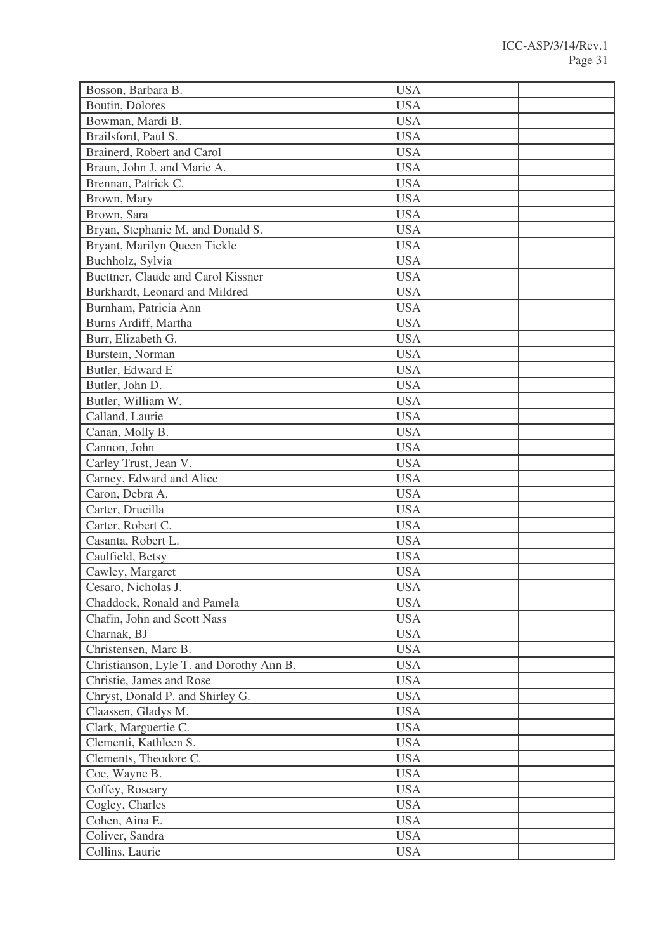| Bosson, Barbara B.                       | <b>USA</b> |  |
|------------------------------------------|------------|--|
| Boutin, Dolores                          | <b>USA</b> |  |
| Bowman, Mardi B.                         | <b>USA</b> |  |
| Brailsford, Paul S.                      | <b>USA</b> |  |
| Brainerd, Robert and Carol               | <b>USA</b> |  |
| Braun, John J. and Marie A.              | <b>USA</b> |  |
| Brennan, Patrick C.                      | <b>USA</b> |  |
| Brown, Mary                              | <b>USA</b> |  |
| Brown, Sara                              | <b>USA</b> |  |
| Bryan, Stephanie M. and Donald S.        | <b>USA</b> |  |
| Bryant, Marilyn Queen Tickle             | <b>USA</b> |  |
| Buchholz, Sylvia                         | <b>USA</b> |  |
| Buettner, Claude and Carol Kissner       | <b>USA</b> |  |
| Burkhardt, Leonard and Mildred           | <b>USA</b> |  |
| Burnham, Patricia Ann                    | <b>USA</b> |  |
| Burns Ardiff, Martha                     | <b>USA</b> |  |
| Burr, Elizabeth G.                       | <b>USA</b> |  |
| Burstein, Norman                         | <b>USA</b> |  |
| Butler, Edward E                         | <b>USA</b> |  |
| Butler, John D.                          | <b>USA</b> |  |
| Butler, William W.                       | <b>USA</b> |  |
| Calland, Laurie                          | <b>USA</b> |  |
| Canan, Molly B.                          | <b>USA</b> |  |
| Cannon, John                             | <b>USA</b> |  |
| Carley Trust, Jean V.                    | <b>USA</b> |  |
| Carney, Edward and Alice                 | <b>USA</b> |  |
| Caron, Debra A.                          | <b>USA</b> |  |
| Carter, Drucilla                         | <b>USA</b> |  |
| Carter, Robert C.                        | <b>USA</b> |  |
| Casanta, Robert L.                       | <b>USA</b> |  |
| Caulfield, Betsy                         | <b>USA</b> |  |
| Cawley, Margaret                         | <b>USA</b> |  |
| Cesaro, Nicholas J.                      | <b>USA</b> |  |
| Chaddock, Ronald and Pamela              | <b>USA</b> |  |
| Chafin, John and Scott Nass              | <b>USA</b> |  |
| Charnak, BJ                              | <b>USA</b> |  |
| Christensen, Marc B.                     | <b>USA</b> |  |
| Christianson, Lyle T. and Dorothy Ann B. | <b>USA</b> |  |
| Christie, James and Rose                 | <b>USA</b> |  |
| Chryst, Donald P. and Shirley G.         | <b>USA</b> |  |
| Claassen, Gladys M.                      | <b>USA</b> |  |
| Clark, Marguertie C.                     | <b>USA</b> |  |
| Clementi, Kathleen S.                    | <b>USA</b> |  |
| Clements, Theodore C.                    | <b>USA</b> |  |
| Coe, Wayne B.                            | <b>USA</b> |  |
| Coffey, Roseary                          | <b>USA</b> |  |
| Cogley, Charles                          | <b>USA</b> |  |
| Cohen, Aina E.                           | <b>USA</b> |  |
| Coliver, Sandra                          | <b>USA</b> |  |
| Collins, Laurie                          | <b>USA</b> |  |
|                                          |            |  |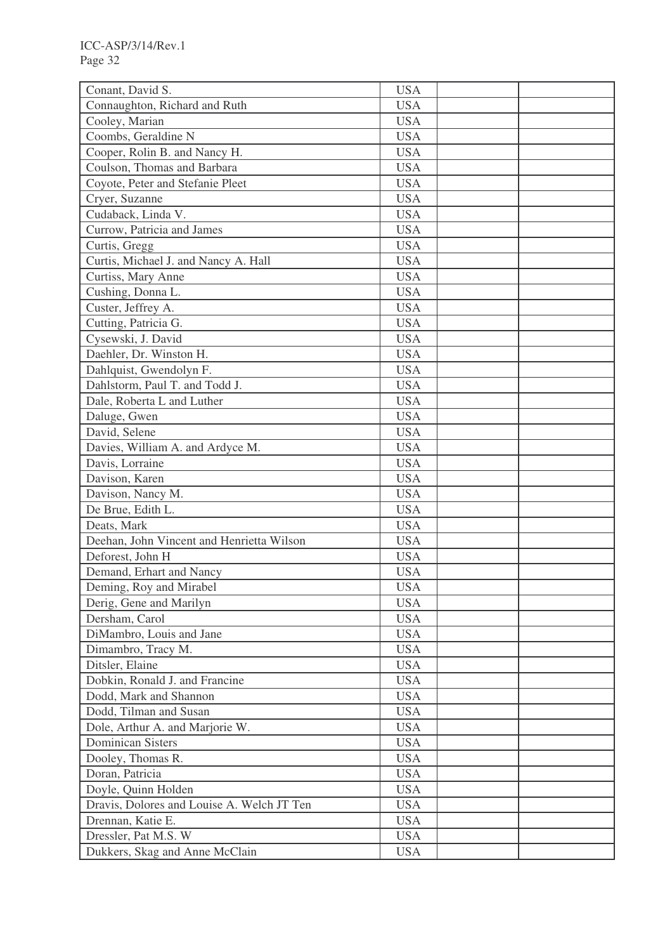| Conant, David S.                           | <b>USA</b> |  |
|--------------------------------------------|------------|--|
| Connaughton, Richard and Ruth              | <b>USA</b> |  |
| Cooley, Marian                             | <b>USA</b> |  |
| Coombs, Geraldine N                        | <b>USA</b> |  |
| Cooper, Rolin B. and Nancy H.              | <b>USA</b> |  |
| Coulson, Thomas and Barbara                | <b>USA</b> |  |
| Coyote, Peter and Stefanie Pleet           | <b>USA</b> |  |
| Cryer, Suzanne                             | <b>USA</b> |  |
| Cudaback, Linda V.                         | <b>USA</b> |  |
| Currow, Patricia and James                 | <b>USA</b> |  |
| Curtis, Gregg                              | <b>USA</b> |  |
| Curtis, Michael J. and Nancy A. Hall       | <b>USA</b> |  |
| Curtiss, Mary Anne                         | <b>USA</b> |  |
| Cushing, Donna L.                          | <b>USA</b> |  |
| Custer, Jeffrey A.                         | <b>USA</b> |  |
| Cutting, Patricia G.                       | <b>USA</b> |  |
| Cysewski, J. David                         | <b>USA</b> |  |
| Daehler, Dr. Winston H.                    | <b>USA</b> |  |
| Dahlquist, Gwendolyn F.                    | <b>USA</b> |  |
| Dahlstorm, Paul T. and Todd J.             | <b>USA</b> |  |
| Dale, Roberta L and Luther                 | <b>USA</b> |  |
| Daluge, Gwen                               | <b>USA</b> |  |
| David, Selene                              | <b>USA</b> |  |
| Davies, William A. and Ardyce M.           | <b>USA</b> |  |
| Davis, Lorraine                            | <b>USA</b> |  |
| Davison, Karen                             | <b>USA</b> |  |
| Davison, Nancy M.                          | <b>USA</b> |  |
| De Brue, Edith L.                          | <b>USA</b> |  |
| Deats, Mark                                | <b>USA</b> |  |
| Deehan, John Vincent and Henrietta Wilson  | <b>USA</b> |  |
| Deforest, John H                           | <b>USA</b> |  |
| Demand, Erhart and Nancy                   | <b>USA</b> |  |
| Deming, Roy and Mirabel                    | <b>USA</b> |  |
| Derig, Gene and Marilyn                    | <b>USA</b> |  |
| Dersham, Carol                             | <b>USA</b> |  |
| DiMambro, Louis and Jane                   | <b>USA</b> |  |
| Dimambro, Tracy M.                         | <b>USA</b> |  |
| Ditsler, Elaine                            | <b>USA</b> |  |
| Dobkin, Ronald J. and Francine             | <b>USA</b> |  |
| Dodd, Mark and Shannon                     | <b>USA</b> |  |
| Dodd, Tilman and Susan                     | <b>USA</b> |  |
| Dole, Arthur A. and Marjorie W.            | <b>USA</b> |  |
| <b>Dominican Sisters</b>                   | <b>USA</b> |  |
| Dooley, Thomas R.                          | <b>USA</b> |  |
| Doran, Patricia                            | <b>USA</b> |  |
| Doyle, Quinn Holden                        | <b>USA</b> |  |
| Dravis, Dolores and Louise A. Welch JT Ten | <b>USA</b> |  |
| Drennan, Katie E.                          | <b>USA</b> |  |
| Dressler, Pat M.S. W                       | <b>USA</b> |  |
| Dukkers, Skag and Anne McClain             | <b>USA</b> |  |
|                                            |            |  |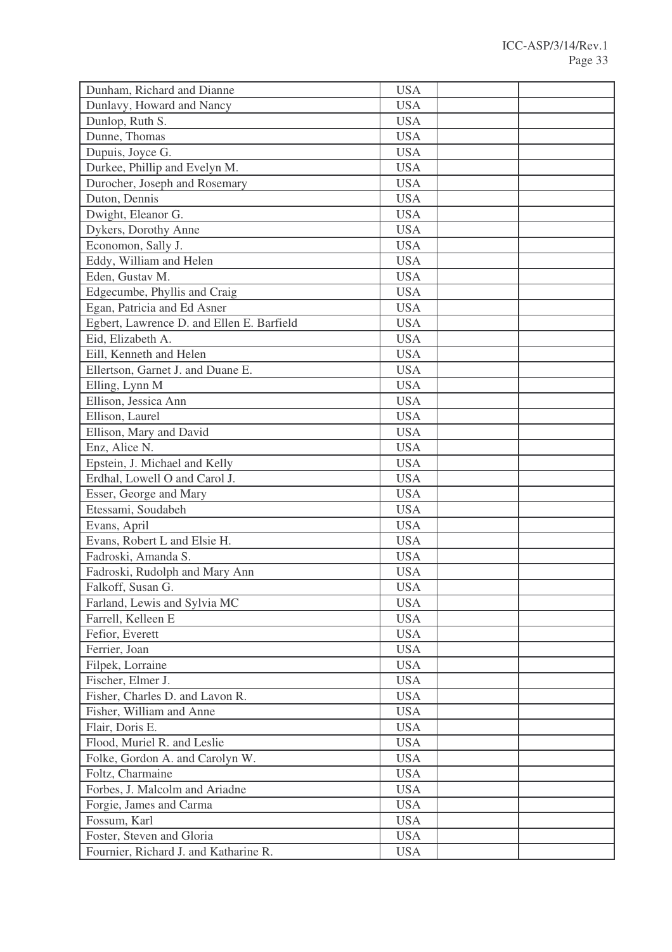| Dunham, Richard and Dianne                | <b>USA</b> |  |
|-------------------------------------------|------------|--|
| Dunlavy, Howard and Nancy                 | <b>USA</b> |  |
| Dunlop, Ruth S.                           | <b>USA</b> |  |
| Dunne, Thomas                             | <b>USA</b> |  |
| Dupuis, Joyce G.                          | <b>USA</b> |  |
| Durkee, Phillip and Evelyn M.             | <b>USA</b> |  |
| Durocher, Joseph and Rosemary             | <b>USA</b> |  |
| Duton, Dennis                             | <b>USA</b> |  |
| Dwight, Eleanor G.                        | <b>USA</b> |  |
| Dykers, Dorothy Anne                      | <b>USA</b> |  |
| Economon, Sally J.                        | <b>USA</b> |  |
| Eddy, William and Helen                   | <b>USA</b> |  |
| Eden, Gustav M.                           | <b>USA</b> |  |
| Edgecumbe, Phyllis and Craig              | <b>USA</b> |  |
| Egan, Patricia and Ed Asner               | <b>USA</b> |  |
| Egbert, Lawrence D. and Ellen E. Barfield | <b>USA</b> |  |
| Eid, Elizabeth A.                         | <b>USA</b> |  |
| Eill, Kenneth and Helen                   | <b>USA</b> |  |
| Ellertson, Garnet J. and Duane E.         | <b>USA</b> |  |
| Elling, Lynn M                            | <b>USA</b> |  |
| Ellison, Jessica Ann                      | <b>USA</b> |  |
| Ellison, Laurel                           | <b>USA</b> |  |
| Ellison, Mary and David                   | <b>USA</b> |  |
| Enz, Alice N.                             | <b>USA</b> |  |
| Epstein, J. Michael and Kelly             | <b>USA</b> |  |
| Erdhal, Lowell O and Carol J.             | <b>USA</b> |  |
| Esser, George and Mary                    | <b>USA</b> |  |
| Etessami, Soudabeh                        | <b>USA</b> |  |
| Evans, April                              | <b>USA</b> |  |
| Evans, Robert L and Elsie H.              | <b>USA</b> |  |
| Fadroski, Amanda S.                       | <b>USA</b> |  |
| Fadroski, Rudolph and Mary Ann            | <b>USA</b> |  |
| Falkoff, Susan G.                         | <b>USA</b> |  |
| Farland, Lewis and Sylvia MC              | <b>USA</b> |  |
| Farrell, Kelleen E                        | <b>USA</b> |  |
| Fefior, Everett                           | <b>USA</b> |  |
| Ferrier, Joan                             | <b>USA</b> |  |
| Filpek, Lorraine                          | <b>USA</b> |  |
| Fischer, Elmer J.                         | <b>USA</b> |  |
| Fisher, Charles D. and Lavon R.           | <b>USA</b> |  |
| Fisher, William and Anne                  | <b>USA</b> |  |
| Flair, Doris E.                           | <b>USA</b> |  |
| Flood, Muriel R. and Leslie               | <b>USA</b> |  |
| Folke, Gordon A. and Carolyn W.           | <b>USA</b> |  |
| Foltz, Charmaine                          | <b>USA</b> |  |
| Forbes, J. Malcolm and Ariadne            | <b>USA</b> |  |
| Forgie, James and Carma                   | <b>USA</b> |  |
| Fossum, Karl                              | <b>USA</b> |  |
| Foster, Steven and Gloria                 | <b>USA</b> |  |
| Fournier, Richard J. and Katharine R.     | <b>USA</b> |  |
|                                           |            |  |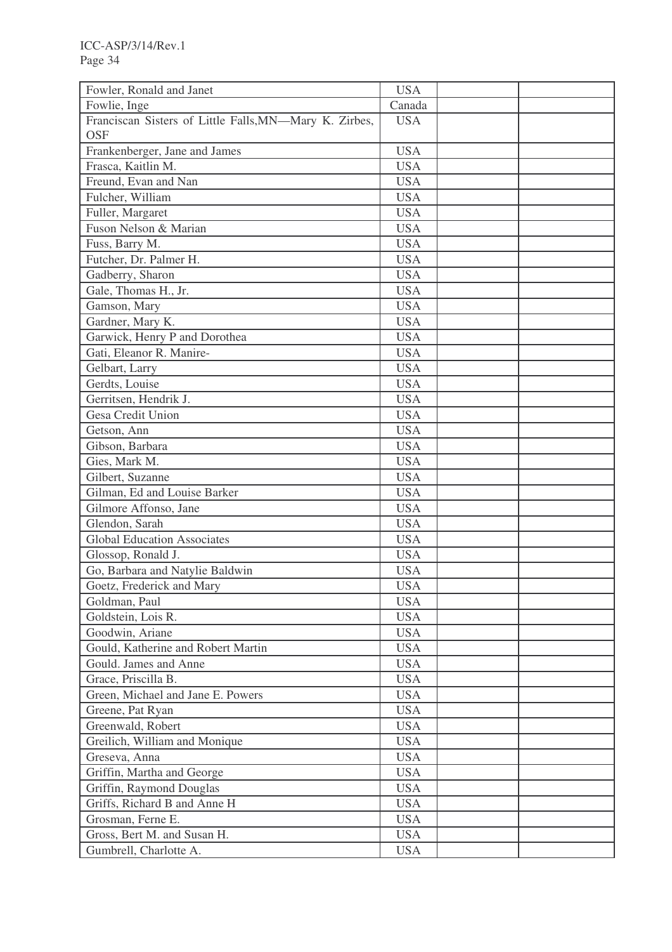| Fowler, Ronald and Janet                                             | <b>USA</b> |  |
|----------------------------------------------------------------------|------------|--|
| Fowlie, Inge                                                         | Canada     |  |
| Franciscan Sisters of Little Falls, MN-Mary K. Zirbes,<br><b>OSF</b> | <b>USA</b> |  |
| Frankenberger, Jane and James                                        | <b>USA</b> |  |
| Frasca, Kaitlin M.                                                   | <b>USA</b> |  |
| Freund, Evan and Nan                                                 | <b>USA</b> |  |
| Fulcher, William                                                     | <b>USA</b> |  |
|                                                                      | <b>USA</b> |  |
| Fuller, Margaret                                                     |            |  |
| Fuson Nelson & Marian                                                | <b>USA</b> |  |
| Fuss, Barry M.                                                       | <b>USA</b> |  |
| Futcher, Dr. Palmer H.                                               | <b>USA</b> |  |
| Gadberry, Sharon                                                     | <b>USA</b> |  |
| Gale, Thomas H., Jr.                                                 | <b>USA</b> |  |
| Gamson, Mary                                                         | <b>USA</b> |  |
| Gardner, Mary K.                                                     | <b>USA</b> |  |
| Garwick, Henry P and Dorothea                                        | <b>USA</b> |  |
| Gati, Eleanor R. Manire-                                             | <b>USA</b> |  |
| Gelbart, Larry                                                       | <b>USA</b> |  |
| Gerdts, Louise                                                       | <b>USA</b> |  |
| Gerritsen, Hendrik J.                                                | <b>USA</b> |  |
| Gesa Credit Union                                                    | <b>USA</b> |  |
| Getson, Ann                                                          | <b>USA</b> |  |
| Gibson, Barbara                                                      | <b>USA</b> |  |
| Gies, Mark M.                                                        | <b>USA</b> |  |
| Gilbert, Suzanne                                                     | <b>USA</b> |  |
| Gilman, Ed and Louise Barker                                         | <b>USA</b> |  |
| Gilmore Affonso, Jane                                                | <b>USA</b> |  |
| Glendon, Sarah                                                       | <b>USA</b> |  |
| <b>Global Education Associates</b>                                   | <b>USA</b> |  |
| Glossop, Ronald J.                                                   | <b>USA</b> |  |
| Go, Barbara and Natylie Baldwin                                      | <b>USA</b> |  |
| Goetz, Frederick and Mary                                            | <b>USA</b> |  |
| Goldman, Paul                                                        | <b>USA</b> |  |
| Goldstein, Lois R.                                                   | <b>USA</b> |  |
| Goodwin, Ariane                                                      | <b>USA</b> |  |
| Gould, Katherine and Robert Martin                                   | <b>USA</b> |  |
| Gould. James and Anne                                                | <b>USA</b> |  |
| Grace, Priscilla B.                                                  | <b>USA</b> |  |
| Green, Michael and Jane E. Powers                                    | <b>USA</b> |  |
| Greene, Pat Ryan                                                     | <b>USA</b> |  |
| Greenwald, Robert                                                    | <b>USA</b> |  |
| Greilich, William and Monique                                        | <b>USA</b> |  |
| Greseva, Anna                                                        | <b>USA</b> |  |
| Griffin, Martha and George                                           | <b>USA</b> |  |
| Griffin, Raymond Douglas                                             | <b>USA</b> |  |
| Griffs, Richard B and Anne H                                         | <b>USA</b> |  |
| Grosman, Ferne E.                                                    | <b>USA</b> |  |
| Gross, Bert M. and Susan H.                                          | <b>USA</b> |  |
| Gumbrell, Charlotte A.                                               | <b>USA</b> |  |
|                                                                      |            |  |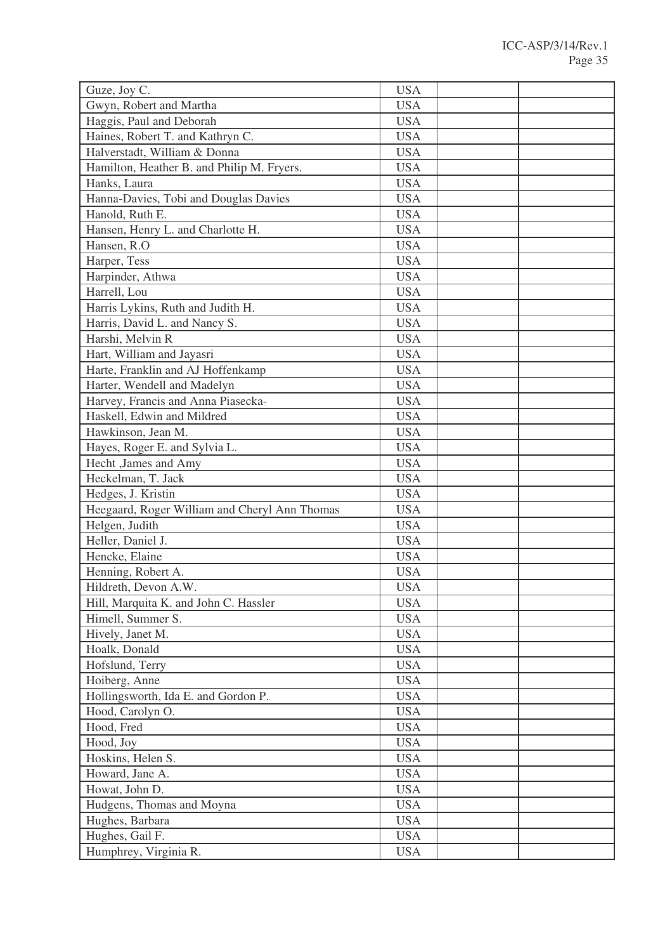|           | Guze, Joy C.                                  | <b>USA</b>               |  |
|-----------|-----------------------------------------------|--------------------------|--|
|           | Gwyn, Robert and Martha                       | <b>USA</b>               |  |
|           | Haggis, Paul and Deborah                      | <b>USA</b>               |  |
|           | Haines, Robert T. and Kathryn C.              | <b>USA</b>               |  |
|           | Halverstadt, William & Donna                  | <b>USA</b>               |  |
|           | Hamilton, Heather B. and Philip M. Fryers.    | <b>USA</b>               |  |
|           | Hanks, Laura                                  | <b>USA</b>               |  |
|           | Hanna-Davies, Tobi and Douglas Davies         | <b>USA</b>               |  |
|           | Hanold, Ruth E.                               | <b>USA</b>               |  |
|           | Hansen, Henry L. and Charlotte H.             | <b>USA</b>               |  |
|           | Hansen, R.O.                                  | <b>USA</b>               |  |
|           | Harper, Tess                                  | <b>USA</b>               |  |
|           | Harpinder, Athwa                              | <b>USA</b>               |  |
|           | Harrell, Lou                                  | <b>USA</b>               |  |
|           | Harris Lykins, Ruth and Judith H.             | <b>USA</b>               |  |
|           | Harris, David L. and Nancy S.                 | <b>USA</b>               |  |
|           | Harshi, Melvin R                              | <b>USA</b>               |  |
|           | Hart, William and Jayasri                     | <b>USA</b>               |  |
|           | Harte, Franklin and AJ Hoffenkamp             | <b>USA</b>               |  |
|           | Harter, Wendell and Madelyn                   | <b>USA</b>               |  |
|           | Harvey, Francis and Anna Piasecka-            | <b>USA</b>               |  |
|           | Haskell, Edwin and Mildred                    | <b>USA</b>               |  |
|           | Hawkinson, Jean M.                            | <b>USA</b>               |  |
|           | Hayes, Roger E. and Sylvia L.                 | <b>USA</b>               |  |
|           | Hecht , James and Amy                         | <b>USA</b>               |  |
|           | Heckelman, T. Jack                            | <b>USA</b>               |  |
|           | Hedges, J. Kristin                            | <b>USA</b>               |  |
|           | Heegaard, Roger William and Cheryl Ann Thomas | <b>USA</b>               |  |
|           | Helgen, Judith                                | <b>USA</b>               |  |
|           | Heller, Daniel J.                             | <b>USA</b>               |  |
|           | Hencke, Elaine                                | <b>USA</b>               |  |
|           | Henning, Robert A.                            |                          |  |
|           | Hildreth, Devon A.W.                          | <b>USA</b>               |  |
|           |                                               | <b>USA</b>               |  |
|           | Hill, Marquita K. and John C. Hassler         | <b>USA</b>               |  |
|           | Himell, Summer S.                             | <b>USA</b>               |  |
|           | Hively, Janet M.                              | <b>USA</b>               |  |
|           | Hoalk, Donald                                 | <b>USA</b>               |  |
|           | Hofslund, Terry                               | <b>USA</b>               |  |
|           | Hoiberg, Anne                                 | <b>USA</b>               |  |
|           | Hollingsworth, Ida E. and Gordon P.           | <b>USA</b>               |  |
|           | Hood, Carolyn O.                              | <b>USA</b>               |  |
|           | Hood, Fred                                    | <b>USA</b>               |  |
| Hood, Joy |                                               | <b>USA</b>               |  |
|           |                                               | <b>USA</b>               |  |
|           | Hoskins, Helen S.<br>Howard, Jane A.          |                          |  |
|           |                                               | <b>USA</b><br><b>USA</b> |  |
|           | Howat, John D.                                | <b>USA</b>               |  |
|           | Hudgens, Thomas and Moyna<br>Hughes, Barbara  | <b>USA</b>               |  |
|           |                                               | <b>USA</b>               |  |
|           | Hughes, Gail F.<br>Humphrey, Virginia R.      | <b>USA</b>               |  |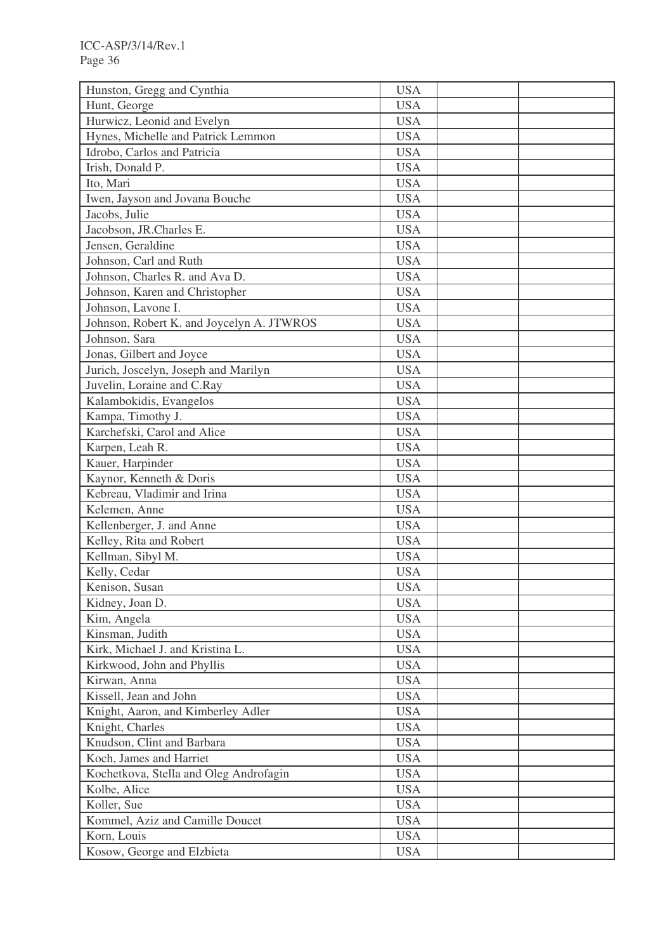| Hunston, Gregg and Cynthia                | <b>USA</b> |  |
|-------------------------------------------|------------|--|
| Hunt, George                              | <b>USA</b> |  |
| Hurwicz, Leonid and Evelyn                | <b>USA</b> |  |
| Hynes, Michelle and Patrick Lemmon        | <b>USA</b> |  |
| Idrobo, Carlos and Patricia               | <b>USA</b> |  |
| Irish, Donald P.                          | <b>USA</b> |  |
| Ito, Mari                                 | <b>USA</b> |  |
| Iwen, Jayson and Jovana Bouche            | <b>USA</b> |  |
| Jacobs, Julie                             | <b>USA</b> |  |
| Jacobson, JR.Charles E.                   | <b>USA</b> |  |
| Jensen, Geraldine                         | <b>USA</b> |  |
| Johnson, Carl and Ruth                    | <b>USA</b> |  |
| Johnson, Charles R. and Ava D.            | <b>USA</b> |  |
| Johnson, Karen and Christopher            | <b>USA</b> |  |
| Johnson, Lavone I.                        | <b>USA</b> |  |
| Johnson, Robert K. and Joycelyn A. JTWROS | <b>USA</b> |  |
| Johnson, Sara                             | <b>USA</b> |  |
| Jonas, Gilbert and Joyce                  | <b>USA</b> |  |
| Jurich, Joscelyn, Joseph and Marilyn      | <b>USA</b> |  |
| Juvelin, Loraine and C.Ray                | <b>USA</b> |  |
| Kalambokidis, Evangelos                   | <b>USA</b> |  |
| Kampa, Timothy J.                         | <b>USA</b> |  |
| Karchefski, Carol and Alice               | <b>USA</b> |  |
| Karpen, Leah R.                           | <b>USA</b> |  |
| Kauer, Harpinder                          | <b>USA</b> |  |
| Kaynor, Kenneth & Doris                   | <b>USA</b> |  |
| Kebreau, Vladimir and Irina               | <b>USA</b> |  |
| Kelemen, Anne                             | <b>USA</b> |  |
|                                           |            |  |
| Kellenberger, J. and Anne                 | <b>USA</b> |  |
| Kelley, Rita and Robert                   | <b>USA</b> |  |
| Kellman, Sibyl M.                         | <b>USA</b> |  |
| Kelly, Cedar                              | <b>USA</b> |  |
| Kenison, Susan                            | <b>USA</b> |  |
| Kidney, Joan D.                           | <b>USA</b> |  |
| Kim, Angela                               | <b>USA</b> |  |
| Kinsman, Judith                           | <b>USA</b> |  |
| Kirk, Michael J. and Kristina L.          | <b>USA</b> |  |
| Kirkwood, John and Phyllis                | <b>USA</b> |  |
| Kirwan, Anna                              | <b>USA</b> |  |
| Kissell, Jean and John                    | <b>USA</b> |  |
| Knight, Aaron, and Kimberley Adler        | <b>USA</b> |  |
| Knight, Charles                           | <b>USA</b> |  |
| Knudson, Clint and Barbara                | <b>USA</b> |  |
| Koch, James and Harriet                   | <b>USA</b> |  |
| Kochetkova, Stella and Oleg Androfagin    | <b>USA</b> |  |
| Kolbe, Alice                              | <b>USA</b> |  |
| Koller, Sue                               | <b>USA</b> |  |
| Kommel, Aziz and Camille Doucet           | <b>USA</b> |  |
| Korn, Louis                               | <b>USA</b> |  |
| Kosow, George and Elzbieta                | <b>USA</b> |  |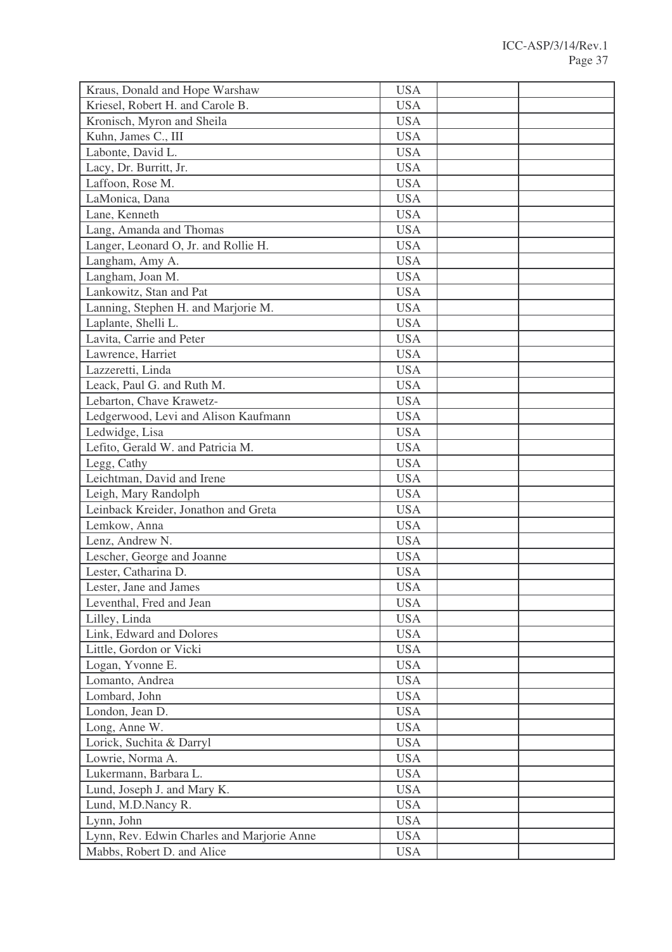| Kraus, Donald and Hope Warshaw             | <b>USA</b> |  |
|--------------------------------------------|------------|--|
| Kriesel, Robert H. and Carole B.           | <b>USA</b> |  |
| Kronisch, Myron and Sheila                 | <b>USA</b> |  |
| Kuhn, James C., III                        | <b>USA</b> |  |
| Labonte, David L.                          | <b>USA</b> |  |
| Lacy, Dr. Burritt, Jr.                     | <b>USA</b> |  |
| Laffoon, Rose M.                           | <b>USA</b> |  |
| LaMonica, Dana                             | <b>USA</b> |  |
| Lane, Kenneth                              | <b>USA</b> |  |
| Lang, Amanda and Thomas                    | <b>USA</b> |  |
| Langer, Leonard O, Jr. and Rollie H.       | <b>USA</b> |  |
| Langham, Amy A.                            | <b>USA</b> |  |
| Langham, Joan M.                           | <b>USA</b> |  |
| Lankowitz, Stan and Pat                    | <b>USA</b> |  |
| Lanning, Stephen H. and Marjorie M.        | <b>USA</b> |  |
| Laplante, Shelli L.                        | <b>USA</b> |  |
| Lavita, Carrie and Peter                   | <b>USA</b> |  |
| Lawrence, Harriet                          | <b>USA</b> |  |
| Lazzeretti, Linda                          | <b>USA</b> |  |
| Leack, Paul G. and Ruth M.                 | <b>USA</b> |  |
| Lebarton, Chave Krawetz-                   | <b>USA</b> |  |
| Ledgerwood, Levi and Alison Kaufmann       | <b>USA</b> |  |
| Ledwidge, Lisa                             | <b>USA</b> |  |
| Lefito, Gerald W. and Patricia M.          | <b>USA</b> |  |
| Legg, Cathy                                | <b>USA</b> |  |
| Leichtman, David and Irene                 | <b>USA</b> |  |
| Leigh, Mary Randolph                       | <b>USA</b> |  |
| Leinback Kreider, Jonathon and Greta       | <b>USA</b> |  |
| Lemkow, Anna                               | <b>USA</b> |  |
| Lenz, Andrew N.                            | <b>USA</b> |  |
| Lescher, George and Joanne                 | <b>USA</b> |  |
| Lester, Catharina D.                       | <b>USA</b> |  |
| Lester, Jane and James                     | <b>USA</b> |  |
| Leventhal, Fred and Jean                   | <b>USA</b> |  |
| Lilley, Linda                              | <b>USA</b> |  |
| Link, Edward and Dolores                   | <b>USA</b> |  |
| Little, Gordon or Vicki                    | <b>USA</b> |  |
| Logan, Yvonne E.                           | <b>USA</b> |  |
| Lomanto, Andrea                            | <b>USA</b> |  |
| Lombard, John                              | <b>USA</b> |  |
| London, Jean D.                            | <b>USA</b> |  |
| Long, Anne W.                              | <b>USA</b> |  |
| Lorick, Suchita & Darryl                   | <b>USA</b> |  |
| Lowrie, Norma A.                           | <b>USA</b> |  |
| Lukermann, Barbara L.                      | <b>USA</b> |  |
| Lund, Joseph J. and Mary K.                | <b>USA</b> |  |
| Lund, M.D.Nancy R.                         | <b>USA</b> |  |
| Lynn, John                                 | <b>USA</b> |  |
| Lynn, Rev. Edwin Charles and Marjorie Anne | <b>USA</b> |  |
| Mabbs, Robert D. and Alice                 | <b>USA</b> |  |
|                                            |            |  |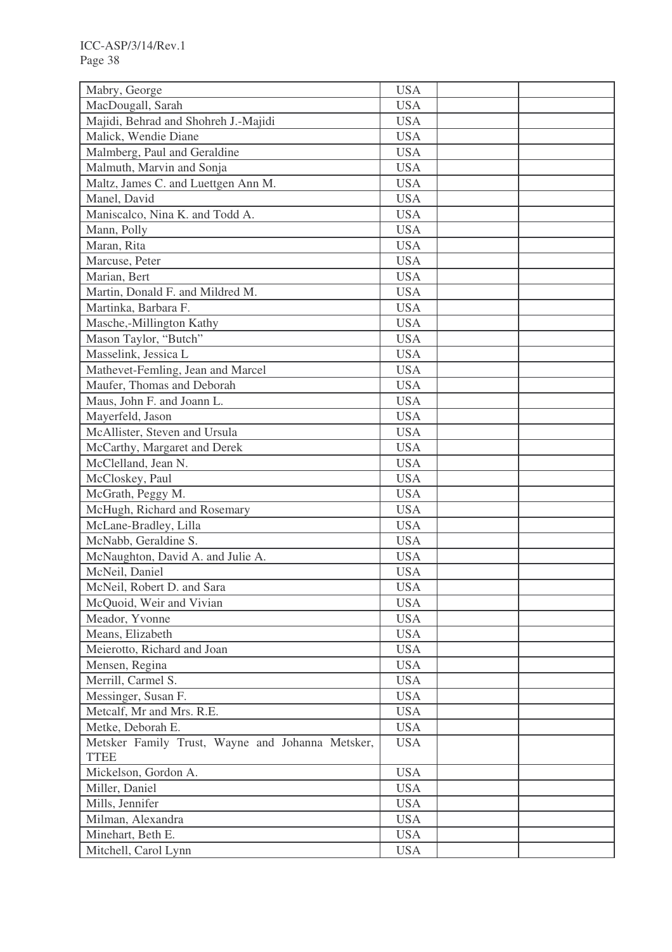| Mabry, George                                    | <b>USA</b> |  |
|--------------------------------------------------|------------|--|
| MacDougall, Sarah                                | <b>USA</b> |  |
| Majidi, Behrad and Shohreh J.-Majidi             | <b>USA</b> |  |
| Malick, Wendie Diane                             | <b>USA</b> |  |
| Malmberg, Paul and Geraldine                     | <b>USA</b> |  |
| Malmuth, Marvin and Sonja                        | <b>USA</b> |  |
| Maltz, James C. and Luettgen Ann M.              | <b>USA</b> |  |
| Manel, David                                     | <b>USA</b> |  |
| Maniscalco, Nina K. and Todd A.                  | <b>USA</b> |  |
| Mann, Polly                                      | <b>USA</b> |  |
| Maran, Rita                                      | <b>USA</b> |  |
| Marcuse, Peter                                   | <b>USA</b> |  |
| Marian, Bert                                     | <b>USA</b> |  |
| Martin, Donald F. and Mildred M.                 | <b>USA</b> |  |
| Martinka, Barbara F.                             | <b>USA</b> |  |
| Masche,-Millington Kathy                         | <b>USA</b> |  |
| Mason Taylor, "Butch"                            | <b>USA</b> |  |
| Masselink, Jessica L                             | <b>USA</b> |  |
| Mathevet-Femling, Jean and Marcel                | <b>USA</b> |  |
| Maufer, Thomas and Deborah                       | <b>USA</b> |  |
| Maus, John F. and Joann L.                       | <b>USA</b> |  |
| Mayerfeld, Jason                                 | <b>USA</b> |  |
| McAllister, Steven and Ursula                    | <b>USA</b> |  |
| McCarthy, Margaret and Derek                     | <b>USA</b> |  |
| McClelland, Jean N.                              | <b>USA</b> |  |
| McCloskey, Paul                                  | <b>USA</b> |  |
| McGrath, Peggy M.                                | <b>USA</b> |  |
| McHugh, Richard and Rosemary                     | <b>USA</b> |  |
| McLane-Bradley, Lilla                            | <b>USA</b> |  |
| McNabb, Geraldine S.                             | <b>USA</b> |  |
| McNaughton, David A. and Julie A.                | <b>USA</b> |  |
| McNeil, Daniel                                   | <b>USA</b> |  |
| McNeil, Robert D. and Sara                       | <b>USA</b> |  |
| McQuoid, Weir and Vivian                         | <b>USA</b> |  |
| Meador, Yvonne                                   | <b>USA</b> |  |
| Means, Elizabeth                                 | <b>USA</b> |  |
| Meierotto, Richard and Joan                      | <b>USA</b> |  |
| Mensen, Regina                                   | <b>USA</b> |  |
| Merrill, Carmel S.                               | <b>USA</b> |  |
| Messinger, Susan F.                              | <b>USA</b> |  |
| Metcalf, Mr and Mrs. R.E.                        | <b>USA</b> |  |
| Metke, Deborah E.                                | <b>USA</b> |  |
| Metsker Family Trust, Wayne and Johanna Metsker, | <b>USA</b> |  |
| <b>TTEE</b>                                      |            |  |
| Mickelson, Gordon A.                             | <b>USA</b> |  |
| Miller, Daniel                                   | <b>USA</b> |  |
| Mills, Jennifer                                  | <b>USA</b> |  |
| Milman, Alexandra                                | <b>USA</b> |  |
| Minehart, Beth E.                                | <b>USA</b> |  |
| Mitchell, Carol Lynn                             | <b>USA</b> |  |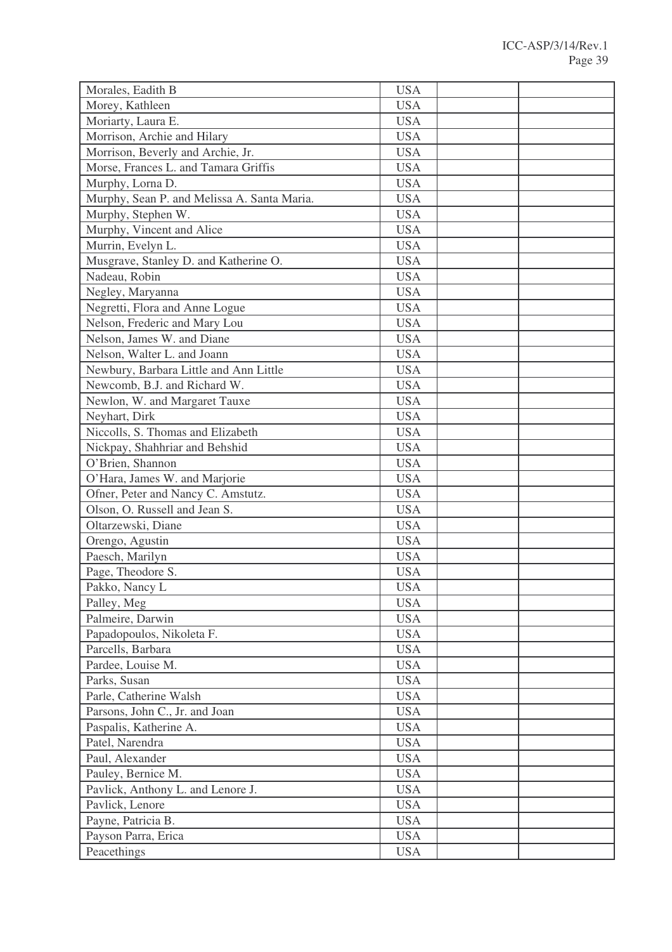| Morales, Eadith B                           | <b>USA</b> |  |
|---------------------------------------------|------------|--|
| Morey, Kathleen                             | <b>USA</b> |  |
| Moriarty, Laura E.                          | <b>USA</b> |  |
| Morrison, Archie and Hilary                 | <b>USA</b> |  |
| Morrison, Beverly and Archie, Jr.           | <b>USA</b> |  |
| Morse, Frances L. and Tamara Griffis        | <b>USA</b> |  |
| Murphy, Lorna D.                            | <b>USA</b> |  |
| Murphy, Sean P. and Melissa A. Santa Maria. | <b>USA</b> |  |
| Murphy, Stephen W.                          | <b>USA</b> |  |
| Murphy, Vincent and Alice                   | <b>USA</b> |  |
| Murrin, Evelyn L.                           | <b>USA</b> |  |
| Musgrave, Stanley D. and Katherine O.       | <b>USA</b> |  |
| Nadeau, Robin                               | <b>USA</b> |  |
| Negley, Maryanna                            | <b>USA</b> |  |
| Negretti, Flora and Anne Logue              | <b>USA</b> |  |
| Nelson, Frederic and Mary Lou               | <b>USA</b> |  |
| Nelson, James W. and Diane                  | <b>USA</b> |  |
| Nelson, Walter L. and Joann                 | <b>USA</b> |  |
| Newbury, Barbara Little and Ann Little      | <b>USA</b> |  |
| Newcomb, B.J. and Richard W.                | <b>USA</b> |  |
| Newlon, W. and Margaret Tauxe               | <b>USA</b> |  |
| Neyhart, Dirk                               | <b>USA</b> |  |
| Niccolls, S. Thomas and Elizabeth           | <b>USA</b> |  |
| Nickpay, Shahhriar and Behshid              | <b>USA</b> |  |
| O'Brien, Shannon                            | <b>USA</b> |  |
| O'Hara, James W. and Marjorie               | <b>USA</b> |  |
| Ofner, Peter and Nancy C. Amstutz.          | <b>USA</b> |  |
| Olson, O. Russell and Jean S.               | <b>USA</b> |  |
| Oltarzewski, Diane                          | <b>USA</b> |  |
| Orengo, Agustin                             | <b>USA</b> |  |
| Paesch, Marilyn                             | <b>USA</b> |  |
| Page, Theodore S.                           | <b>USA</b> |  |
| Pakko, Nancy L                              | <b>USA</b> |  |
| Palley, Meg                                 | <b>USA</b> |  |
| Palmeire, Darwin                            | <b>USA</b> |  |
| Papadopoulos, Nikoleta F.                   | <b>USA</b> |  |
| Parcells, Barbara                           | <b>USA</b> |  |
| Pardee, Louise M.                           | <b>USA</b> |  |
| Parks, Susan                                | <b>USA</b> |  |
| Parle, Catherine Walsh                      | <b>USA</b> |  |
| Parsons, John C., Jr. and Joan              | <b>USA</b> |  |
| Paspalis, Katherine A.                      | <b>USA</b> |  |
| Patel, Narendra                             | <b>USA</b> |  |
| Paul, Alexander                             | <b>USA</b> |  |
| Pauley, Bernice M.                          | <b>USA</b> |  |
| Pavlick, Anthony L. and Lenore J.           | <b>USA</b> |  |
| Pavlick, Lenore                             | <b>USA</b> |  |
| Payne, Patricia B.                          | <b>USA</b> |  |
| Payson Parra, Erica                         | <b>USA</b> |  |
| Peacethings                                 | <b>USA</b> |  |
|                                             |            |  |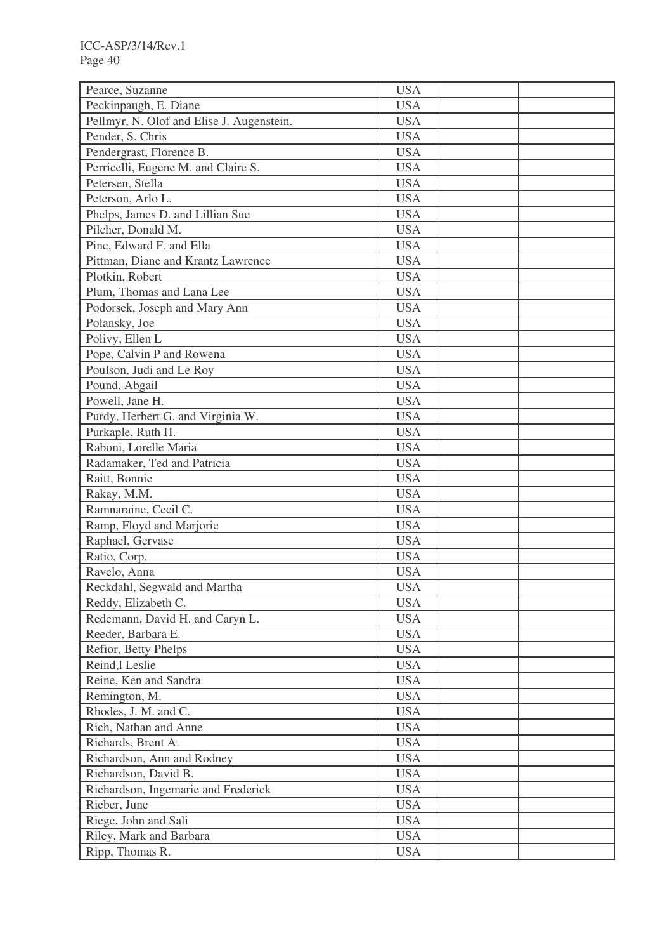| Pearce, Suzanne                                  | <b>USA</b>               |  |
|--------------------------------------------------|--------------------------|--|
| Peckinpaugh, E. Diane                            | <b>USA</b>               |  |
| Pellmyr, N. Olof and Elise J. Augenstein.        | <b>USA</b>               |  |
| Pender, S. Chris                                 | <b>USA</b>               |  |
| Pendergrast, Florence B.                         | <b>USA</b>               |  |
| Perricelli, Eugene M. and Claire S.              | <b>USA</b>               |  |
| Petersen, Stella                                 | <b>USA</b>               |  |
| Peterson, Arlo L.                                | <b>USA</b>               |  |
| Phelps, James D. and Lillian Sue                 | <b>USA</b>               |  |
| Pilcher, Donald M.                               | <b>USA</b>               |  |
| Pine, Edward F. and Ella                         | <b>USA</b>               |  |
| Pittman, Diane and Krantz Lawrence               | <b>USA</b>               |  |
| Plotkin, Robert                                  | <b>USA</b>               |  |
| Plum, Thomas and Lana Lee                        | <b>USA</b>               |  |
| Podorsek, Joseph and Mary Ann                    | <b>USA</b>               |  |
| Polansky, Joe                                    | <b>USA</b>               |  |
| Polivy, Ellen L                                  | <b>USA</b>               |  |
| Pope, Calvin P and Rowena                        | <b>USA</b>               |  |
| Poulson, Judi and Le Roy                         | <b>USA</b>               |  |
| Pound, Abgail                                    | <b>USA</b>               |  |
| Powell, Jane H.                                  | <b>USA</b>               |  |
| Purdy, Herbert G. and Virginia W.                | <b>USA</b>               |  |
| Purkaple, Ruth H.                                | <b>USA</b>               |  |
| Raboni, Lorelle Maria                            | <b>USA</b>               |  |
| Radamaker, Ted and Patricia                      | <b>USA</b>               |  |
| Raitt, Bonnie                                    | <b>USA</b>               |  |
| Rakay, M.M.                                      | <b>USA</b>               |  |
| Ramnaraine, Cecil C.                             | <b>USA</b>               |  |
| Ramp, Floyd and Marjorie                         | <b>USA</b>               |  |
| Raphael, Gervase                                 | <b>USA</b>               |  |
| Ratio, Corp.                                     | <b>USA</b>               |  |
| Ravelo, Anna                                     | <b>USA</b>               |  |
| Reckdahl, Segwald and Martha                     | <b>USA</b>               |  |
| Reddy, Elizabeth C.                              | <b>USA</b>               |  |
| Redemann, David H. and Caryn L.                  | <b>USA</b>               |  |
| Reeder, Barbara E.                               | <b>USA</b>               |  |
| Refior, Betty Phelps                             | <b>USA</b>               |  |
| Reind, l Leslie                                  | <b>USA</b>               |  |
| Reine, Ken and Sandra                            | <b>USA</b>               |  |
| Remington, M.                                    | <b>USA</b>               |  |
| Rhodes, J. M. and C.                             | <b>USA</b>               |  |
| Rich, Nathan and Anne                            | <b>USA</b>               |  |
|                                                  |                          |  |
| Richards, Brent A.<br>Richardson, Ann and Rodney | <b>USA</b><br><b>USA</b> |  |
|                                                  |                          |  |
| Richardson, David B.                             | <b>USA</b>               |  |
| Richardson, Ingemarie and Frederick              | <b>USA</b>               |  |
| Rieber, June                                     | <b>USA</b>               |  |
| Riege, John and Sali                             | <b>USA</b>               |  |
| Riley, Mark and Barbara                          | <b>USA</b>               |  |
| Ripp, Thomas R.                                  | <b>USA</b>               |  |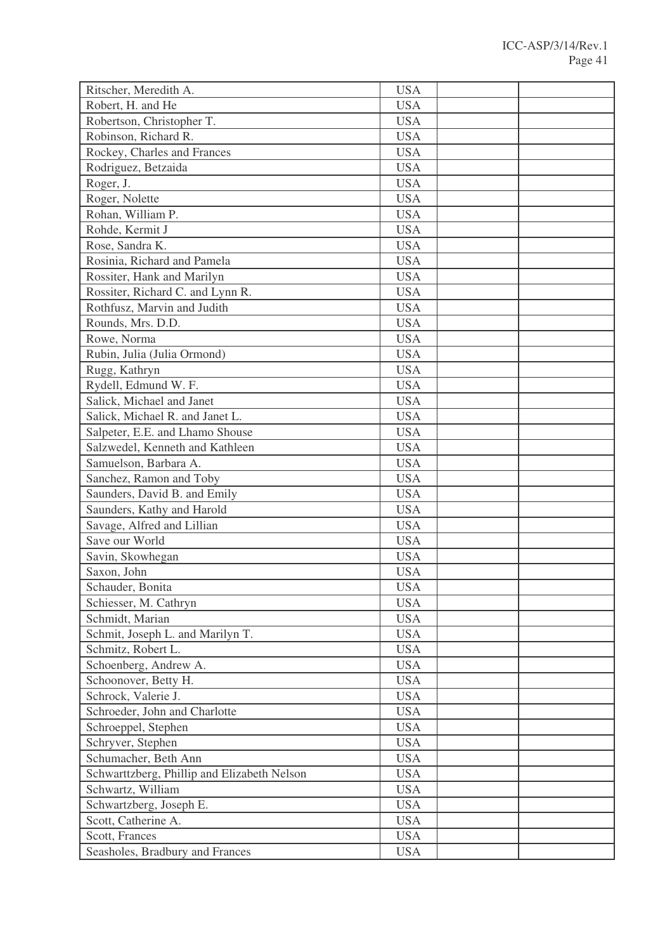| Ritscher, Meredith A.                       | <b>USA</b> |  |
|---------------------------------------------|------------|--|
| Robert, H. and He                           | <b>USA</b> |  |
| Robertson, Christopher T.                   | <b>USA</b> |  |
| Robinson, Richard R.                        | <b>USA</b> |  |
| Rockey, Charles and Frances                 | <b>USA</b> |  |
| Rodriguez, Betzaida                         | <b>USA</b> |  |
| Roger, J.                                   | <b>USA</b> |  |
| Roger, Nolette                              | <b>USA</b> |  |
| Rohan, William P.                           | <b>USA</b> |  |
| Rohde, Kermit J                             | <b>USA</b> |  |
| Rose, Sandra K.                             | <b>USA</b> |  |
| Rosinia, Richard and Pamela                 | <b>USA</b> |  |
| Rossiter, Hank and Marilyn                  | <b>USA</b> |  |
| Rossiter, Richard C. and Lynn R.            | <b>USA</b> |  |
| Rothfusz, Marvin and Judith                 | <b>USA</b> |  |
| Rounds, Mrs. D.D.                           | <b>USA</b> |  |
| Rowe, Norma                                 | <b>USA</b> |  |
| Rubin, Julia (Julia Ormond)                 | <b>USA</b> |  |
| Rugg, Kathryn                               | <b>USA</b> |  |
| Rydell, Edmund W. F.                        | <b>USA</b> |  |
| Salick, Michael and Janet                   | <b>USA</b> |  |
| Salick, Michael R. and Janet L.             | <b>USA</b> |  |
| Salpeter, E.E. and Lhamo Shouse             | <b>USA</b> |  |
| Salzwedel, Kenneth and Kathleen             | <b>USA</b> |  |
| Samuelson, Barbara A.                       | <b>USA</b> |  |
| Sanchez, Ramon and Toby                     | <b>USA</b> |  |
| Saunders, David B. and Emily                | <b>USA</b> |  |
| Saunders, Kathy and Harold                  | <b>USA</b> |  |
| Savage, Alfred and Lillian                  | <b>USA</b> |  |
| Save our World                              | <b>USA</b> |  |
| Savin, Skowhegan                            | <b>USA</b> |  |
| Saxon, John                                 | <b>USA</b> |  |
| Schauder, Bonita                            | <b>USA</b> |  |
| Schiesser, M. Cathryn                       | <b>USA</b> |  |
| Schmidt, Marian                             | <b>USA</b> |  |
| Schmit, Joseph L. and Marilyn T.            | <b>USA</b> |  |
| Schmitz, Robert L.                          | <b>USA</b> |  |
| Schoenberg, Andrew A.                       | <b>USA</b> |  |
| Schoonover, Betty H.                        | <b>USA</b> |  |
| Schrock, Valerie J.                         | <b>USA</b> |  |
| Schroeder, John and Charlotte               | <b>USA</b> |  |
| Schroeppel, Stephen                         | <b>USA</b> |  |
| Schryver, Stephen                           | <b>USA</b> |  |
| Schumacher, Beth Ann                        | <b>USA</b> |  |
| Schwarttzberg, Phillip and Elizabeth Nelson | <b>USA</b> |  |
| Schwartz, William                           | <b>USA</b> |  |
| Schwartzberg, Joseph E.                     | <b>USA</b> |  |
| Scott, Catherine A.                         | <b>USA</b> |  |
| Scott, Frances                              | <b>USA</b> |  |
| Seasholes, Bradbury and Frances             | <b>USA</b> |  |
|                                             |            |  |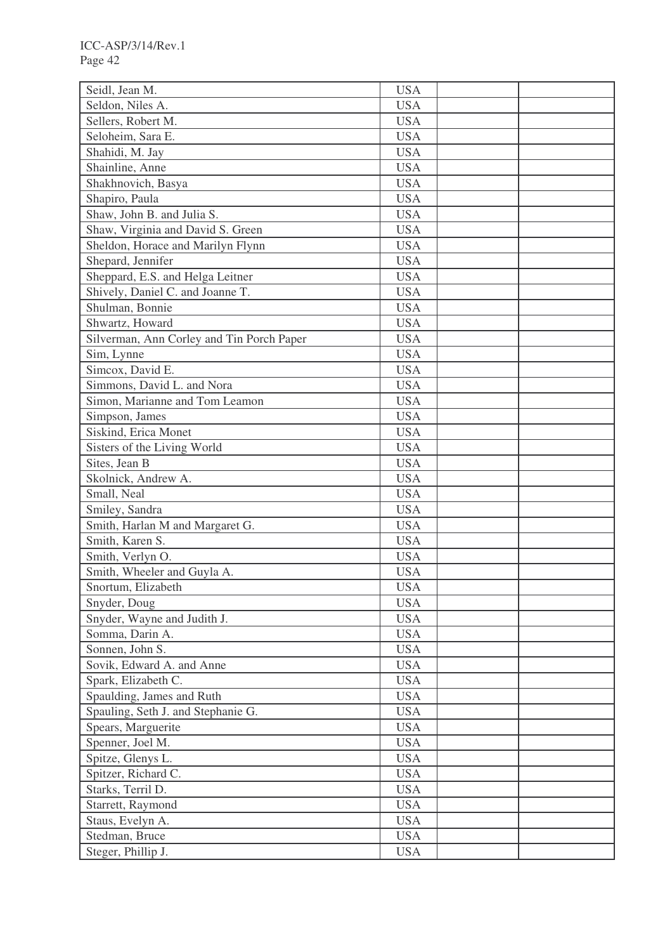| Seidl, Jean M.                            | <b>USA</b> |  |
|-------------------------------------------|------------|--|
| Seldon, Niles A.                          | <b>USA</b> |  |
| Sellers, Robert M.                        | <b>USA</b> |  |
| Seloheim, Sara E.                         | <b>USA</b> |  |
| Shahidi, M. Jay                           | <b>USA</b> |  |
| Shainline, Anne                           | <b>USA</b> |  |
| Shakhnovich, Basya                        | <b>USA</b> |  |
| Shapiro, Paula                            | <b>USA</b> |  |
| Shaw, John B. and Julia S.                | <b>USA</b> |  |
| Shaw, Virginia and David S. Green         | <b>USA</b> |  |
| Sheldon, Horace and Marilyn Flynn         | <b>USA</b> |  |
| Shepard, Jennifer                         | <b>USA</b> |  |
| Sheppard, E.S. and Helga Leitner          | <b>USA</b> |  |
| Shively, Daniel C. and Joanne T.          | <b>USA</b> |  |
| Shulman, Bonnie                           | <b>USA</b> |  |
| Shwartz, Howard                           | <b>USA</b> |  |
| Silverman, Ann Corley and Tin Porch Paper | <b>USA</b> |  |
| Sim, Lynne                                | <b>USA</b> |  |
| Simcox, David E.                          | <b>USA</b> |  |
| Simmons, David L. and Nora                | <b>USA</b> |  |
| Simon, Marianne and Tom Leamon            | <b>USA</b> |  |
| Simpson, James                            | <b>USA</b> |  |
| Siskind, Erica Monet                      | <b>USA</b> |  |
| Sisters of the Living World               | <b>USA</b> |  |
| Sites, Jean B                             | <b>USA</b> |  |
| Skolnick, Andrew A.                       | <b>USA</b> |  |
| Small, Neal                               | <b>USA</b> |  |
|                                           | <b>USA</b> |  |
| Smiley, Sandra                            |            |  |
| Smith, Harlan M and Margaret G.           | <b>USA</b> |  |
| Smith, Karen S.                           | <b>USA</b> |  |
| Smith, Verlyn O.                          | <b>USA</b> |  |
| Smith, Wheeler and Guyla A.               | <b>USA</b> |  |
| Snortum, Elizabeth                        | <b>USA</b> |  |
| Snyder, Doug                              | <b>USA</b> |  |
| Snyder, Wayne and Judith J.               | <b>USA</b> |  |
| Somma, Darin A.                           | <b>USA</b> |  |
| Sonnen, John S.                           | <b>USA</b> |  |
| Sovik, Edward A. and Anne                 | <b>USA</b> |  |
| Spark, Elizabeth C.                       | <b>USA</b> |  |
| Spaulding, James and Ruth                 | <b>USA</b> |  |
| Spauling, Seth J. and Stephanie G.        | <b>USA</b> |  |
| Spears, Marguerite                        | <b>USA</b> |  |
| Spenner, Joel M.                          | <b>USA</b> |  |
| Spitze, Glenys L.                         | <b>USA</b> |  |
| Spitzer, Richard C.                       | <b>USA</b> |  |
| Starks, Terril D.                         | <b>USA</b> |  |
| Starrett, Raymond                         | <b>USA</b> |  |
| Staus, Evelyn A.                          | <b>USA</b> |  |
| Stedman, Bruce                            | <b>USA</b> |  |
| Steger, Phillip J.                        | <b>USA</b> |  |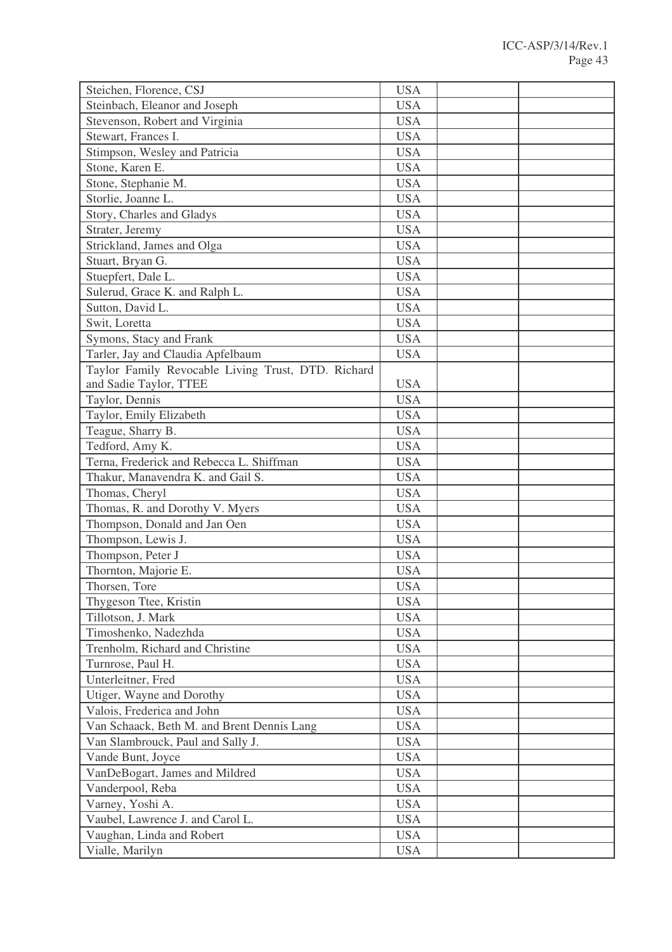| Steichen, Florence, CSJ                            | <b>USA</b> |  |
|----------------------------------------------------|------------|--|
| Steinbach, Eleanor and Joseph                      | <b>USA</b> |  |
| Stevenson, Robert and Virginia                     | <b>USA</b> |  |
| Stewart, Frances I.                                | <b>USA</b> |  |
| Stimpson, Wesley and Patricia                      | <b>USA</b> |  |
| Stone, Karen E.                                    | <b>USA</b> |  |
| Stone, Stephanie M.                                | <b>USA</b> |  |
| Storlie, Joanne L.                                 | <b>USA</b> |  |
| Story, Charles and Gladys                          | <b>USA</b> |  |
| Strater, Jeremy                                    | <b>USA</b> |  |
| Strickland, James and Olga                         | <b>USA</b> |  |
| Stuart, Bryan G.                                   | <b>USA</b> |  |
| Stuepfert, Dale L.                                 | <b>USA</b> |  |
| Sulerud, Grace K. and Ralph L.                     | <b>USA</b> |  |
| Sutton, David L.                                   | <b>USA</b> |  |
| Swit, Loretta                                      | <b>USA</b> |  |
| Symons, Stacy and Frank                            | <b>USA</b> |  |
| Tarler, Jay and Claudia Apfelbaum                  | <b>USA</b> |  |
| Taylor Family Revocable Living Trust, DTD. Richard |            |  |
| and Sadie Taylor, TTEE                             | <b>USA</b> |  |
| Taylor, Dennis                                     | <b>USA</b> |  |
| Taylor, Emily Elizabeth                            | <b>USA</b> |  |
| Teague, Sharry B.                                  | <b>USA</b> |  |
| Tedford, Amy K.                                    | <b>USA</b> |  |
| Terna, Frederick and Rebecca L. Shiffman           | <b>USA</b> |  |
| Thakur, Manavendra K. and Gail S.                  | <b>USA</b> |  |
| Thomas, Cheryl                                     | <b>USA</b> |  |
| Thomas, R. and Dorothy V. Myers                    | <b>USA</b> |  |
| Thompson, Donald and Jan Oen                       | <b>USA</b> |  |
| Thompson, Lewis J.                                 | <b>USA</b> |  |
| Thompson, Peter J                                  | <b>USA</b> |  |
| Thornton, Majorie E.                               | <b>USA</b> |  |
| Thorsen, Tore                                      | <b>USA</b> |  |
| Thygeson Ttee, Kristin                             | <b>USA</b> |  |
| Tillotson, J. Mark                                 | <b>USA</b> |  |
| Timoshenko, Nadezhda                               | <b>USA</b> |  |
| Trenholm, Richard and Christine                    | <b>USA</b> |  |
| Turnrose, Paul H.                                  | <b>USA</b> |  |
| Unterleitner, Fred                                 | <b>USA</b> |  |
| Utiger, Wayne and Dorothy                          | <b>USA</b> |  |
| Valois, Frederica and John                         | <b>USA</b> |  |
| Van Schaack, Beth M. and Brent Dennis Lang         | <b>USA</b> |  |
| Van Slambrouck, Paul and Sally J.                  | <b>USA</b> |  |
| Vande Bunt, Joyce                                  | <b>USA</b> |  |
| VanDeBogart, James and Mildred                     | <b>USA</b> |  |
| Vanderpool, Reba                                   | <b>USA</b> |  |
| Varney, Yoshi A.                                   | <b>USA</b> |  |
| Vaubel, Lawrence J. and Carol L.                   | <b>USA</b> |  |
| Vaughan, Linda and Robert                          | <b>USA</b> |  |
| Vialle, Marilyn                                    | <b>USA</b> |  |
|                                                    |            |  |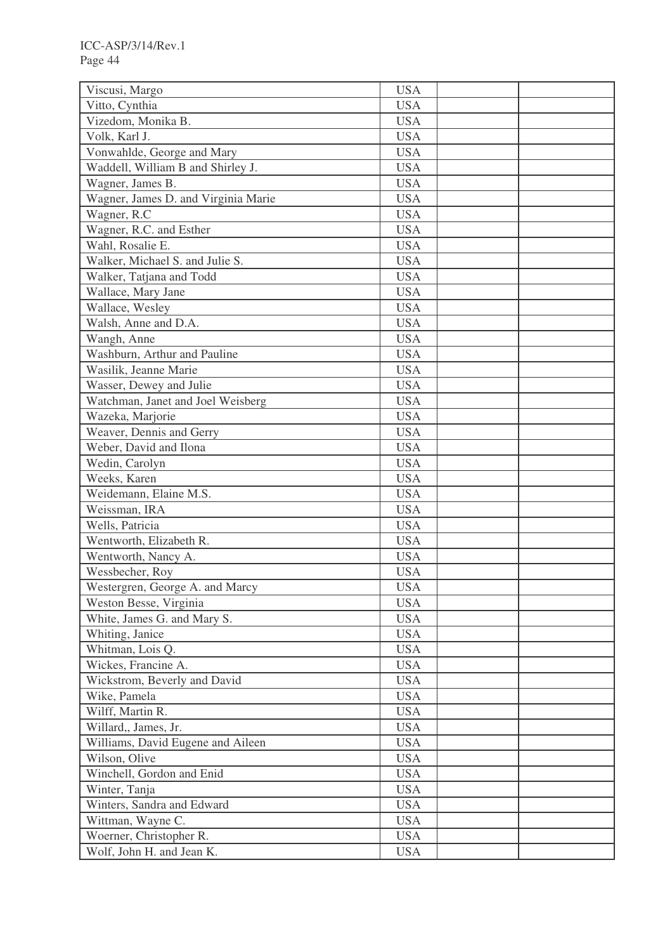| Vitto, Cynthia<br><b>USA</b><br>Vizedom, Monika B.<br><b>USA</b><br>Volk, Karl J.<br><b>USA</b><br>Vonwahlde, George and Mary<br><b>USA</b><br><b>USA</b><br>Waddell, William B and Shirley J.<br>Wagner, James B.<br><b>USA</b><br>Wagner, James D. and Virginia Marie<br><b>USA</b><br><b>USA</b><br>Wagner, R.C<br>Wagner, R.C. and Esther<br><b>USA</b><br>Wahl, Rosalie E.<br><b>USA</b><br>Walker, Michael S. and Julie S.<br><b>USA</b><br>Walker, Tatjana and Todd<br><b>USA</b><br>Wallace, Mary Jane<br><b>USA</b><br>Wallace, Wesley<br><b>USA</b><br>Walsh, Anne and D.A.<br><b>USA</b><br>Wangh, Anne<br><b>USA</b><br><b>USA</b><br>Washburn, Arthur and Pauline<br>Wasilik, Jeanne Marie<br><b>USA</b><br>Wasser, Dewey and Julie<br><b>USA</b><br>Watchman, Janet and Joel Weisberg<br><b>USA</b><br>Wazeka, Marjorie<br><b>USA</b><br><b>USA</b><br>Weaver, Dennis and Gerry<br>Weber, David and Ilona<br><b>USA</b><br><b>USA</b><br>Wedin, Carolyn<br>Weeks, Karen<br><b>USA</b><br>Weidemann, Elaine M.S.<br><b>USA</b><br>Weissman, IRA<br><b>USA</b><br>Wells, Patricia<br><b>USA</b><br><b>USA</b><br>Wentworth, Elizabeth R.<br>Wentworth, Nancy A.<br><b>USA</b><br>Wessbecher, Roy<br><b>USA</b><br><b>USA</b><br>Westergren, George A. and Marcy<br><b>USA</b><br>Weston Besse, Virginia<br>White, James G. and Mary S.<br><b>USA</b><br>Whiting, Janice<br><b>USA</b><br><b>USA</b><br>Whitman, Lois Q.<br>Wickes, Francine A.<br><b>USA</b><br>Wickstrom, Beverly and David<br><b>USA</b><br>Wike, Pamela<br><b>USA</b><br>Wilff, Martin R.<br><b>USA</b><br>Willard,, James, Jr.<br><b>USA</b><br>Williams, David Eugene and Aileen<br><b>USA</b><br>Wilson, Olive<br><b>USA</b><br>Winchell, Gordon and Enid<br><b>USA</b><br>Winter, Tanja<br><b>USA</b><br>Winters, Sandra and Edward<br><b>USA</b><br>Wittman, Wayne C.<br><b>USA</b><br>Woerner, Christopher R.<br><b>USA</b><br>Wolf, John H. and Jean K.<br><b>USA</b> | Viscusi, Margo | <b>USA</b> |  |
|-------------------------------------------------------------------------------------------------------------------------------------------------------------------------------------------------------------------------------------------------------------------------------------------------------------------------------------------------------------------------------------------------------------------------------------------------------------------------------------------------------------------------------------------------------------------------------------------------------------------------------------------------------------------------------------------------------------------------------------------------------------------------------------------------------------------------------------------------------------------------------------------------------------------------------------------------------------------------------------------------------------------------------------------------------------------------------------------------------------------------------------------------------------------------------------------------------------------------------------------------------------------------------------------------------------------------------------------------------------------------------------------------------------------------------------------------------------------------------------------------------------------------------------------------------------------------------------------------------------------------------------------------------------------------------------------------------------------------------------------------------------------------------------------------------------------------------------------------------------------------------------------------------------------------------------------------------------|----------------|------------|--|
|                                                                                                                                                                                                                                                                                                                                                                                                                                                                                                                                                                                                                                                                                                                                                                                                                                                                                                                                                                                                                                                                                                                                                                                                                                                                                                                                                                                                                                                                                                                                                                                                                                                                                                                                                                                                                                                                                                                                                             |                |            |  |
|                                                                                                                                                                                                                                                                                                                                                                                                                                                                                                                                                                                                                                                                                                                                                                                                                                                                                                                                                                                                                                                                                                                                                                                                                                                                                                                                                                                                                                                                                                                                                                                                                                                                                                                                                                                                                                                                                                                                                             |                |            |  |
|                                                                                                                                                                                                                                                                                                                                                                                                                                                                                                                                                                                                                                                                                                                                                                                                                                                                                                                                                                                                                                                                                                                                                                                                                                                                                                                                                                                                                                                                                                                                                                                                                                                                                                                                                                                                                                                                                                                                                             |                |            |  |
|                                                                                                                                                                                                                                                                                                                                                                                                                                                                                                                                                                                                                                                                                                                                                                                                                                                                                                                                                                                                                                                                                                                                                                                                                                                                                                                                                                                                                                                                                                                                                                                                                                                                                                                                                                                                                                                                                                                                                             |                |            |  |
|                                                                                                                                                                                                                                                                                                                                                                                                                                                                                                                                                                                                                                                                                                                                                                                                                                                                                                                                                                                                                                                                                                                                                                                                                                                                                                                                                                                                                                                                                                                                                                                                                                                                                                                                                                                                                                                                                                                                                             |                |            |  |
|                                                                                                                                                                                                                                                                                                                                                                                                                                                                                                                                                                                                                                                                                                                                                                                                                                                                                                                                                                                                                                                                                                                                                                                                                                                                                                                                                                                                                                                                                                                                                                                                                                                                                                                                                                                                                                                                                                                                                             |                |            |  |
|                                                                                                                                                                                                                                                                                                                                                                                                                                                                                                                                                                                                                                                                                                                                                                                                                                                                                                                                                                                                                                                                                                                                                                                                                                                                                                                                                                                                                                                                                                                                                                                                                                                                                                                                                                                                                                                                                                                                                             |                |            |  |
|                                                                                                                                                                                                                                                                                                                                                                                                                                                                                                                                                                                                                                                                                                                                                                                                                                                                                                                                                                                                                                                                                                                                                                                                                                                                                                                                                                                                                                                                                                                                                                                                                                                                                                                                                                                                                                                                                                                                                             |                |            |  |
|                                                                                                                                                                                                                                                                                                                                                                                                                                                                                                                                                                                                                                                                                                                                                                                                                                                                                                                                                                                                                                                                                                                                                                                                                                                                                                                                                                                                                                                                                                                                                                                                                                                                                                                                                                                                                                                                                                                                                             |                |            |  |
|                                                                                                                                                                                                                                                                                                                                                                                                                                                                                                                                                                                                                                                                                                                                                                                                                                                                                                                                                                                                                                                                                                                                                                                                                                                                                                                                                                                                                                                                                                                                                                                                                                                                                                                                                                                                                                                                                                                                                             |                |            |  |
|                                                                                                                                                                                                                                                                                                                                                                                                                                                                                                                                                                                                                                                                                                                                                                                                                                                                                                                                                                                                                                                                                                                                                                                                                                                                                                                                                                                                                                                                                                                                                                                                                                                                                                                                                                                                                                                                                                                                                             |                |            |  |
|                                                                                                                                                                                                                                                                                                                                                                                                                                                                                                                                                                                                                                                                                                                                                                                                                                                                                                                                                                                                                                                                                                                                                                                                                                                                                                                                                                                                                                                                                                                                                                                                                                                                                                                                                                                                                                                                                                                                                             |                |            |  |
|                                                                                                                                                                                                                                                                                                                                                                                                                                                                                                                                                                                                                                                                                                                                                                                                                                                                                                                                                                                                                                                                                                                                                                                                                                                                                                                                                                                                                                                                                                                                                                                                                                                                                                                                                                                                                                                                                                                                                             |                |            |  |
|                                                                                                                                                                                                                                                                                                                                                                                                                                                                                                                                                                                                                                                                                                                                                                                                                                                                                                                                                                                                                                                                                                                                                                                                                                                                                                                                                                                                                                                                                                                                                                                                                                                                                                                                                                                                                                                                                                                                                             |                |            |  |
|                                                                                                                                                                                                                                                                                                                                                                                                                                                                                                                                                                                                                                                                                                                                                                                                                                                                                                                                                                                                                                                                                                                                                                                                                                                                                                                                                                                                                                                                                                                                                                                                                                                                                                                                                                                                                                                                                                                                                             |                |            |  |
|                                                                                                                                                                                                                                                                                                                                                                                                                                                                                                                                                                                                                                                                                                                                                                                                                                                                                                                                                                                                                                                                                                                                                                                                                                                                                                                                                                                                                                                                                                                                                                                                                                                                                                                                                                                                                                                                                                                                                             |                |            |  |
|                                                                                                                                                                                                                                                                                                                                                                                                                                                                                                                                                                                                                                                                                                                                                                                                                                                                                                                                                                                                                                                                                                                                                                                                                                                                                                                                                                                                                                                                                                                                                                                                                                                                                                                                                                                                                                                                                                                                                             |                |            |  |
|                                                                                                                                                                                                                                                                                                                                                                                                                                                                                                                                                                                                                                                                                                                                                                                                                                                                                                                                                                                                                                                                                                                                                                                                                                                                                                                                                                                                                                                                                                                                                                                                                                                                                                                                                                                                                                                                                                                                                             |                |            |  |
|                                                                                                                                                                                                                                                                                                                                                                                                                                                                                                                                                                                                                                                                                                                                                                                                                                                                                                                                                                                                                                                                                                                                                                                                                                                                                                                                                                                                                                                                                                                                                                                                                                                                                                                                                                                                                                                                                                                                                             |                |            |  |
|                                                                                                                                                                                                                                                                                                                                                                                                                                                                                                                                                                                                                                                                                                                                                                                                                                                                                                                                                                                                                                                                                                                                                                                                                                                                                                                                                                                                                                                                                                                                                                                                                                                                                                                                                                                                                                                                                                                                                             |                |            |  |
|                                                                                                                                                                                                                                                                                                                                                                                                                                                                                                                                                                                                                                                                                                                                                                                                                                                                                                                                                                                                                                                                                                                                                                                                                                                                                                                                                                                                                                                                                                                                                                                                                                                                                                                                                                                                                                                                                                                                                             |                |            |  |
|                                                                                                                                                                                                                                                                                                                                                                                                                                                                                                                                                                                                                                                                                                                                                                                                                                                                                                                                                                                                                                                                                                                                                                                                                                                                                                                                                                                                                                                                                                                                                                                                                                                                                                                                                                                                                                                                                                                                                             |                |            |  |
|                                                                                                                                                                                                                                                                                                                                                                                                                                                                                                                                                                                                                                                                                                                                                                                                                                                                                                                                                                                                                                                                                                                                                                                                                                                                                                                                                                                                                                                                                                                                                                                                                                                                                                                                                                                                                                                                                                                                                             |                |            |  |
|                                                                                                                                                                                                                                                                                                                                                                                                                                                                                                                                                                                                                                                                                                                                                                                                                                                                                                                                                                                                                                                                                                                                                                                                                                                                                                                                                                                                                                                                                                                                                                                                                                                                                                                                                                                                                                                                                                                                                             |                |            |  |
|                                                                                                                                                                                                                                                                                                                                                                                                                                                                                                                                                                                                                                                                                                                                                                                                                                                                                                                                                                                                                                                                                                                                                                                                                                                                                                                                                                                                                                                                                                                                                                                                                                                                                                                                                                                                                                                                                                                                                             |                |            |  |
|                                                                                                                                                                                                                                                                                                                                                                                                                                                                                                                                                                                                                                                                                                                                                                                                                                                                                                                                                                                                                                                                                                                                                                                                                                                                                                                                                                                                                                                                                                                                                                                                                                                                                                                                                                                                                                                                                                                                                             |                |            |  |
|                                                                                                                                                                                                                                                                                                                                                                                                                                                                                                                                                                                                                                                                                                                                                                                                                                                                                                                                                                                                                                                                                                                                                                                                                                                                                                                                                                                                                                                                                                                                                                                                                                                                                                                                                                                                                                                                                                                                                             |                |            |  |
|                                                                                                                                                                                                                                                                                                                                                                                                                                                                                                                                                                                                                                                                                                                                                                                                                                                                                                                                                                                                                                                                                                                                                                                                                                                                                                                                                                                                                                                                                                                                                                                                                                                                                                                                                                                                                                                                                                                                                             |                |            |  |
|                                                                                                                                                                                                                                                                                                                                                                                                                                                                                                                                                                                                                                                                                                                                                                                                                                                                                                                                                                                                                                                                                                                                                                                                                                                                                                                                                                                                                                                                                                                                                                                                                                                                                                                                                                                                                                                                                                                                                             |                |            |  |
|                                                                                                                                                                                                                                                                                                                                                                                                                                                                                                                                                                                                                                                                                                                                                                                                                                                                                                                                                                                                                                                                                                                                                                                                                                                                                                                                                                                                                                                                                                                                                                                                                                                                                                                                                                                                                                                                                                                                                             |                |            |  |
|                                                                                                                                                                                                                                                                                                                                                                                                                                                                                                                                                                                                                                                                                                                                                                                                                                                                                                                                                                                                                                                                                                                                                                                                                                                                                                                                                                                                                                                                                                                                                                                                                                                                                                                                                                                                                                                                                                                                                             |                |            |  |
|                                                                                                                                                                                                                                                                                                                                                                                                                                                                                                                                                                                                                                                                                                                                                                                                                                                                                                                                                                                                                                                                                                                                                                                                                                                                                                                                                                                                                                                                                                                                                                                                                                                                                                                                                                                                                                                                                                                                                             |                |            |  |
|                                                                                                                                                                                                                                                                                                                                                                                                                                                                                                                                                                                                                                                                                                                                                                                                                                                                                                                                                                                                                                                                                                                                                                                                                                                                                                                                                                                                                                                                                                                                                                                                                                                                                                                                                                                                                                                                                                                                                             |                |            |  |
|                                                                                                                                                                                                                                                                                                                                                                                                                                                                                                                                                                                                                                                                                                                                                                                                                                                                                                                                                                                                                                                                                                                                                                                                                                                                                                                                                                                                                                                                                                                                                                                                                                                                                                                                                                                                                                                                                                                                                             |                |            |  |
|                                                                                                                                                                                                                                                                                                                                                                                                                                                                                                                                                                                                                                                                                                                                                                                                                                                                                                                                                                                                                                                                                                                                                                                                                                                                                                                                                                                                                                                                                                                                                                                                                                                                                                                                                                                                                                                                                                                                                             |                |            |  |
|                                                                                                                                                                                                                                                                                                                                                                                                                                                                                                                                                                                                                                                                                                                                                                                                                                                                                                                                                                                                                                                                                                                                                                                                                                                                                                                                                                                                                                                                                                                                                                                                                                                                                                                                                                                                                                                                                                                                                             |                |            |  |
|                                                                                                                                                                                                                                                                                                                                                                                                                                                                                                                                                                                                                                                                                                                                                                                                                                                                                                                                                                                                                                                                                                                                                                                                                                                                                                                                                                                                                                                                                                                                                                                                                                                                                                                                                                                                                                                                                                                                                             |                |            |  |
|                                                                                                                                                                                                                                                                                                                                                                                                                                                                                                                                                                                                                                                                                                                                                                                                                                                                                                                                                                                                                                                                                                                                                                                                                                                                                                                                                                                                                                                                                                                                                                                                                                                                                                                                                                                                                                                                                                                                                             |                |            |  |
|                                                                                                                                                                                                                                                                                                                                                                                                                                                                                                                                                                                                                                                                                                                                                                                                                                                                                                                                                                                                                                                                                                                                                                                                                                                                                                                                                                                                                                                                                                                                                                                                                                                                                                                                                                                                                                                                                                                                                             |                |            |  |
|                                                                                                                                                                                                                                                                                                                                                                                                                                                                                                                                                                                                                                                                                                                                                                                                                                                                                                                                                                                                                                                                                                                                                                                                                                                                                                                                                                                                                                                                                                                                                                                                                                                                                                                                                                                                                                                                                                                                                             |                |            |  |
|                                                                                                                                                                                                                                                                                                                                                                                                                                                                                                                                                                                                                                                                                                                                                                                                                                                                                                                                                                                                                                                                                                                                                                                                                                                                                                                                                                                                                                                                                                                                                                                                                                                                                                                                                                                                                                                                                                                                                             |                |            |  |
|                                                                                                                                                                                                                                                                                                                                                                                                                                                                                                                                                                                                                                                                                                                                                                                                                                                                                                                                                                                                                                                                                                                                                                                                                                                                                                                                                                                                                                                                                                                                                                                                                                                                                                                                                                                                                                                                                                                                                             |                |            |  |
|                                                                                                                                                                                                                                                                                                                                                                                                                                                                                                                                                                                                                                                                                                                                                                                                                                                                                                                                                                                                                                                                                                                                                                                                                                                                                                                                                                                                                                                                                                                                                                                                                                                                                                                                                                                                                                                                                                                                                             |                |            |  |
|                                                                                                                                                                                                                                                                                                                                                                                                                                                                                                                                                                                                                                                                                                                                                                                                                                                                                                                                                                                                                                                                                                                                                                                                                                                                                                                                                                                                                                                                                                                                                                                                                                                                                                                                                                                                                                                                                                                                                             |                |            |  |
|                                                                                                                                                                                                                                                                                                                                                                                                                                                                                                                                                                                                                                                                                                                                                                                                                                                                                                                                                                                                                                                                                                                                                                                                                                                                                                                                                                                                                                                                                                                                                                                                                                                                                                                                                                                                                                                                                                                                                             |                |            |  |
|                                                                                                                                                                                                                                                                                                                                                                                                                                                                                                                                                                                                                                                                                                                                                                                                                                                                                                                                                                                                                                                                                                                                                                                                                                                                                                                                                                                                                                                                                                                                                                                                                                                                                                                                                                                                                                                                                                                                                             |                |            |  |
|                                                                                                                                                                                                                                                                                                                                                                                                                                                                                                                                                                                                                                                                                                                                                                                                                                                                                                                                                                                                                                                                                                                                                                                                                                                                                                                                                                                                                                                                                                                                                                                                                                                                                                                                                                                                                                                                                                                                                             |                |            |  |
|                                                                                                                                                                                                                                                                                                                                                                                                                                                                                                                                                                                                                                                                                                                                                                                                                                                                                                                                                                                                                                                                                                                                                                                                                                                                                                                                                                                                                                                                                                                                                                                                                                                                                                                                                                                                                                                                                                                                                             |                |            |  |
|                                                                                                                                                                                                                                                                                                                                                                                                                                                                                                                                                                                                                                                                                                                                                                                                                                                                                                                                                                                                                                                                                                                                                                                                                                                                                                                                                                                                                                                                                                                                                                                                                                                                                                                                                                                                                                                                                                                                                             |                |            |  |